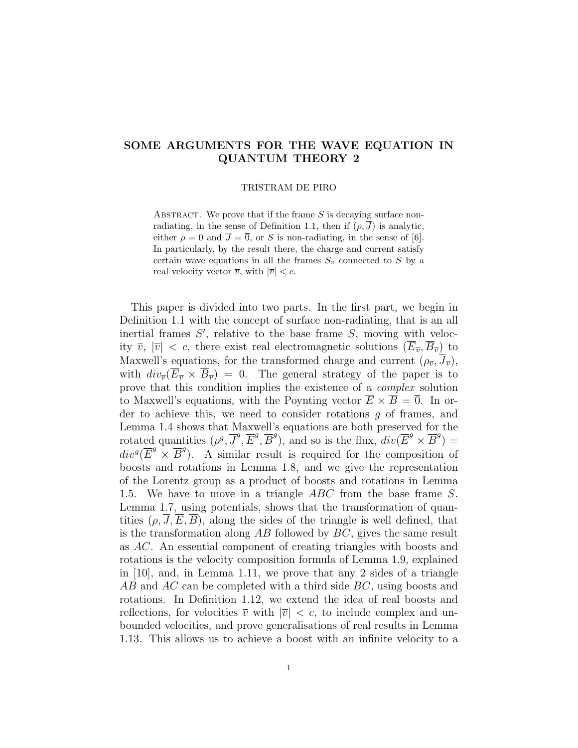# SOME ARGUMENTS FOR THE WAVE EQUATION IN QUANTUM THEORY 2

#### TRISTRAM DE PIRO

ABSTRACT. We prove that if the frame  $S$  is decaying surface nonradiating, in the sense of Definition 1.1, then if  $(\rho, \overline{J})$  is analytic, either  $\rho = 0$  and  $\overline{J} = \overline{0}$ , or S is non-radiating, in the sense of [6]. In particularly, by the result there, the charge and current satisfy certain wave equations in all the frames  $S_{\overline{v}}$  connected to S by a real velocity vector  $\overline{v}$ , with  $|\overline{v}| < c$ .

This paper is divided into two parts. In the first part, we begin in Definition 1.1 with the concept of surface non-radiating, that is an all inertial frames  $S'$ , relative to the base frame  $S$ , moving with velocity  $\overline{v}$ ,  $|\overline{v}| < c$ , there exist real electromagnetic solutions  $(E_{\overline{v}}, B_{\overline{v}})$  to Maxwell's equations, for the transformed charge and current  $(\rho_{\overline{v}}, \overline{J}_{\overline{v}})$ , with  $div_{\overline{v}}(\overline{E}_{\overline{v}} \times \overline{B}_{\overline{v}}) = 0$ . The general strategy of the paper is to prove that this condition implies the existence of a complex solution to Maxwell's equations, with the Poynting vector  $\overline{E} \times \overline{B} = \overline{0}$ . In order to achieve this, we need to consider rotations  $q$  of frames, and Lemma 1.4 shows that Maxwell's equations are both preserved for the rotated quantities  $(\rho^g, \overline{J}^g, \overline{E}^g, \overline{B}^g)$ , and so is the flux,  $div(\overline{E}^g \times \overline{B}^g)$  =  $div^g(\overline{E}^g \times \overline{B}^g)$ . A similar result is required for the composition of boosts and rotations in Lemma 1.8, and we give the representation of the Lorentz group as a product of boosts and rotations in Lemma 1.5. We have to move in a triangle ABC from the base frame S. Lemma 1.7, using potentials, shows that the transformation of quantities  $(\rho, \overline{J}, \overline{E}, \overline{B})$ , along the sides of the triangle is well defined, that is the transformation along  $AB$  followed by  $BC$ , gives the same result as AC. An essential component of creating triangles with boosts and rotations is the velocity composition formula of Lemma 1.9, explained in  $|10|$ , and, in Lemma 1.11, we prove that any 2 sides of a triangle AB and AC can be completed with a third side BC, using boosts and rotations. In Definition 1.12, we extend the idea of real boosts and reflections, for velocities  $\overline{v}$  with  $|\overline{v}| < c$ , to include complex and unbounded velocities, and prove generalisations of real results in Lemma 1.13. This allows us to achieve a boost with an infinite velocity to a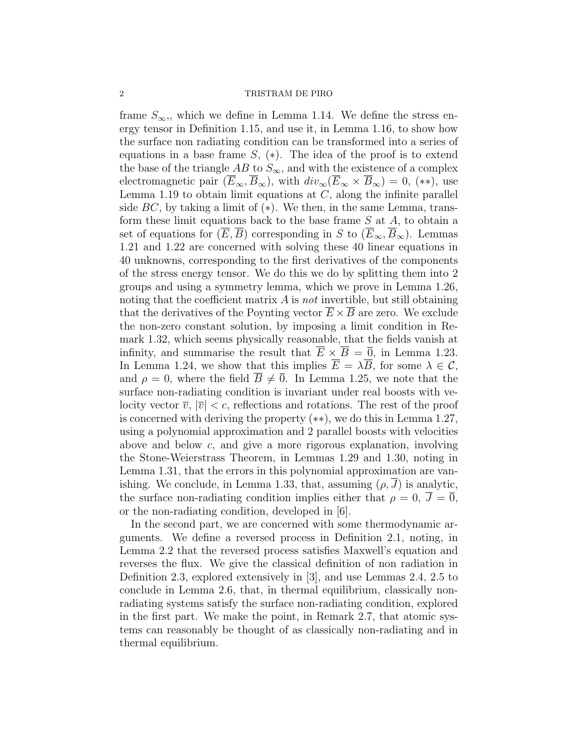#### 2 TRISTRAM DE PIRO

frame  $S_{\infty}$ , which we define in Lemma 1.14. We define the stress energy tensor in Definition 1.15, and use it, in Lemma 1.16, to show how the surface non radiating condition can be transformed into a series of equations in a base frame  $S$ ,  $(*)$ . The idea of the proof is to extend the base of the triangle AB to  $S_{\infty}$ , and with the existence of a complex electromagnetic pair  $(\overline{E}_{\infty}, \overline{B}_{\infty})$ , with  $div_{\infty}(\overline{E}_{\infty} \times \overline{B}_{\infty}) = 0$ , (\*\*), use Lemma 1.19 to obtain limit equations at  $C$ , along the infinite parallel side  $BC$ , by taking a limit of  $(*)$ . We then, in the same Lemma, transform these limit equations back to the base frame  $S$  at  $A$ , to obtain a set of equations for  $(\overline{E}, \overline{B})$  corresponding in S to  $(\overline{E}_{\infty}, \overline{B}_{\infty})$ . Lemmas 1.21 and 1.22 are concerned with solving these 40 linear equations in 40 unknowns, corresponding to the first derivatives of the components of the stress energy tensor. We do this we do by splitting them into 2 groups and using a symmetry lemma, which we prove in Lemma 1.26, noting that the coefficient matrix  $A$  is not invertible, but still obtaining that the derivatives of the Poynting vector  $\overline{E} \times \overline{B}$  are zero. We exclude the non-zero constant solution, by imposing a limit condition in Remark 1.32, which seems physically reasonable, that the fields vanish at infinity, and summarise the result that  $E \times B = \overline{0}$ , in Lemma 1.23. In Lemma 1.24, we show that this implies  $\overline{E} = \lambda \overline{B}$ , for some  $\lambda \in \mathcal{C}$ , and  $\rho = 0$ , where the field  $\overline{B} \neq \overline{0}$ . In Lemma 1.25, we note that the surface non-radiating condition is invariant under real boosts with velocity vector  $\overline{v}$ ,  $|\overline{v}| < c$ , reflections and rotations. The rest of the proof is concerned with deriving the property (∗∗), we do this in Lemma 1.27, using a polynomial approximation and 2 parallel boosts with velocities above and below c, and give a more rigorous explanation, involving the Stone-Weierstrass Theorem, in Lemmas 1.29 and 1.30, noting in Lemma 1.31, that the errors in this polynomial approximation are vanishing. We conclude, in Lemma 1.33, that, assuming  $(\rho, J)$  is analytic, the surface non-radiating condition implies either that  $\rho = 0$ ,  $\overline{J} = \overline{0}$ , or the non-radiating condition, developed in [6].

In the second part, we are concerned with some thermodynamic arguments. We define a reversed process in Definition 2.1, noting, in Lemma 2.2 that the reversed process satisfies Maxwell's equation and reverses the flux. We give the classical definition of non radiation in Definition 2.3, explored extensively in [3], and use Lemmas 2.4, 2.5 to conclude in Lemma 2.6, that, in thermal equilibrium, classically nonradiating systems satisfy the surface non-radiating condition, explored in the first part. We make the point, in Remark 2.7, that atomic systems can reasonably be thought of as classically non-radiating and in thermal equilibrium.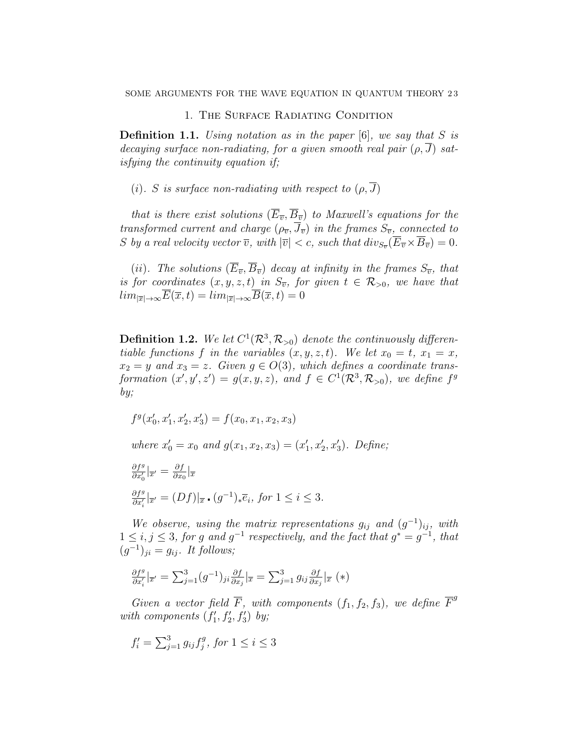## 1. The Surface Radiating Condition

**Definition 1.1.** Using notation as in the paper  $[6]$ , we say that S is decaying surface non-radiating, for a given smooth real pair  $(\rho, \overline{J})$  satisfying the continuity equation if;

(i). S is surface non-radiating with respect to  $(\rho, \overline{J})$ 

that is there exist solutions  $(\overline{E}_{\overline{v}}, \overline{B}_{\overline{v}})$  to Maxwell's equations for the transformed current and charge  $(\rho_{\overline{v}}, \overline{J}_{\overline{v}})$  in the frames  $S_{\overline{v}}$ , connected to S by a real velocity vector  $\overline{v}$ , with  $|\overline{v}| < c$ , such that  $div_{S_{\overline{v}}}(\overline{E}_{\overline{v}} \times \overline{B}_{\overline{v}}) = 0$ .

(ii). The solutions  $(\overline{E}_{\overline{v}}, \overline{B}_{\overline{v}})$  decay at infinity in the frames  $S_{\overline{v}}$ , that is for coordinates  $(x, y, z, t)$  in  $S_{\overline{v}}$ , for given  $t \in \mathcal{R}_{>0}$ , we have that  $lim_{|\overline{x}| \to \infty} \overline{E}(\overline{x}, t) = lim_{|\overline{x}| \to \infty} \overline{B}(\overline{x}, t) = 0$ 

**Definition 1.2.** We let  $C^1(\mathcal{R}^3, \mathcal{R}_{>0})$  denote the continuously differentiable functions f in the variables  $(x, y, z, t)$ . We let  $x_0 = t$ ,  $x_1 = x$ ,  $x_2 = y$  and  $x_3 = z$ . Given  $g \in O(3)$ , which defines a coordinate transformation  $(x', y', z') = g(x, y, z)$ , and  $f \in C^1(\mathcal{R}^3, \mathcal{R}_{>0})$ , we define  $f^g$ by;

). Define;

$$
f^{g}(x'_{0}, x'_{1}, x'_{2}, x'_{3}) = f(x_{0}, x_{1}, x_{2}, x_{3})
$$
  
where  $x'_{0} = x_{0}$  and  $g(x_{1}, x_{2}, x_{3}) = (x'_{1}, x'_{2}, x'_{3})$ .  

$$
\frac{\partial f^{g}}{\partial x'_{0}}|_{\overline{x}'} = \frac{\partial f}{\partial x_{0}}|_{\overline{x}}
$$

$$
\frac{\partial f^g}{\partial x'_i}|_{\overline{x}'} = (Df)|_{\overline{x}} \cdot (g^{-1})_* \overline{e}_i, \text{ for } 1 \le i \le 3.
$$

We observe, using the matrix representations  $g_{ij}$  and  $(g^{-1})_{ij}$ , with  $1 \leq i, j \leq 3$ , for g and  $g^{-1}$  respectively, and the fact that  $g^* = g^{-1}$ , that  $(g^{-1})_{ji} = g_{ij}$ . It follows;

$$
\frac{\partial f^g}{\partial x'_i} \big|_{\overline{x}'} = \sum_{j=1}^3 (g^{-1})_{ji} \frac{\partial f}{\partial x_j} \big|_{\overline{x}} = \sum_{j=1}^3 g_{ij} \frac{\partial f}{\partial x_j} \big|_{\overline{x}} (*)
$$

Given a vector field  $\overline{F}$ , with components  $(f_1, f_2, f_3)$ , we define  $\overline{F}^g$ with components  $(f'_1, f'_2, f'_3)$  by;

$$
f'_i = \sum_{j=1}^3 g_{ij} f^g_j
$$
, for  $1 \le i \le 3$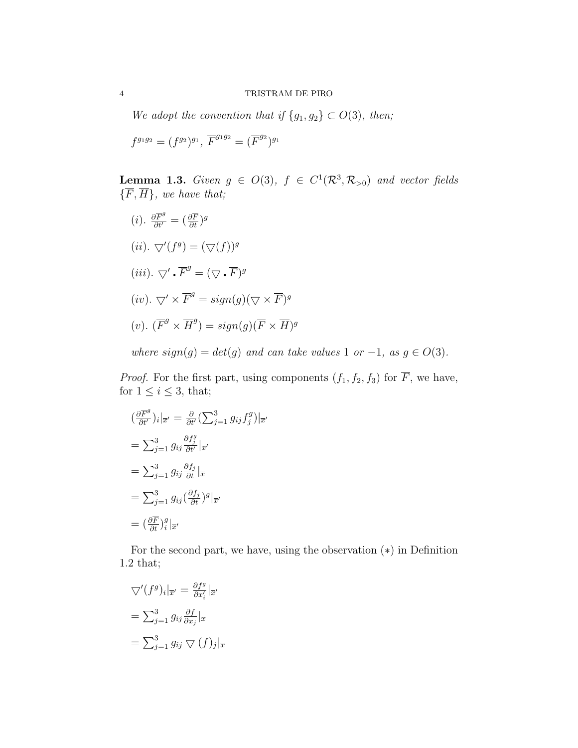We adopt the convention that if  $\{g_1, g_2\} \subset O(3)$ , then;

$$
f^{g_1g_2} = (f^{g_2})^{g_1}, \, \overline{F}^{g_1g_2} = (\overline{F}^{g_2})^{g_1}
$$

**Lemma 1.3.** Given  $g \in O(3)$ ,  $f \in C^1(\mathcal{R}^3, \mathcal{R}_{>0})$  and vector fields  $\{\overline{F}, \overline{H}\}\$ , we have that;

 $(i)$ .  $\frac{\partial \overline{F}^g}{\partial t'} = (\frac{\partial \overline{F}}{\partial t})^g$  $(ii)$ .  $\bigtriangledown'(f^g) = (\bigtriangledown(f))^g$  $(iii)$ .  $\bigtriangledown'$  .  $\overline{F}^g = (\bigtriangledown \cdot \overline{F})^g$  $(iv)$ .  $\nabla' \times \overline{F}^g = sign(g)(\nabla \times \overline{F})^g$ (v).  $(\overline{F}^g \times \overline{H}^g) = sign(g)(\overline{F} \times \overline{H})^g$ 

where  $sign(g) = det(g)$  and can take values 1 or -1, as  $g \in O(3)$ .

*Proof.* For the first part, using components  $(f_1, f_2, f_3)$  for  $\overline{F}$ , we have, for  $1 \leq i \leq 3$ , that;

$$
\begin{aligned}\n(\frac{\partial \overline{F}^g}{\partial t'})_i|_{\overline{x}'} &= \frac{\partial}{\partial t'} \left(\sum_{j=1}^3 g_{ij} f_j^g\right)|_{\overline{x}'} \\
&= \sum_{j=1}^3 g_{ij} \frac{\partial f_j^g}{\partial t'}|_{\overline{x}'} \\
&= \sum_{j=1}^3 g_{ij} \frac{\partial f_j}{\partial t}|_{\overline{x}} \\
&= \sum_{j=1}^3 g_{ij} \left(\frac{\partial f_j}{\partial t}\right)^g|_{\overline{x}'} \\
&= \left(\frac{\partial \overline{F}}{\partial t}\right)^g_i|_{\overline{x}'}\n\end{aligned}
$$

For the second part, we have, using the observation  $(*)$  in Definition 1.2 that;

$$
\nabla'(f^g)_i|_{\overline{x}'} = \frac{\partial f^g}{\partial x'_i}|_{\overline{x}'}
$$

$$
= \sum_{j=1}^3 g_{ij} \frac{\partial f}{\partial x_j}|_{\overline{x}}
$$

$$
= \sum_{j=1}^3 g_{ij} \nabla (f)_j|_{\overline{x}}
$$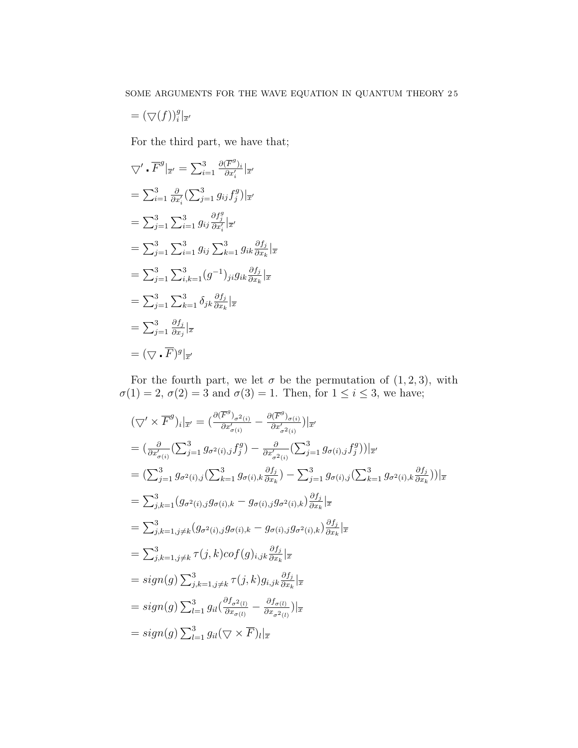$$
= (\bigtriangledown(f))_i^g|_{\overline{x}'}
$$

For the third part, we have that;

$$
\nabla' \cdot \overline{F}^g|_{\overline{x}'} = \sum_{i=1}^3 \frac{\partial(\overline{F}^g)_i}{\partial x'_i}|_{\overline{x}'}
$$
  
\n
$$
= \sum_{i=1}^3 \frac{\partial}{\partial x'_i} \left( \sum_{j=1}^3 g_{ij} f_j^g \right) |_{\overline{x}'}
$$
  
\n
$$
= \sum_{j=1}^3 \sum_{i=1}^3 g_{ij} \frac{\partial f_j^g}{\partial x'_i} |_{\overline{x}'}
$$
  
\n
$$
= \sum_{j=1}^3 \sum_{i=1}^3 g_{ij} \sum_{k=1}^3 g_{ik} \frac{\partial f_j}{\partial x_k} |_{\overline{x}'}
$$
  
\n
$$
= \sum_{j=1}^3 \sum_{i,k=1}^3 (g^{-1})_{ji} g_{ik} \frac{\partial f_j}{\partial x_k} |_{\overline{x}'}
$$
  
\n
$$
= \sum_{j=1}^3 \sum_{k=1}^3 \delta_{jk} \frac{\partial f_j}{\partial x_k} |_{\overline{x}'}
$$
  
\n
$$
= \sum_{j=1}^3 \frac{\partial f_j}{\partial x_j} |_{\overline{x}'}
$$
  
\n
$$
= (\nabla \cdot \overline{F})^g |_{\overline{x}'}
$$

For the fourth part, we let  $\sigma$  be the permutation of  $(1, 2, 3)$ , with  $\sigma(1) = 2, \sigma(2) = 3$  and  $\sigma(3) = 1$ . Then, for  $1 \leq i \leq 3$ , we have;

$$
\begin{split}\n& (\bigtriangledown' \times \overline{F}^g)_i|_{\overline{x}'} = \big(\frac{\partial(\overline{F}^g)_{\sigma^2(i)}}{\partial x'_{\sigma(i)}} - \frac{\partial(\overline{F}^g)_{\sigma(i)}}{\partial x'_{\sigma^2(i)}}\big)|_{\overline{x}'} \\
& = \big(\frac{\partial}{\partial x'_{\sigma(i)}} \big(\sum_{j=1}^3 g_{\sigma^2(i),j} f_j^g\big) - \frac{\partial}{\partial x'_{\sigma^2(i)}} \big(\sum_{j=1}^3 g_{\sigma(i),j} f_j^g\big)\big)|_{\overline{x}'} \\
& = \big(\sum_{j=1}^3 g_{\sigma^2(i),j} \big(\sum_{k=1}^3 g_{\sigma(i),k} \frac{\partial f_j}{\partial x_k}\big) - \sum_{j=1}^3 g_{\sigma(i),j} \big(\sum_{k=1}^3 g_{\sigma^2(i),k} \frac{\partial f_j}{\partial x_k}\big)\big)|_{\overline{x}} \\
& = \sum_{j,k=1}^3 (g_{\sigma^2(i),j} g_{\sigma(i),k} - g_{\sigma(i),j} g_{\sigma^2(i),k}) \frac{\partial f_j}{\partial x_k}|_{\overline{x}} \\
& = \sum_{j,k=1,j\neq k}^3 (g_{\sigma^2(i),j} g_{\sigma(i),k} - g_{\sigma(i),j} g_{\sigma^2(i),k}) \frac{\partial f_j}{\partial x_k}|_{\overline{x}} \\
& = \sum_{j,k=1,j\neq k}^3 \tau(j,k) cof(g)_{i,jk} \frac{\partial f_j}{\partial x_k}|_{\overline{x}} \\
& = sign(g) \sum_{j,k=1,j\neq k}^3 \tau(j,k) g_{i,jk} \frac{\partial f_j}{\partial x_k}|_{\overline{x}} \\
& = sign(g) \sum_{l=1}^3 g_{il} \big(\frac{\partial f_{\sigma^2(l)}}{\partial x_{\sigma(i)}} - \frac{\partial f_{\sigma(l)}}{\partial x_{\sigma^2(l)}}\big)|_{\overline{x}} \\
& = sign(g) \sum_{l=1}^3 g_{il} \big(\nabla \times \overline{F} \big)_l|_{\overline{x}}\n\end{split}
$$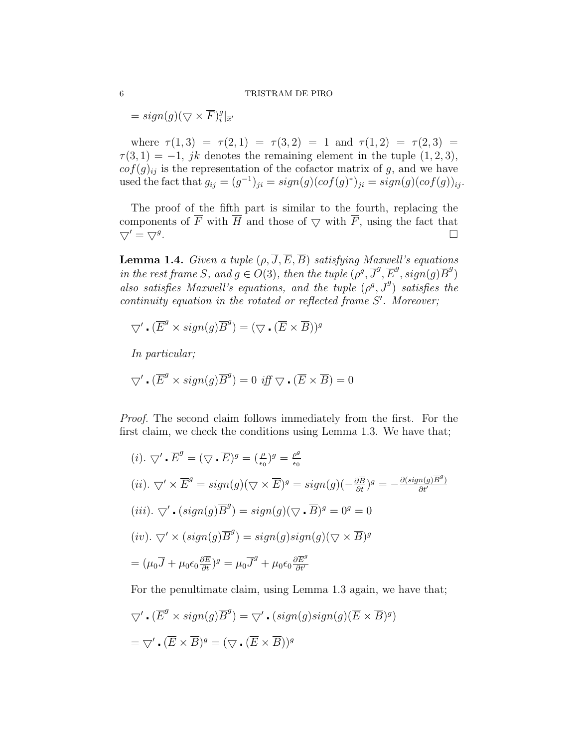#### 6 TRISTRAM DE PIRO

 $= sign(g)(\nabla \times \overline{F})_i^g$  $\frac{g}{i}$ <sub> $\left|\overline{x}\right|$ </sub>

where  $\tau(1,3) = \tau(2,1) = \tau(3,2) = 1$  and  $\tau(1,2) = \tau(2,3) =$  $\tau(3,1) = -1$ , jk denotes the remaining element in the tuple  $(1,2,3)$ ,  $cof(g)_{ij}$  is the representation of the cofactor matrix of g, and we have used the fact that  $g_{ij} = (g^{-1})_{ji} = sign(g)(cof(g)^*)_{ji} = sign(g)(cof(g))_{ij}$ .

The proof of the fifth part is similar to the fourth, replacing the components of  $\overline{F}$  with  $\overline{H}$  and those of  $\overline{\vee}$  with  $\overline{F}$ , using the fact that  $\bigtriangledown' = \bigtriangledown^{g}$ . . В последните последните последните последните последните последните последните последните последните последн<br>В последните последните последните последните последните последните последните последните последните последнит

**Lemma 1.4.** Given a tuple  $(\rho, \overline{J}, \overline{E}, \overline{B})$  satisfying Maxwell's equations in the rest frame S, and  $g \in O(3)$ , then the tuple  $(\rho^g, \overline{J}^g, \overline{E}^g, sign(g)\overline{B}^g)$ also satisfies Maxwell's equations, and the tuple  $(\rho^g, \overline{J}^g)$  satisfies the  $continuity$  equation in the rotated or reflected frame  $S'$ . Moreover;

$$
\nabla \cdot (\overline{E}^g \times sign(g)\overline{B}^g) = (\nabla \cdot (\overline{E} \times \overline{B}))^g
$$

In particular;

$$
\nabla' \cdot (\overline{E}^g \times sign(g)\overline{B}^g) = 0 \text{ iff } \nabla \cdot (\overline{E} \times \overline{B}) = 0
$$

Proof. The second claim follows immediately from the first. For the first claim, we check the conditions using Lemma 1.3. We have that;

$$
(i). \nabla' \cdot \overline{E}^g = (\nabla \cdot \overline{E})^g = (\frac{\rho}{\epsilon_0})^g = \frac{\rho^g}{\epsilon_0}
$$
\n
$$
(ii). \nabla' \times \overline{E}^g = sign(g)(\nabla \times \overline{E})^g = sign(g)(-\frac{\partial \overline{B}}{\partial t})^g = -\frac{\partial (sign(g)\overline{E}^g)}{\partial t^f}
$$
\n
$$
(iii). \nabla' \cdot (sign(g)\overline{B}^g) = sign(g)(\nabla \cdot \overline{B})^g = 0^g = 0
$$
\n
$$
(iv). \nabla' \times (sign(g)\overline{B}^g) = sign(g)sign(g)(\nabla \times \overline{B})^g
$$
\n
$$
= (\mu_0 \overline{J} + \mu_0 \epsilon_0 \frac{\partial \overline{E}}{\partial t})^g = \mu_0 \overline{J}^g + \mu_0 \epsilon_0 \frac{\partial \overline{E}^g}{\partial t^f}
$$

For the penultimate claim, using Lemma 1.3 again, we have that;

$$
\nabla' \cdot (\overline{E}^g \times sign(g)\overline{B}^g) = \nabla' \cdot (sign(g)sign(g)(\overline{E} \times \overline{B})^g)
$$

$$
= \nabla' \cdot (\overline{E} \times \overline{B})^g = (\nabla \cdot (\overline{E} \times \overline{B}))^g
$$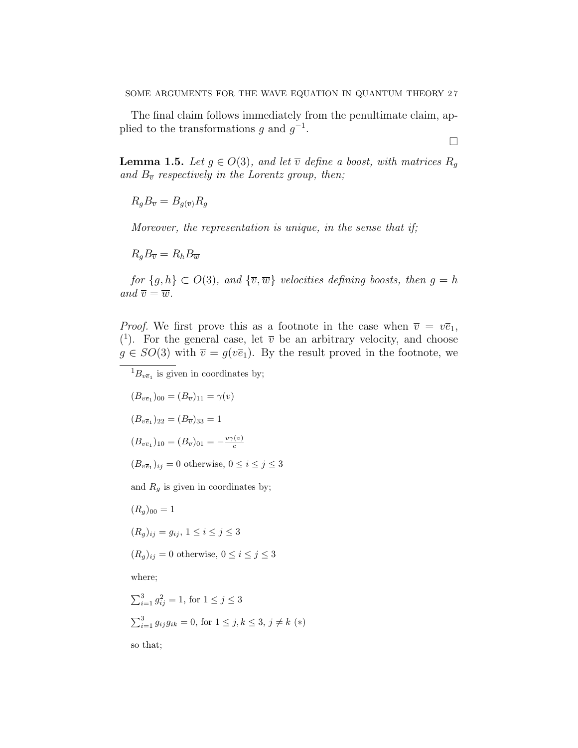The final claim follows immediately from the penultimate claim, applied to the transformations g and  $g^{-1}$ .

 $\Box$ 

**Lemma 1.5.** Let  $g \in O(3)$ , and let  $\overline{v}$  define a boost, with matrices  $R_q$ and  $B_{\overline{v}}$  respectively in the Lorentz group, then;

 $R_a B_{\overline{v}} = B_{a(\overline{v})} R_a$ 

Moreover, the representation is unique, in the sense that if;

 $R_qB_{\overline{v}}=R_hB_{\overline{w}}$ 

for  $\{g, h\} \subset O(3)$ , and  $\{\overline{v}, \overline{w}\}$  velocities defining boosts, then  $g = h$ and  $\overline{v} = \overline{w}$ .

*Proof.* We first prove this as a footnote in the case when  $\overline{v} = v\overline{e}_1$ , (<sup>1</sup>). For the general case, let  $\overline{v}$  be an arbitrary velocity, and choose  $g \in SO(3)$  with  $\overline{v} = g(v\overline{e}_1)$ . By the result proved in the footnote, we

 ${}^{1}B_{v\overline{e}_1}$  is given in coordinates by;

 $(B_{v\bar{e}_1})_{00} = (B_{\overline{v}})_{11} = \gamma(v)$  $(B_{v\overline{e}_1})_{22} = (B_{\overline{v}})_{33} = 1$  $(B_{v\overline{e}_1})_{10} = (B_{\overline{v}})_{01} = -\frac{v\gamma(v)}{c}$ c

 $(B_{v\overline{e}_1})_{ij} = 0$  otherwise,  $0 \le i \le j \le 3$ 

and  $R_g$  is given in coordinates by;

 $(R_q)_{00} = 1$ 

$$
(R_g)_{ij} = g_{ij}, \ 1 \le i \le j \le 3
$$

 $(R_g)_{ij} = 0$  otherwise,  $0 \le i \le j \le 3$ 

where;

$$
\sum_{i=1}^{3} g_{ij}^{2} = 1, \text{ for } 1 \leq j \leq 3
$$
  

$$
\sum_{i=1}^{3} g_{ij} g_{ik} = 0, \text{ for } 1 \leq j, k \leq 3, j \neq k \ (*)
$$

so that;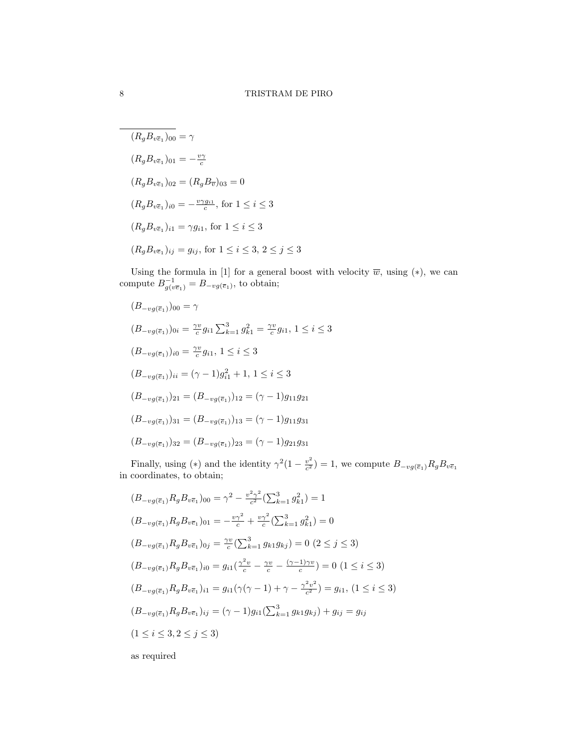$$
\overline{(R_g B_{v\overline{e}_1})_{00}} = \gamma
$$
  
\n
$$
(R_g B_{v\overline{e}_1})_{01} = -\frac{v\gamma}{c}
$$
  
\n
$$
(R_g B_{v\overline{e}_1})_{02} = (R_g B_{\overline{v}})_{03} = 0
$$
  
\n
$$
(R_g B_{v\overline{e}_1})_{i0} = -\frac{v\gamma g_{i1}}{c}, \text{ for } 1 \le i \le 3
$$
  
\n
$$
(R_g B_{v\overline{e}_1})_{i1} = \gamma g_{i1}, \text{ for } 1 \le i \le 3
$$
  
\n
$$
(R_g B_{v\overline{e}_1})_{ij} = g_{ij}, \text{ for } 1 \le i \le 3, 2 \le j \le 3
$$

Using the formula in [1] for a general boost with velocity  $\overline{w}$ , using  $(*)$ , we can compute  $B^{-1}_{g(v\overline{e}_1)} = B_{-vg(\overline{e}_1)}$ , to obtain;

$$
(B_{-vg(\overline{e}_1)})_{00} = \gamma
$$
  
\n
$$
(B_{-vg(\overline{e}_1)})_{0i} = \frac{\gamma v}{c} g_{i1} \sum_{k=1}^3 g_{k1}^2 = \frac{\gamma v}{c} g_{i1}, 1 \le i \le 3
$$
  
\n
$$
(B_{-vg(\overline{e}_1)})_{i0} = \frac{\gamma v}{c} g_{i1}, 1 \le i \le 3
$$
  
\n
$$
(B_{-vg(\overline{e}_1)})_{ii} = (\gamma - 1) g_{i1}^2 + 1, 1 \le i \le 3
$$
  
\n
$$
(B_{-vg(\overline{e}_1)})_{21} = (B_{-vg(\overline{e}_1)})_{12} = (\gamma - 1) g_{11} g_{21}
$$
  
\n
$$
(B_{-vg(\overline{e}_1)})_{31} = (B_{-vg(\overline{e}_1)})_{13} = (\gamma - 1) g_{11} g_{31}
$$
  
\n
$$
(B_{-vg(\overline{e}_1)})_{32} = (B_{-vg(\overline{e}_1)})_{23} = (\gamma - 1) g_{21} g_{31}
$$

Finally, using (\*) and the identity  $\gamma^2(1-\frac{v^2}{c^2})$  $\frac{v^2}{c^2}$ ) = 1, we compute  $B_{-vg(\overline{e}_1)}R_gB_{v\overline{e}_1}$ in coordinates, to obtain;

$$
(B_{-vg(\overline{e}_1)}R_gB_{v\overline{e}_1})_{00} = \gamma^2 - \frac{v^2\gamma^2}{c^2}(\sum_{k=1}^3 g_{k1}^2) = 1
$$
  
\n
$$
(B_{-vg(\overline{e}_1)}R_gB_{v\overline{e}_1})_{01} = -\frac{v\gamma^2}{c} + \frac{v\gamma^2}{c}(\sum_{k=1}^3 g_{k1}^2) = 0
$$
  
\n
$$
(B_{-vg(\overline{e}_1)}R_gB_{v\overline{e}_1})_{0j} = \frac{\gamma v}{c}(\sum_{k=1}^3 g_{k1}g_{kj}) = 0 \ (2 \le j \le 3)
$$
  
\n
$$
(B_{-vg(\overline{e}_1)}R_gB_{v\overline{e}_1})_{i0} = g_{i1}(\frac{\gamma^2 v}{c} - \frac{\gamma v}{c} - \frac{(\gamma - 1)\gamma v}{c}) = 0 \ (1 \le i \le 3)
$$
  
\n
$$
(B_{-vg(\overline{e}_1)}R_gB_{v\overline{e}_1})_{i1} = g_{i1}(\gamma(\gamma - 1) + \gamma - \frac{\gamma^2 v^2}{c^2}) = g_{i1}, (1 \le i \le 3)
$$
  
\n
$$
(B_{-vg(\overline{e}_1)}R_gB_{v\overline{e}_1})_{ij} = (\gamma - 1)g_{i1}(\sum_{k=1}^3 g_{k1}g_{kj}) + g_{ij} = g_{ij}
$$
  
\n
$$
(1 \le i \le 3, 2 \le j \le 3)
$$
as required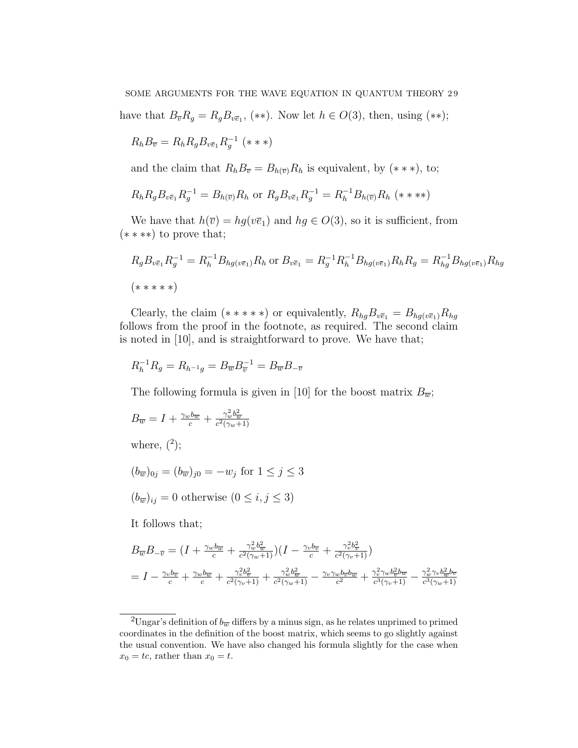have that  $B_{\overline{v}}R_g = R_g B_{\overline{v}\overline{e}_1}$ , (\*\*). Now let  $h \in O(3)$ , then, using (\*\*);

$$
R_h B_{\overline{v}} = R_h R_g B_{v\overline{e}_1} R_g^{-1} \quad (***)
$$

and the claim that  $R_h B_{\overline{v}} = B_{h(\overline{v})} R_h$  is equivalent, by  $(***)$ , to;

$$
R_h R_g B_{v\bar{e}_1} R_g^{-1} = B_{h(\bar{v})} R_h \text{ or } R_g B_{v\bar{e}_1} R_g^{-1} = R_h^{-1} B_{h(\bar{v})} R_h \; (* \; **)
$$

We have that  $h(\overline{v}) = hg(v\overline{e}_1)$  and  $hg \in O(3)$ , so it is sufficient, from (∗ ∗ ∗∗) to prove that;

$$
R_g B_{v\bar{e}_1} R_g^{-1} = R_h^{-1} B_{hg(v\bar{e}_1)} R_h \text{ or } B_{v\bar{e}_1} = R_g^{-1} R_h^{-1} B_{hg(v\bar{e}_1)} R_h R_g = R_{hg}^{-1} B_{hg(v\bar{e}_1)} R_{hg}
$$
  
( $****)$ 

Clearly, the claim (\*\*\*\*\*) or equivalently,  $R_{hg}B_{v\bar{e}_1} = B_{hg(v\bar{e}_1)}R_{hg}$ follows from the proof in the footnote, as required. The second claim is noted in [10], and is straightforward to prove. We have that;

$$
R_h^{-1} R_g = R_{h^{-1}g} = B_{\overline{w}} B_{\overline{v}}^{-1} = B_{\overline{w}} B_{-\overline{v}}
$$

The following formula is given in [10] for the boost matrix  $B_{\overline{w}}$ ;

$$
B_{\overline{w}} = I + \frac{\gamma_w b_{\overline{w}}}{c} + \frac{\gamma_w^2 b_{\overline{w}}^2}{c^2(\gamma_w + 1)}
$$

where,  $(2)$ ;

$$
(b_{\overline{w}})_{0j} = (b_{\overline{w}})_{j0} = -w_j \text{ for } 1 \le j \le 3
$$

$$
(b_{\overline{w}})_{ij} = 0 \text{ otherwise } (0 \le i, j \le 3)
$$

It follows that;

$$
B_{\overline{w}}B_{-\overline{v}} = (I + \frac{\gamma_w b_{\overline{w}}}{c} + \frac{\gamma_w^2 b_{\overline{w}}^2}{c^2(\gamma_w+1)})(I - \frac{\gamma_v b_{\overline{v}}}{c} + \frac{\gamma_v^2 b_{\overline{v}}^2}{c^2(\gamma_v+1)})
$$
  
=  $I - \frac{\gamma_v b_{\overline{v}}}{c} + \frac{\gamma_w b_{\overline{w}}}{c^2(\gamma_v+1)} + \frac{\gamma_w^2 b_{\overline{w}}^2}{c^2(\gamma_w+1)} - \frac{\gamma_v \gamma_w b_{\overline{v}} b_{\overline{w}}}{c^2} + \frac{\gamma_v^2 \gamma_w b_{\overline{v}}^2 b_{\overline{w}}}{c^3(\gamma_v+1)} - \frac{\gamma_w^2 \gamma_v b_{\overline{w}}^2 b_{\overline{w}}}{c^3(\gamma_w+1)}$ 

<sup>&</sup>lt;sup>2</sup>Ungar's definition of  $b_{\overline{w}}$  differs by a minus sign, as he relates unprimed to primed coordinates in the definition of the boost matrix, which seems to go slightly against the usual convention. We have also changed his formula slightly for the case when  $x_0 = tc$ , rather than  $x_0 = t$ .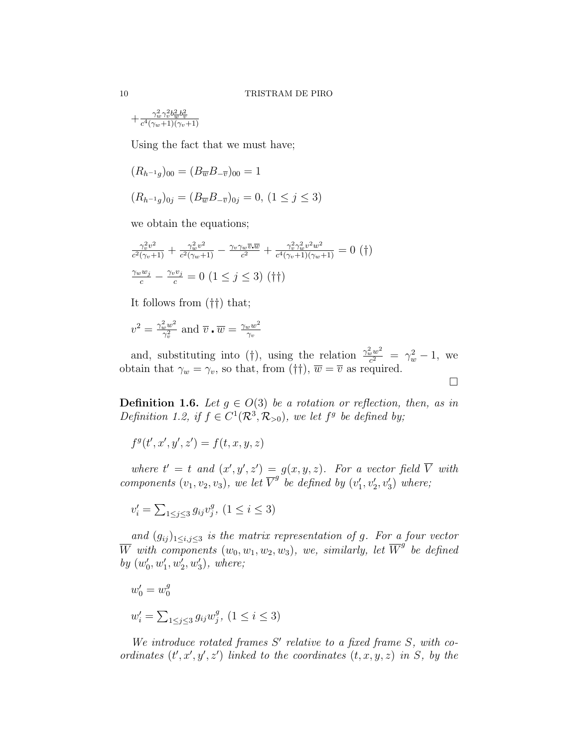$$
+\tfrac{\gamma_w^2\gamma_v^2b_{\overline{w}}^2b_{\overline{v}}^2}{c^4(\gamma_w+1)(\gamma_v+1)}
$$

Using the fact that we must have;

$$
(R_{h^{-1}g})_{00} = (B_{\overline{w}}B_{-\overline{v}})_{00} = 1
$$
  

$$
(R_{h^{-1}g})_{0j} = (B_{\overline{w}}B_{-\overline{v}})_{0j} = 0, (1 \le j \le 3)
$$

we obtain the equations;

$$
\frac{\gamma_v^2 v^2}{c^2 (\gamma_v + 1)} + \frac{\gamma_w^2 v^2}{c^2 (\gamma_w + 1)} - \frac{\gamma_v \gamma_w \overline{v} \cdot \overline{w}}{c^2} + \frac{\gamma_v^2 \gamma_w^2 v^2 w^2}{c^4 (\gamma_v + 1)(\gamma_w + 1)} = 0 \quad (†)
$$
  

$$
\frac{\gamma_w w_j}{c} - \frac{\gamma_v v_j}{c} = 0 \quad (1 \le j \le 3) \quad (†)
$$

It follows from (††) that;

$$
v^2 = \frac{\gamma_w^2 w^2}{\gamma_v^2}
$$
 and  $\overline{v} \cdot \overline{w} = \frac{\gamma_w w^2}{\gamma_v}$ 

and, substituting into (†), using the relation  $\frac{\gamma_w^2 w^2}{c^2}$  $\frac{c^{2}w^{2}}{c^{2}} = \gamma_{w}^{2} - 1$ , we obtain that  $\gamma_w = \gamma_v$ , so that, from (††),  $\overline{w} = \overline{v}$  as required.

 $\Box$ 

**Definition 1.6.** Let  $g \in O(3)$  be a rotation or reflection, then, as in Definition 1.2, if  $f \in C^1(\mathcal{R}^3, \mathcal{R}_{>0})$ , we let  $f^g$  be defined by;

$$
f^g(t',x',y',z') = f(t,x,y,z)
$$

where  $t' = t$  and  $(x', y', z') = g(x, y, z)$ . For a vector field  $\overline{V}$  with components  $(v_1, v_2, v_3)$ , we let  $\overline{V}^g$  be defined by  $(v'_1, v'_2, v'_3)$  where;

$$
v_i' = \sum_{1 \le j \le 3} g_{ij} v_j^g, \ (1 \le i \le 3)
$$

and  $(g_{ij})_{1\leq i,j\leq 3}$  is the matrix representation of g. For a four vector W with components  $(w_0, w_1, w_2, w_3)$ , we, similarly, let  $\overline{W}^g$  be defined by  $(w'_0, w'_1, w'_2, w'_3)$ , where;

$$
w'_0 = w_0^g
$$
  

$$
w'_i = \sum_{1 \le j \le 3} g_{ij} w_j^g, (1 \le i \le 3)
$$

We introduce rotated frames  $S'$  relative to a fixed frame  $S$ , with coordinates  $(t', x', y', z')$  linked to the coordinates  $(t, x, y, z)$  in S, by the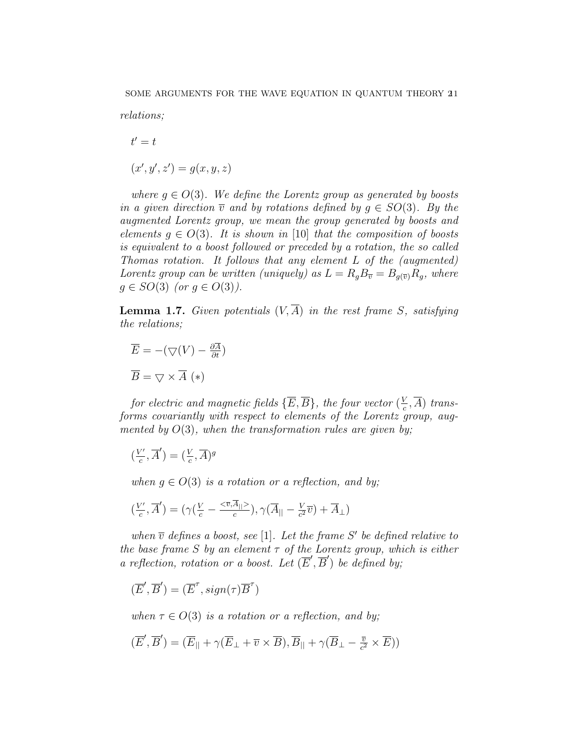relations;

$$
t' = t
$$

$$
(x', y', z') = g(x, y, z)
$$

where  $g \in O(3)$ . We define the Lorentz group as generated by boosts in a given direction  $\overline{v}$  and by rotations defined by  $g \in SO(3)$ . By the augmented Lorentz group, we mean the group generated by boosts and elements  $q \in O(3)$ . It is shown in [10] that the composition of boosts is equivalent to a boost followed or preceded by a rotation, the so called Thomas rotation. It follows that any element L of the (augmented) Lorentz group can be written (uniquely) as  $L = R_g B_{\overline{v}} = B_{g(\overline{v})} R_g$ , where  $g \in SO(3)$  (or  $g \in O(3)$ ).

**Lemma 1.7.** Given potentials  $(V, \overline{A})$  in the rest frame S, satisfying the relations;

$$
\overline{E} = -(\nabla(V) - \frac{\partial \overline{A}}{\partial t})
$$

$$
\overline{B} = \nabla \times \overline{A} (*)
$$

for electric and magnetic fields  $\{\overline{E},\overline{B}\}\,$  the four vector  $(\frac{V}{c})$  $(\frac{V}{c}, \overline{A})$  transforms covariantly with respect to elements of the Lorentz group, augmented by  $O(3)$ , when the transformation rules are given by;

$$
\left(\frac{V'}{c},\overline{A}'\right)=(\frac{V}{c},\overline{A})^g
$$

when  $q \in O(3)$  is a rotation or a reflection, and by;

$$
\left(\frac{V'}{c}, \overline{A}'\right) = \left(\gamma\left(\frac{V}{c} - \frac{<\overline{v}, \overline{A}_{||}>}{c}\right), \gamma\left(\overline{A}_{||} - \frac{V}{c^2}\overline{v}\right) + \overline{A}_{\perp}\right)
$$

when  $\overline{v}$  defines a boost, see [1]. Let the frame S' be defined relative to the base frame S by an element  $\tau$  of the Lorentz group, which is either a reflection, rotation or a boost. Let  $(\overline{E}', \overline{B}')$  be defined by;

$$
(\overline{E}', \overline{B}') = (\overline{E}'', sign(\tau)\overline{B}'')
$$

when  $\tau \in O(3)$  is a rotation or a reflection, and by;

$$
(\overline{E}', \overline{B}') = (\overline{E}_{||} + \gamma(\overline{E}_{\perp} + \overline{v} \times \overline{B}), \overline{B}_{||} + \gamma(\overline{B}_{\perp} - \frac{\overline{v}}{c^2} \times \overline{E}))
$$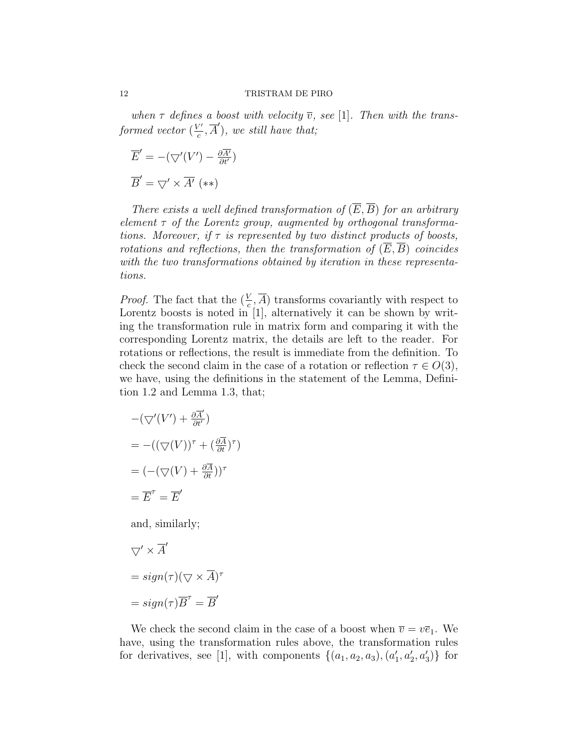when  $\tau$  defines a boost with velocity  $\overline{v}$ , see [1]. Then with the transformed vector  $(\frac{V'}{c})$  $(\overline{c}', \overline{A}'),$  we still have that;

$$
\overline{E}' = -(\nabla'(V') - \frac{\partial \overline{A'}}{\partial t'})
$$

$$
\overline{B}' = \nabla' \times \overline{A'} \quad (**)
$$

There exists a well defined transformation of  $(\overline{E}, \overline{B})$  for an arbitrary element  $\tau$  of the Lorentz group, augmented by orthogonal transformations. Moreover, if  $\tau$  is represented by two distinct products of boosts, rotations and reflections, then the transformation of  $(\overline{E}, \overline{B})$  coincides with the two transformations obtained by iteration in these representations.

*Proof.* The fact that the  $(\frac{V}{c}, \overline{A})$  transforms covariantly with respect to Lorentz boosts is noted in [1], alternatively it can be shown by writing the transformation rule in matrix form and comparing it with the corresponding Lorentz matrix, the details are left to the reader. For rotations or reflections, the result is immediate from the definition. To check the second claim in the case of a rotation or reflection  $\tau \in O(3)$ , we have, using the definitions in the statement of the Lemma, Definition 1.2 and Lemma 1.3, that;

$$
-(\nabla'(V') + \frac{\partial \overline{A}'}{\partial t'})
$$
  
= -((\nabla(V))^{\tau} + (\frac{\partial \overline{A}}{\partial t})^{\tau})  
= (-(\nabla(V) + \frac{\partial \overline{A}}{\partial t}))^{\tau}  
= \overline{E}^{\tau} = \overline{E}'

and, similarly;

$$
\nabla' \times \overline{A}'
$$
  
= sign( $\tau$ )( $\nabla \times \overline{A}$ ) <sup>$\tau$</sup>   
= sign( $\tau$ ) $\overline{B}^{\tau}$  =  $\overline{B}'$ 

We check the second claim in the case of a boost when  $\overline{v} = v\overline{e}_1$ . We have, using the transformation rules above, the transformation rules for derivatives, see [1], with components  $\{(a_1, a_2, a_3), (a'_1, a'_2, a'_3)\}\$ for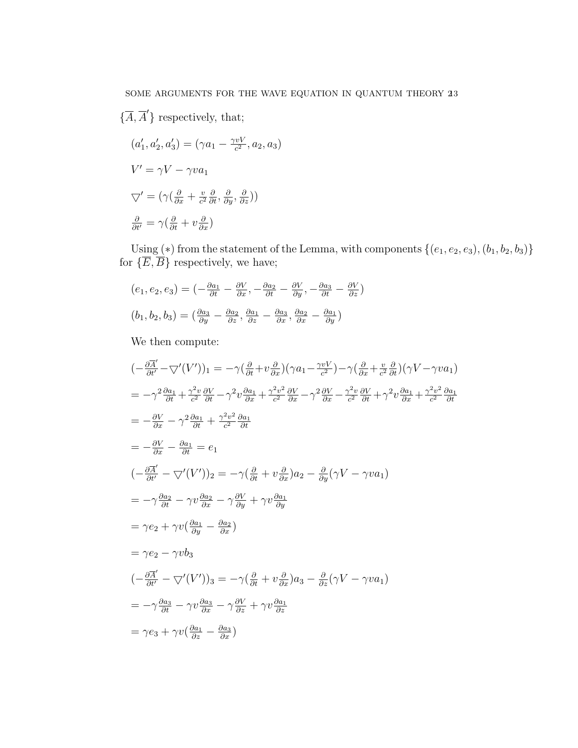$$
\{\overline{A}, \overline{A}'\} \text{ respectively, that;}
$$

$$
(a'_1, a'_2, a'_3) = (\gamma a_1 - \frac{\gamma v V}{c^2}, a_2, a_3)
$$

$$
V' = \gamma V - \gamma v a_1
$$

$$
\nabla' = (\gamma (\frac{\partial}{\partial x} + \frac{v}{c^2} \frac{\partial}{\partial t}, \frac{\partial}{\partial y}, \frac{\partial}{\partial z}))
$$

$$
\frac{\partial}{\partial t'} = \gamma (\frac{\partial}{\partial t} + v \frac{\partial}{\partial x})
$$

Using  $(*)$  from the statement of the Lemma, with components  $\{(e_1, e_2, e_3), (b_1, b_2, b_3)\}$ for  $\{\overline{E}, \overline{B}\}$  respectively, we have;

$$
(e_1, e_2, e_3) = \left(-\frac{\partial a_1}{\partial t} - \frac{\partial V}{\partial x}, -\frac{\partial a_2}{\partial t} - \frac{\partial V}{\partial y}, -\frac{\partial a_3}{\partial t} - \frac{\partial V}{\partial z}\right)
$$

$$
(b_1, b_2, b_3) = \left(\frac{\partial a_3}{\partial y} - \frac{\partial a_2}{\partial z}, \frac{\partial a_1}{\partial z} - \frac{\partial a_3}{\partial x}, \frac{\partial a_2}{\partial x} - \frac{\partial a_1}{\partial y}\right)
$$

We then compute:

$$
\begin{split}\n& \left(-\frac{\partial \overline{A}'}{\partial t'} - \nabla' (V')\right)_1 = -\gamma \left(\frac{\partial}{\partial t} + v\frac{\partial}{\partial x}\right) \left(\gamma a_1 - \frac{\gamma v V}{c^2}\right) - \gamma \left(\frac{\partial}{\partial x} + \frac{v}{c^2}\frac{\partial}{\partial t}\right) \left(\gamma V - \gamma v a_1\right) \\
&= -\gamma^2 \frac{\partial a_1}{\partial t} + \frac{\gamma^2 v}{c^2} \frac{\partial V}{\partial t} - \gamma^2 v \frac{\partial a_1}{\partial x} + \frac{\gamma^2 v^2}{c^2} \frac{\partial V}{\partial x} - \gamma^2 \frac{\partial V}{\partial x} - \frac{\gamma^2 v}{c^2} \frac{\partial V}{\partial t} + \gamma^2 v \frac{\partial a_1}{\partial x} + \frac{\gamma^2 v^2}{c^2} \frac{\partial a_1}{\partial t} \\
&= -\frac{\partial V}{\partial x} - \gamma^2 \frac{\partial a_1}{\partial t} + \frac{\gamma^2 v^2}{c^2} \frac{\partial a_1}{\partial t} \\
&= -\frac{\partial V}{\partial x} - \frac{\partial a_1}{\partial t} = e_1 \\
& \left(-\frac{\partial \overline{A}'}{\partial t'} - \nabla'(V')\right)_2 = -\gamma \left(\frac{\partial}{\partial t} + v\frac{\partial}{\partial x}\right) a_2 - \frac{\partial}{\partial y} (\gamma V - \gamma v a_1) \\
&= -\gamma \frac{\partial a_2}{\partial t} - \gamma v \frac{\partial a_2}{\partial x} - \gamma \frac{\partial V}{\partial y} + \gamma v \frac{\partial a_1}{\partial y} \\
&= \gamma e_2 + \gamma v \left(\frac{\partial a_1}{\partial y} - \frac{\partial a_2}{\partial x}\right) \\
&= \gamma e_2 - \gamma v b_3 \\
& \left(-\frac{\partial \overline{A}'}{\partial t'} - \nabla'(V')\right)_3 = -\gamma \left(\frac{\partial}{\partial t} + v\frac{\partial}{\partial x}\right) a_3 - \frac{\partial}{\partial z} (\gamma V - \gamma v a_1) \\
&= -\gamma \frac{\partial a_3}{\partial t} - \gamma v \frac{\partial a_3}{\partial x} - \gamma \frac{\partial V}{\partial z} + \gamma v \frac{\partial a_1}{\partial z} \\
&= \gamma
$$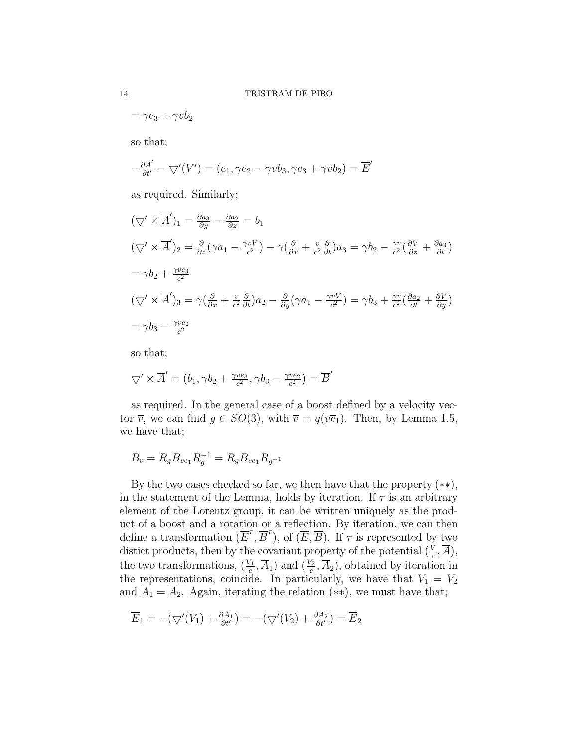$$
= \gamma e_3 + \gamma v b_2
$$

so that;

$$
-\frac{\partial \overline{A}'}{\partial t'} - \nabla'(V') = (e_1, \gamma e_2 - \gamma v b_3, \gamma e_3 + \gamma v b_2) = \overline{E}'
$$

as required. Similarly;

$$
(\nabla' \times \overline{A}')_1 = \frac{\partial a_3}{\partial y} - \frac{\partial a_2}{\partial z} = b_1
$$
  
\n
$$
(\nabla' \times \overline{A}')_2 = \frac{\partial}{\partial z} (\gamma a_1 - \frac{\gamma v V}{c^2}) - \gamma (\frac{\partial}{\partial x} + \frac{v}{c^2} \frac{\partial}{\partial t}) a_3 = \gamma b_2 - \frac{\gamma v}{c^2} (\frac{\partial V}{\partial z} + \frac{\partial a_3}{\partial t})
$$
  
\n
$$
= \gamma b_2 + \frac{\gamma v e_3}{c^2}
$$
  
\n
$$
(\nabla' \times \overline{A}')_3 = \gamma (\frac{\partial}{\partial x} + \frac{v}{c^2} \frac{\partial}{\partial t}) a_2 - \frac{\partial}{\partial y} (\gamma a_1 - \frac{\gamma v V}{c^2}) = \gamma b_3 + \frac{\gamma v}{c^2} (\frac{\partial a_2}{\partial t} + \frac{\partial V}{\partial y})
$$
  
\n
$$
= \gamma b_3 - \frac{\gamma v e_2}{c^2}
$$

so that;

$$
\nabla' \times \overline{A}' = (b_1, \gamma b_2 + \frac{\gamma v e_3}{c^2}, \gamma b_3 - \frac{\gamma v e_2}{c^2}) = \overline{B}'
$$

as required. In the general case of a boost defined by a velocity vector  $\overline{v}$ , we can find  $g \in SO(3)$ , with  $\overline{v} = g(v\overline{e}_1)$ . Then, by Lemma 1.5, we have that;

$$
B_{\overline{v}} = R_g B_{v \overline{e}_1} R_g^{-1} = R_g B_{v \overline{e}_1} R_{g^{-1}}
$$

By the two cases checked so far, we then have that the property  $(**)$ , in the statement of the Lemma, holds by iteration. If  $\tau$  is an arbitrary element of the Lorentz group, it can be written uniquely as the product of a boost and a rotation or a reflection. By iteration, we can then define a transformation  $(\overline{E}^{\tau}, \overline{B}^{\tau})$ , of  $(\overline{E}, \overline{B})$ . If  $\tau$  is represented by two distict products, then by the covariant property of the potential  $(\frac{V}{c}, \overline{A})$ , the two transformations,  $(\frac{V_1}{c}, \overline{A}_1)$  and  $(\frac{V_2}{c}, \overline{A}_2)$ , obtained by iteration in the representations, coincide. In particularly, we have that  $V_1 = V_2$ and  $\overline{A}_1 = \overline{A}_2$ . Again, iterating the relation (\*\*), we must have that;

$$
\overline{E}_1 = -(\bigtriangledown'(V_1) + \frac{\partial \overline{A}_1}{\partial t'}) = -(\bigtriangledown'(V_2) + \frac{\partial \overline{A}_2}{\partial t'}) = \overline{E}_2
$$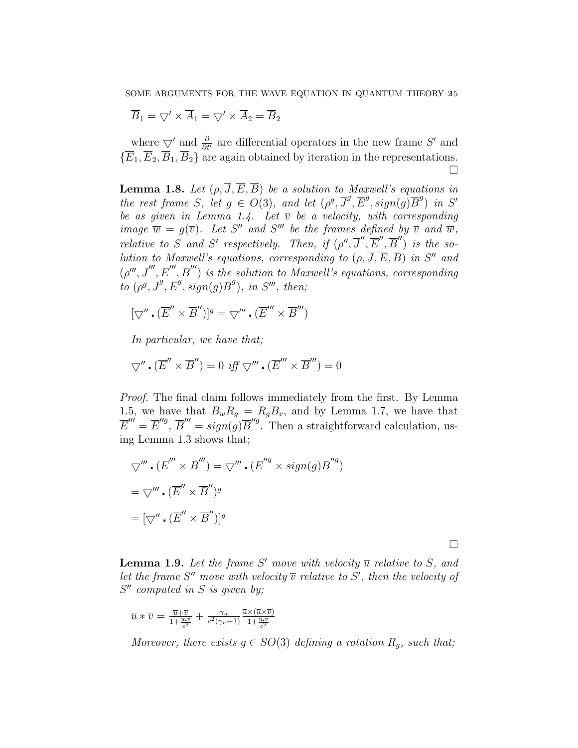$$
\overline{B}_1 = \bigtriangledown' \times \overline{A}_1 = \bigtriangledown' \times \overline{A}_2 = \overline{B}_2
$$

where  $\bigtriangledown'$  and  $\frac{\partial}{\partial t'}$  are differential operators in the new frame S' and  $\{\overline{E}_1,\overline{E}_2,\overline{B}_1,\overline{B}_2\}$  are again obtained by iteration in the representations. П

**Lemma 1.8.** Let  $(\rho, \overline{J}, \overline{E}, \overline{B})$  be a solution to Maxwell's equations in the rest frame S, let  $g \in O(3)$ , and let  $(\rho^g, \overline{J}^g, \overline{E}^g, sign(g)\overline{B}^g)$  in S' be as given in Lemma 1.4. Let  $\overline{v}$  be a velocity, with corresponding image  $\overline{w} = g(\overline{v})$ . Let S'' and S''' be the frames defined by  $\overline{v}$  and  $\overline{w}$ , relative to S and S' respectively. Then, if  $(\rho'', \overline{J}'', \overline{E}'', \overline{B}'')$  is the solution to Maxwell's equations, corresponding to  $(\rho, \overline{J}, \overline{E}, \overline{B})$  in S'' and  $(\rho''', \overline{J}'', \overline{E}''', \overline{B}''')$  is the solution to Maxwell's equations, corresponding to  $(\rho^g, \overline{J}^g, \overline{E}^g, sign(g)\overline{B}^g)$ , in S''', then;

$$
[\nabla'' \cdot (\overline{E}'' \times \overline{B}'')]^{g} = \nabla''' \cdot (\overline{E}''' \times \overline{B}''')
$$

In particular, we have that;

$$
\nabla'' \cdot (\overline{E}'' \times \overline{B}'') = 0 \text{ iff } \nabla''' \cdot (\overline{E}''' \times \overline{B}'') = 0
$$

Proof. The final claim follows immediately from the first. By Lemma 1.5, we have that  $B_wR_g = R_gB_v$ , and by Lemma 1.7, we have that  $\overline{E}''' = \overline{E}''^g$ ,  $\overline{B}''' = sign(g)\overline{B}''^g$ . Then a straightforward calculation, using Lemma 1.3 shows that;

$$
\nabla'''\cdot(\overline{E}''\times\overline{B}'') = \nabla''' \cdot (\overline{E}''^g \times sign(g)\overline{B}'^g)
$$
  
= 
$$
\nabla''' \cdot (\overline{E}' \times \overline{B}'')^g
$$
  
= 
$$
[\nabla'' \cdot (\overline{E}' \times \overline{B}'')]^g
$$

 $\Box$ 

**Lemma 1.9.** Let the frame S' move with velocity  $\overline{u}$  relative to S, and let the frame S'' move with velocity  $\overline{v}$  relative to S', then the velocity of  $S''$  computed in S is given by;

$$
\overline{u} * \overline{v} = \frac{\overline{u} + \overline{v}}{1 + \frac{\overline{u} \cdot \overline{v}}{c^2}} + \frac{\gamma_u}{c^2(\gamma_u + 1)} \frac{\overline{u} \times (\overline{u} \times \overline{v})}{1 + \frac{\overline{u} \cdot \overline{v}}{c^2}}
$$

Moreover, there exists  $g \in SO(3)$  defining a rotation  $R_g$ , such that;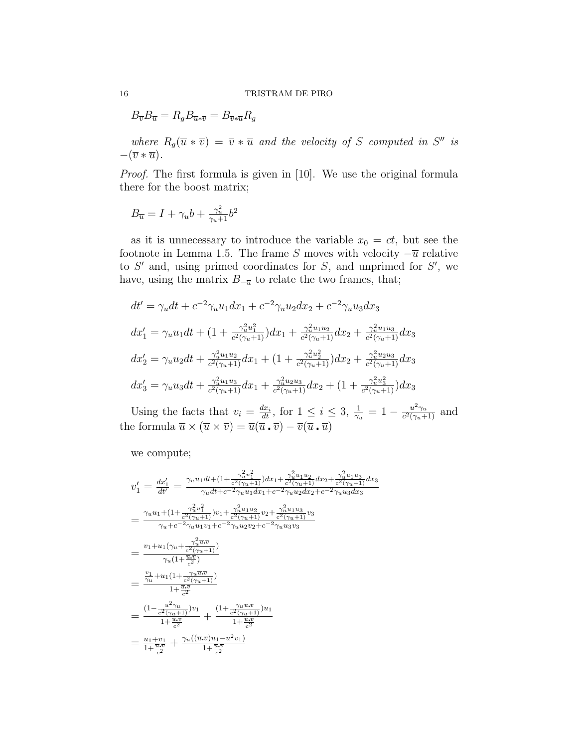$B_{\overline{v}}B_{\overline{u}} = R_q B_{\overline{u}*\overline{v}} = B_{\overline{v}*\overline{u}}R_q$ 

where  $R_g(\overline{u} * \overline{v}) = \overline{v} * \overline{u}$  and the velocity of S computed in S'' is  $-(\overline{v} * \overline{u}).$ 

Proof. The first formula is given in [10]. We use the original formula there for the boost matrix;

$$
B_{\overline{u}}=I+\gamma_{u}b+\tfrac{\gamma_{u}^{2}}{\gamma_{u}+1}b^{2}
$$

as it is unnecessary to introduce the variable  $x_0 = ct$ , but see the footnote in Lemma 1.5. The frame S moves with velocity  $-\overline{u}$  relative to  $S'$  and, using primed coordinates for  $S$ , and unprimed for  $S'$ , we have, using the matrix  $B_{-\overline{u}}$  to relate the two frames, that;

$$
dt' = \gamma_u dt + c^{-2} \gamma_u u_1 dx_1 + c^{-2} \gamma_u u_2 dx_2 + c^{-2} \gamma_u u_3 dx_3
$$
  
\n
$$
dx'_1 = \gamma_u u_1 dt + (1 + \frac{\gamma_u^2 u_1^2}{c^2(\gamma_u + 1)}) dx_1 + \frac{\gamma_u^2 u_1 u_2}{c^2(\gamma_u + 1)} dx_2 + \frac{\gamma_u^2 u_1 u_3}{c^2(\gamma_u + 1)} dx_3
$$
  
\n
$$
dx'_2 = \gamma_u u_2 dt + \frac{\gamma_u^2 u_1 u_2}{c^2(\gamma_u + 1)} dx_1 + (1 + \frac{\gamma_u^2 u_2^2}{c^2(\gamma_u + 1)}) dx_2 + \frac{\gamma_u^2 u_2 u_3}{c^2(\gamma_u + 1)} dx_3
$$
  
\n
$$
dx'_3 = \gamma_u u_3 dt + \frac{\gamma_u^2 u_1 u_3}{c^2(\gamma_u + 1)} dx_1 + \frac{\gamma_u^2 u_2 u_3}{c^2(\gamma_u + 1)} dx_2 + (1 + \frac{\gamma_u^2 u_3^2}{c^2(\gamma_u + 1)}) dx_3
$$

Using the facts that  $v_i = \frac{dx_i}{dt}$ , for  $1 \leq i \leq 3$ ,  $\frac{1}{\gamma_u} = 1 - \frac{u^2 \gamma_u}{c^2(\gamma_u + \gamma_u)}$  $\frac{u^2\gamma_u}{c^2(\gamma_u+1)}$  and the formula  $\overline{u} \times (\overline{u} \times \overline{v}) = \overline{u}(\overline{u} \cdot \overline{v}) - \overline{v}(\overline{u} \cdot \overline{u})$ 

we compute;

$$
v'_{1} = \frac{dx'_{1}}{dt'} = \frac{\gamma_{u}u_{1}dt + (1 + \frac{\gamma_{u}^{2}u_{1}^{2}}{c^{2}(\gamma_{u}+1)})dx_{1} + \frac{\gamma_{u}^{2}u_{1}u_{2}}{c^{2}(\gamma_{u}+1)}dx_{2} + \frac{\gamma_{u}^{2}u_{1}u_{3}}{c^{2}(\gamma_{u}+1)}dx_{3}}{\gamma_{u}dt + c^{-2}\gamma_{u}u_{1}dx_{1} + c^{-2}\gamma_{u}u_{2}dx_{2} + c^{-2}\gamma_{u}u_{3}dx_{3}}
$$
  
\n
$$
= \frac{\gamma_{u}u_{1} + (1 + \frac{\gamma_{u}^{2}u_{1}^{2}}{c^{2}(\gamma_{u}+1)})v_{1} + \frac{\gamma_{u}^{2}u_{1}u_{2}}{c^{2}(\gamma_{u}+1)}v_{2} + \frac{\gamma_{u}^{2}u_{1}u_{3}}{c^{2}(\gamma_{u}+1)}v_{3}}{\gamma_{u}+c^{-2}\gamma_{u}u_{1}v_{1} + c^{-2}\gamma_{u}u_{2}v_{2} + c^{-2}\gamma_{u}u_{3}v_{3}}
$$
  
\n
$$
= \frac{v_{1}+u_{1}(\gamma_{u}+\frac{\gamma_{u}^{2}\overline{u}\cdot\overline{v}}{c^{2}(\gamma_{u}+1)})}{\gamma_{u}(1+\frac{\overline{u}\cdot\overline{v}}{c^{2}})}
$$
  
\n
$$
= \frac{\frac{v_{1}}{\gamma_{u}}+u_{1}(1 + \frac{\gamma_{u}\overline{u}\cdot\overline{v}}{c^{2}})}{1+\frac{\overline{u}\cdot\overline{v}}{c^{2}}} + \frac{(1 + \frac{\gamma_{u}\overline{u}\cdot\overline{v}}{c^{2}(\gamma_{u}+1)})u_{1}}{1+\frac{\overline{u}\cdot\overline{v}}{c^{2}}}
$$
  
\n
$$
= \frac{u_{1}+v_{1}}{1+\frac{\overline{u}\cdot\overline{v}}{c^{2}}} + \frac{\gamma_{u}((\overline{u}\cdot\overline{v})u_{1}-u^{2}v_{1})}{1+\frac{\overline{u}\cdot\overline{v}}{c^{2}}}
$$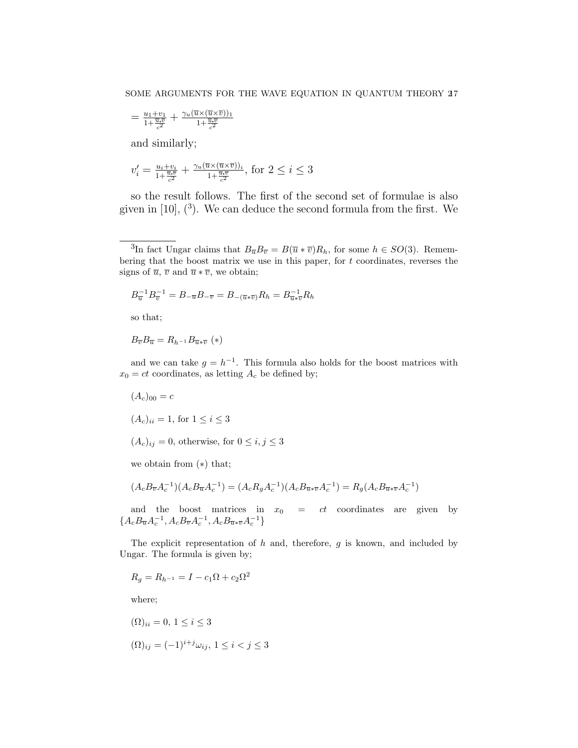$$
=\frac{u_1+v_1}{1+\frac{\overline{u}.\overline{v}}{c^2}}+\frac{\gamma_u(\overline{u}\times(\overline{u}\times\overline{v}))_1}{1+\frac{\overline{u}.\overline{v}}{c^2}}
$$

and similarly;

$$
v'_i = \frac{u_i + v_i}{1 + \frac{\overline{u} \cdot \overline{v}}{c^2}} + \frac{\gamma_u (\overline{u} \times (\overline{u} \times \overline{v}))_i}{1 + \frac{\overline{u} \cdot \overline{v}}{c^2}}, \text{ for } 2 \leq i \leq 3
$$

so the result follows. The first of the second set of formulae is also given in  $[10]$ ,  $(3)$ . We can deduce the second formula from the first. We

$$
B_{\overline{u}}^{-1}B_{\overline{v}}^{-1} = B_{-\overline{u}}B_{-\overline{v}} = B_{-(\overline{u}*\overline{v})}R_h = B_{\overline{u}*\overline{v}}^{-1}R_h
$$

so that;

$$
B_{\overline{v}}B_{\overline{u}} = R_{h^{-1}}B_{\overline{u}*\overline{v}} \ (*)
$$

and we can take  $g = h^{-1}$ . This formula also holds for the boost matrices with  $x_0 = ct$  coordinates, as letting  $A_c$  be defined by;

 $(A_c)_{00} = c$  $(A_c)_{ii} = 1$ , for  $1 \le i \le 3$  $(A_c)_{ij} = 0$ , otherwise, for  $0 \le i, j \le 3$ 

we obtain from (∗) that;

$$
(A_c B_{\overline{v}} A_c^{-1})(A_c B_{\overline{u}} A_c^{-1}) = (A_c R_g A_c^{-1})(A_c B_{\overline{u}* \overline{v}} A_c^{-1}) = R_g (A_c B_{\overline{u}* \overline{v}} A_c^{-1})
$$

and the boost matrices in  $x_0 = ct$  coordinates are given by  ${A_cB_{\overline{u}}A_c^{-1}, A_cB_{\overline{v}}A_c^{-1}, A_cB_{\overline{u}*{\overline{v}}}A_c^{-1}}$ 

The explicit representation of  $h$  and, therefore,  $g$  is known, and included by Ungar. The formula is given by;

$$
R_g = R_{h^{-1}} = I - c_1 \Omega + c_2 \Omega^2
$$

where;

$$
(\Omega)_{ii} = 0, \ 1 \le i \le 3
$$

$$
(\Omega)_{ij} = (-1)^{i+j} \omega_{ij}, \ 1 \le i < j \le 3
$$

<sup>&</sup>lt;sup>3</sup>In fact Ungar claims that  $B_{\overline{u}}B_{\overline{v}} = B(\overline{u} * \overline{v})R_h$ , for some  $h \in SO(3)$ . Remembering that the boost matrix we use in this paper, for  $t$  coordinates, reverses the signs of  $\overline{u}$ ,  $\overline{v}$  and  $\overline{u} * \overline{v}$ , we obtain;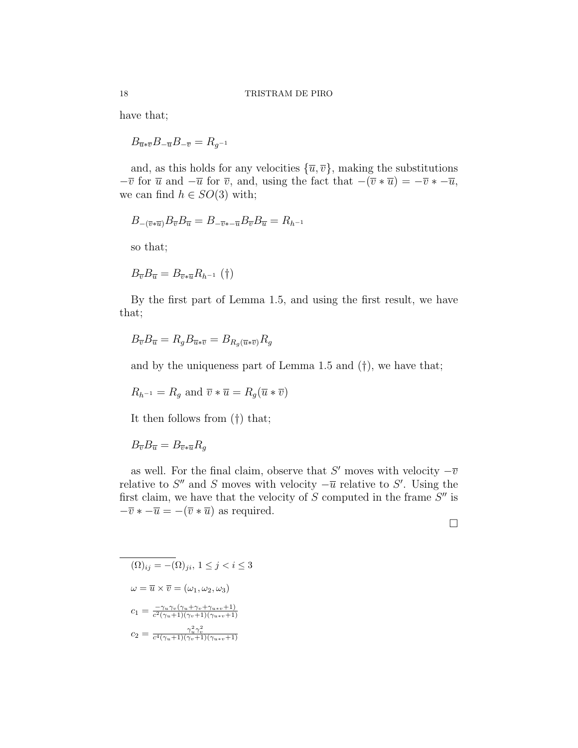have that;

 $B_{\overline{u}* \overline{v}}B_{-\overline{u}}B_{-\overline{v}}=R_{q^{-1}}$ 

and, as this holds for any velocities  $\{\overline{u}, \overline{v}\}\)$ , making the substitutions  $-\overline{v}$  for  $\overline{u}$  and  $-\overline{u}$  for  $\overline{v}$ , and, using the fact that  $-(\overline{v} * \overline{u}) = -\overline{v} * -\overline{u}$ , we can find  $h \in SO(3)$  with;

$$
B_{-(\overline{v}*\overline{u})}B_{\overline{v}}B_{\overline{u}} = B_{-\overline{v}*- \overline{u}}B_{\overline{v}}B_{\overline{u}} = R_{h^{-1}}
$$

so that;

 $B_{\overline{v}}B_{\overline{u}} = B_{\overline{v}\ast\overline{u}}R_{h^{-1}}(\dagger)$ 

By the first part of Lemma 1.5, and using the first result, we have that;

$$
B_{\overline{v}}B_{\overline{u}} = R_g B_{\overline{u} * \overline{v}} = B_{R_g(\overline{u} * \overline{v})} R_g
$$

and by the uniqueness part of Lemma 1.5 and (†), we have that;

$$
R_{h^{-1}} = R_g \text{ and } \overline{v} * \overline{u} = R_g(\overline{u} * \overline{v})
$$

It then follows from (†) that;

 $B_{\overline{v}}B_{\overline{u}} = B_{\overline{v}*\overline{u}}R_q$ 

as well. For the final claim, observe that S' moves with velocity  $-\overline{v}$ relative to  $S''$  and S moves with velocity  $-\overline{u}$  relative to S'. Using the first claim, we have that the velocity of  $S$  computed in the frame  $S''$  is  $-\overline{v} * -\overline{u} = -(\overline{v} * \overline{u})$  as required.

 $\Box$ 

$$
\overline{(\Omega)_{ij} = -(\Omega)_{ji}}, 1 \le j < i \le 3
$$
\n
$$
\omega = \overline{u} \times \overline{v} = (\omega_1, \omega_2, \omega_3)
$$
\n
$$
c_1 = \frac{-\gamma_u \gamma_v (\gamma_u + \gamma_v + \gamma_{u+v} + 1)}{c^2 (\gamma_u + 1)(\gamma_v + 1)(\gamma_{u+v} + 1)}
$$
\n
$$
c_2 = \frac{\gamma_u^2 \gamma_v^2}{c^4 (\gamma_u + 1)(\gamma_v + 1)(\gamma_{u+v} + 1)}
$$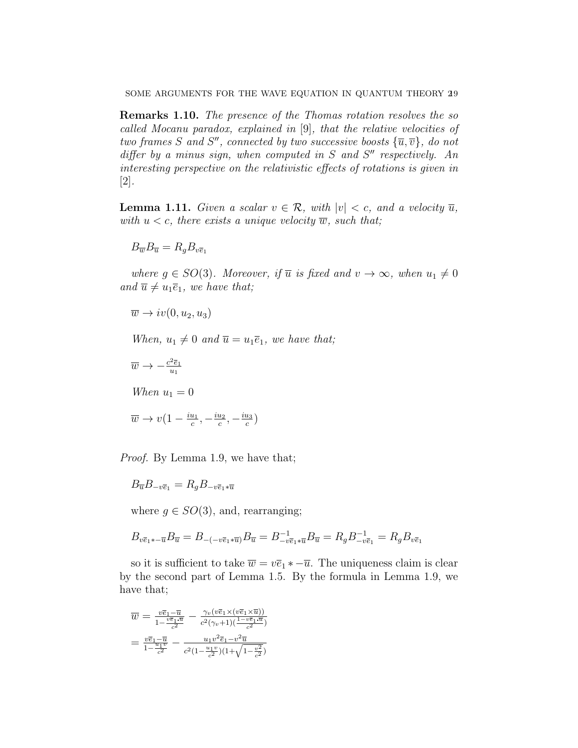SOME ARGUMENTS FOR THE WAVE EQUATION IN QUANTUM THEORY 29

Remarks 1.10. The presence of the Thomas rotation resolves the so called Mocanu paradox, explained in [9], that the relative velocities of two frames S and S'', connected by two successive boosts  ${\overline{u}, \overline{v}}$ , do not differ by a minus sign, when computed in  $S$  and  $S''$  respectively. An interesting perspective on the relativistic effects of rotations is given in [2].

**Lemma 1.11.** Given a scalar  $v \in \mathcal{R}$ , with  $|v| < c$ , and a velocity  $\overline{u}$ , with  $u < c$ , there exists a unique velocity  $\overline{w}$ , such that;

$$
B_{\overline{w}}B_{\overline{u}}=R_{g}B_{v\overline{e}_{1}}
$$

where  $g \in SO(3)$ . Moreover, if  $\overline{u}$  is fixed and  $v \to \infty$ , when  $u_1 \neq 0$ and  $\overline{u} \neq u_1 \overline{e}_1$ , we have that;

$$
\overline{w} \to iv(0, u_2, u_3)
$$

When,  $u_1 \neq 0$  and  $\overline{u} = u_1 \overline{e}_1$ , we have that;

 $\frac{u_3}{c}$ 

$$
\overline{w} \to -\frac{c^2 \overline{e}_1}{u_1}
$$
  
When  $u_1 = 0$   

$$
\overline{w} \to v\left(1 - \frac{iu_1}{c}, -\frac{iu_2}{c}, -\frac{iu_3}{c}\right)
$$

Proof. By Lemma 1.9, we have that;

$$
B_{\overline{u}}B_{-v\overline{e}_1} = R_q B_{-v\overline{e}_1*\overline{u}}
$$

where  $g \in SO(3)$ , and, rearranging;

$$
B_{v\overline{e}_1 * -\overline{u}} B_{\overline{u}} = B_{-(-v\overline{e}_1 * \overline{u})} B_{\overline{u}} = B_{-v\overline{e}_1 * \overline{u}}^{-1} B_{\overline{u}} = R_g B_{-v\overline{e}_1}^{-1} = R_g B_{v\overline{e}_1}
$$

so it is sufficient to take  $\overline{w} = v\overline{e}_1 * -\overline{u}$ . The uniqueness claim is clear by the second part of Lemma 1.5. By the formula in Lemma 1.9, we have that;

$$
\overline{w} = \frac{v\overline{e}_1 - \overline{u}}{1 - \frac{v\overline{e}_1 \cdot \overline{u}}{c^2}} - \frac{\gamma_v(v\overline{e}_1 \times (v\overline{e}_1 \times \overline{u}))}{c^2(\gamma_v + 1)(\frac{1 - v\overline{e}_1 \cdot \overline{u}}{c^2})}
$$
\n
$$
= \frac{v\overline{e}_1 - \overline{u}}{1 - \frac{u_1 v}{c^2}} - \frac{u_1 v^2 \overline{e}_1 - v^2 \overline{u}}{c^2(1 - \frac{u_1 v}{c^2})(1 + \sqrt{1 - \frac{v^2}{c^2}})}
$$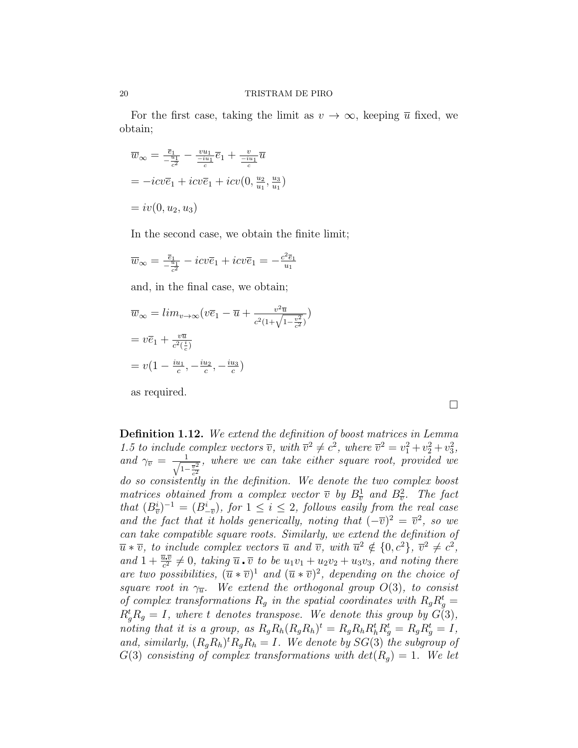For the first case, taking the limit as  $v \to \infty$ , keeping  $\overline{u}$  fixed, we obtain;

$$
\overline{w}_{\infty} = \frac{\overline{e}_1}{-\frac{u_1}{c^2}} - \frac{vu_1}{-\frac{u_1}{c}}\overline{e}_1 + \frac{v}{-\frac{u_1}{c}}\overline{u}
$$

$$
= -icv\overline{e}_1 + icv\overline{e}_1 + icv(0, \frac{u_2}{u_1}, \frac{u_3}{u_1})
$$

$$
= iv(0, u_2, u_3)
$$

In the second case, we obtain the finite limit;

$$
\overline{w}_{\infty} = \frac{\overline{e}_1}{-\frac{u_1}{c^2}} - i c v \overline{e}_1 + i c v \overline{e}_1 = -\frac{c^2 \overline{e}_1}{u_1}
$$

and, in the final case, we obtain;

$$
\overline{w}_{\infty} = \lim_{v \to \infty} (v\overline{e}_1 - \overline{u} + \frac{v^2 \overline{u}}{c^2 (1 + \sqrt{1 - \frac{v^2}{c^2}})})
$$

$$
= v\overline{e}_1 + \frac{v\overline{u}}{c^2 (\frac{i}{c})}
$$

$$
= v(1 - \frac{iu_1}{c}, -\frac{iu_2}{c}, -\frac{iu_3}{c})
$$

as required.

Definition 1.12. We extend the definition of boost matrices in Lemma 1.5 to include complex vectors  $\overline{v}$ , with  $\overline{v}^2 \neq c^2$ , where  $\overline{v}^2 = v_1^2 + v_2^2 + v_3^2$ , and  $\gamma_{\overline{v}} = \frac{1}{\sqrt{1}}$  $1-\frac{\overline{v}^2}{c^2}$ , where we can take either square root, provided we do so consistently in the definition. We denote the two complex boost matrices obtained from a complex vector  $\overline{v}$  by  $B_{\overline{v}}^1$  and  $B_{\overline{v}}^2$ . The fact that  $(B_{\overline{v}}^i)^{-1} = (B_{-\overline{v}}^i)$ , for  $1 \leq i \leq 2$ , follows easily from the real case and the fact that it holds generically, noting that  $(-\overline{v})^2 = \overline{v}^2$ , so we can take compatible square roots. Similarly, we extend the definition of  $\overline{u} * \overline{v}$ , to include complex vectors  $\overline{u}$  and  $\overline{v}$ , with  $\overline{u}^2 \notin \{0, c^2\}$ ,  $\overline{v}^2 \neq c^2$ , and  $1 + \frac{\overline{u} \cdot \overline{v}}{c^2} \neq 0$ , taking  $\overline{u} \cdot \overline{v}$  to be  $u_1v_1 + u_2v_2 + u_3v_3$ , and noting there are two possibilities,  $(\overline{u} * \overline{v})^1$  and  $(\overline{u} * \overline{v})^2$ , depending on the choice of square root in  $\gamma_{\overline{u}}$ . We extend the orthogonal group  $O(3)$ , to consist of complex transformations  $R_g$  in the spatial coordinates with  $R_g R_g^t =$  $R_g^t R_g = I$ , where t denotes transpose. We denote this group by  $G(3)$ , noting that it is a group, as  $R_g R_h (R_g R_h)^t = R_g R_h R_h^t R_g^t = R_g R_g^t = I$ , and, similarly,  $(R_g R_h)^t R_g R_h = I$ . We denote by  $SG(3)$  the subgroup of  $G(3)$  consisting of complex transformations with  $det(R_q) = 1$ . We let

 $\Box$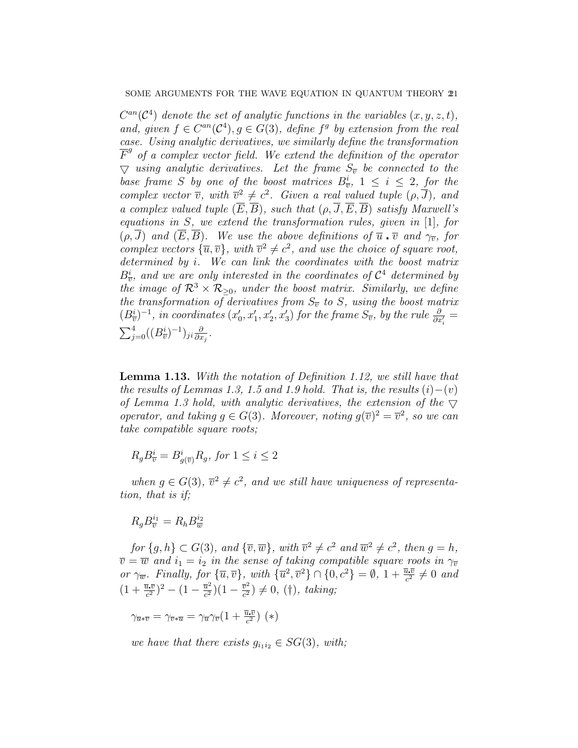$C^{an}(\mathcal{C}^4)$  denote the set of analytic functions in the variables  $(x, y, z, t)$ , and, given  $f \in C^{an}(\mathcal{C}^4)$ ,  $g \in G(3)$ , define  $f^g$  by extension from the real case. Using analytic derivatives, we similarly define the transformation  $\overline{F}^g$  of a complex vector field. We extend the definition of the operator  $\bigtriangledown$  using analytic derivatives. Let the frame  $S_{\overline{v}}$  be connected to the base frame S by one of the boost matrices  $B_{\overline{v}}^i$ ,  $1 \leq i \leq 2$ , for the complex vector  $\overline{v}$ , with  $\overline{v}^2 \neq c^2$ . Given a real valued tuple  $(\rho, \overline{J})$ , and a complex valued tuple  $(\overline{E}, \overline{B})$ , such that  $(\rho, \overline{J}, \overline{E}, \overline{B})$  satisfy Maxwell's equations in S, we extend the transformation rules, given in [1], for  $(\rho, \overline{J})$  and  $(\overline{E}, \overline{B})$ . We use the above definitions of  $\overline{u}$   $\overline{v}$  and  $\gamma_{\overline{v}}$ , for complex vectors  $\{\overline{u}, \overline{v}\}$ , with  $\overline{v}^2 \neq c^2$ , and use the choice of square root, determined by i. We can link the coordinates with the boost matrix  $B_{\overline{v}}^{i}$ , and we are only interested in the coordinates of  $\mathcal{C}^{4}$  determined by the image of  $\mathcal{R}^3 \times \mathcal{R}_{\geq 0}$ , under the boost matrix. Similarly, we define the transformation of derivatives from  $S_{\overline{v}}$  to S, using the boost matrix  $(B_{\overline{v}}^i)^{-1}$ , in coordinates  $(x'_0, x'_1, x'_2, x'_3)$  for the frame  $S_{\overline{v}}$ , by the rule  $\frac{\partial}{\partial x'_i}$  =  $\sum_{j=0}^4 ((B_{\overline{v}}^i)^{-1})_{ji} \frac{\partial}{\partial x}$  $\frac{\partial}{\partial x_j}$  .

Lemma 1.13. With the notation of Definition 1.12, we still have that the results of Lemmas 1.3, 1.5 and 1.9 hold. That is, the results  $(i)–(v)$ of Lemma 1.3 hold, with analytic derivatives, the extension of the  $\nabla$ operator, and taking  $g \in G(3)$ . Moreover, noting  $g(\overline{v})^2 = \overline{v}^2$ , so we can take compatible square roots;

$$
R_g B_{\overline{v}}^i = B_{g(\overline{v})}^i R_g
$$
, for  $1 \le i \le 2$ 

when  $g \in G(3)$ ,  $\overline{v}^2 \neq c^2$ , and we still have uniqueness of representation, that is if;

$$
R_g B_{\overline{v}}^{i_1} = R_h B_{\overline{w}}^{i_2}
$$

for  $\{g, h\} \subset G(3)$ , and  $\{\overline{v}, \overline{w}\}\,$ , with  $\overline{v}^2 \neq c^2$  and  $\overline{w}^2 \neq c^2$ , then  $g = h$ ,  $\overline{v} = \overline{w}$  and  $i_1 = i_2$  in the sense of taking compatible square roots in  $\gamma_{\overline{v}}$ or  $\gamma_{\overline{w}}$ . Finally, for  ${\overline{u}, \overline{v}}$ , with  ${\overline{u^2}, \overline{v^2} }$   $\cap$   ${0, c^2} = \emptyset$ ,  $1 + \frac{\overline{u} \cdot \overline{v}}{c^2} \neq 0$  and  $(1 + \frac{\overline{u}.\overline{v}}{c^2})^2 - (1 - \frac{\overline{u}^2}{c^2})$  $\frac{\bar{u}^2}{c^2}$ ) $(1 - \frac{\bar{v}^2}{c^2})$  $\frac{\overline{v}^2}{c^2}$   $\neq$  0, (†), taking;

 $\gamma_{\overline{u}*\overline{v}} = \gamma_{\overline{v}*\overline{u}} = \gamma_{\overline{u}}\gamma_{\overline{v}}(1 + \frac{\overline{u}.\overline{v}}{c^2})$  (\*)

we have that there exists  $g_{i_1 i_2} \in SG(3)$ , with;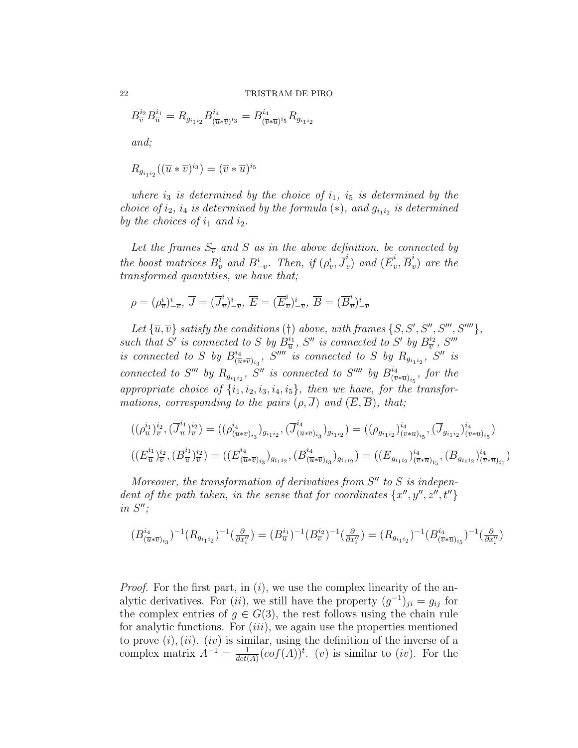$B_{\overline{v}}^{i_2}B_{\overline{u}}^{i_1}=R_{g_{i_1i_2}}B_{(\overline{u})}^{i_4}$  $\frac{i_4}{(\overline{u}*\overline{v})^{i_3}}=B_{(\overline{v})}^{i_4}$  $\frac{i_4}{(\overline{v}*\overline{u})^{i_5}}R_{g_{i_1i_2}}$ and;

$$
R_{g_{i_1i_2}}((\overline{u}*\overline{v})^{i_3})=(\overline{v}*\overline{u})^{i_5}
$$

where  $i_3$  is determined by the choice of  $i_1$ ,  $i_5$  is determined by the choice of  $i_2$ ,  $i_4$  is determined by the formula  $(*)$ , and  $g_{i_1i_2}$  is determined by the choices of  $i_1$  and  $i_2$ .

Let the frames  $S_{\overline{v}}$  and S as in the above definition, be connected by the boost matrices  $B_{\overline{v}}^i$  and  $B_{-\overline{v}}^i$ . Then, if  $(\rho_{\overline{v}}^i, \overline{J}_{\overline{i}}^i)$  $\frac{i}{v}$ ) and  $(\overline{E}_{\overline{i}}^{i})$  $\frac{i}{v}, \overline{B}^i_{\overline{\imath}}$  $\frac{v}{v}$  are the transformed quantities, we have that;

$$
\rho = (\rho_{\overline{v}}^i)^i_{-\overline{v}}, \ \overline{J} = (\overline{J}_{\overline{v}}^i)^i_{-\overline{v}}, \ \overline{E} = (\overline{E}_{\overline{v}}^i)^i_{-\overline{v}}, \ \overline{B} = (\overline{B}_{\overline{v}}^i)^i_{-\overline{v}}
$$

Let  $\{\overline{u}, \overline{v}\}$  satisfy the conditions (†) above, with frames  $\{S, S', S'', S''', S''''\},$ such that S' is connected to S by  $B_{\overline{u}}^{i_1}$ , S'' is connected to S' by  $B_{\overline{v}}^{i_2}$ , S''' is connected to S by  $B_{\overline{u}}^{i_4}$  $\frac{i_4}{(\overline{u}*\overline{v})_{i_3}}$ ,  $S''''$  is connected to S by  $R_{g_{i_1i_2}}$ ,  $S''$  is connected to S''' by  $R_{g_{i_1 i_2}}$ , S'' is connected to S'''' by  $B_{(\overline{v})}^{i_4}$  $\frac{\partial^4 u}{\partial (v*\overline{u})_{i_5}},$  for the appropriate choice of  $\{i_1, i_2, i_3, i_4, i_5\}$ , then we have, for the transformations, corresponding to the pairs  $(\rho, \overline{J})$  and  $(\overline{E}, \overline{B})$ , that;

$$
((\rho_{\overline{u}}^{i_1})_{\overline{v}}^{i_2}, (\overline{J}_{\overline{u}}^{i_1})_{\overline{v}}^{i_2}) = ((\rho_{(\overline{u}*\overline{v})_{i_3}}^{i_4})_{g_{i_1i_2}}, (\overline{J}_{(\overline{u}*\overline{v})_{i_3}}^{i_4})_{g_{i_1i_2}}) = ((\rho_{g_{i_1i_2}})_{(\overline{v}*\overline{u})_{i_5}}^{i_4}, (\overline{J}_{g_{i_1i_2}})_{(\overline{v}*\overline{u})_{i_5}}^{i_4})
$$

$$
((\overline{E}_{\overline{u}}^{i_1})_{\overline{v}}^{i_2}, (\overline{B}_{\overline{u}}^{i_1})_{\overline{v}}^{i_2}) = ((\overline{E}_{(\overline{u}*\overline{v})_{i_3}})_{g_{i_1i_2}}, (\overline{B}_{(\overline{u}*\overline{v})_{i_3}}^{i_4})_{g_{i_1i_2}}) = ((\overline{E}_{g_{i_1i_2}})_{(\overline{v}*\overline{u})_{i_5}}^{i_4}, (\overline{B}_{g_{i_1i_2}})_{(\overline{v}*\overline{u})_{i_5}}^{i_4})
$$

Moreover, the transformation of derivatives from  $S''$  to  $S$  is independent of the path taken, in the sense that for coordinates  $\{x'', y'', z'', t''\}$ in  $S''$ ;

$$
(B^{i_4}_{(\overline{u}*\overline{v})_{i_3}})^{-1}(R_{g_{i_1i_2}})^{-1}(\tfrac{\partial}{\partial x_i''}) = (B^{i_1}_{\overline{u}})^{-1}(B^{i_2}_{\overline{v}})^{-1}(\tfrac{\partial}{\partial x_i''}) = (R_{g_{i_1i_2}})^{-1}(B^{i_4}_{(\overline{v}*\overline{u})_{i_5}})^{-1}(\tfrac{\partial}{\partial x_i''})
$$

*Proof.* For the first part, in  $(i)$ , we use the complex linearity of the analytic derivatives. For  $(ii)$ , we still have the property  $(g^{-1})_{ji} = g_{ij}$  for the complex entries of  $g \in G(3)$ , the rest follows using the chain rule for analytic functions. For  $(iii)$ , we again use the properties mentioned to prove  $(i)$ ,  $(ii)$ .  $(iv)$  is similar, using the definition of the inverse of a complex matrix  $A^{-1} = \frac{1}{det}$  $\frac{1}{det(A)} (cof(A))^t$ . (v) is similar to (iv). For the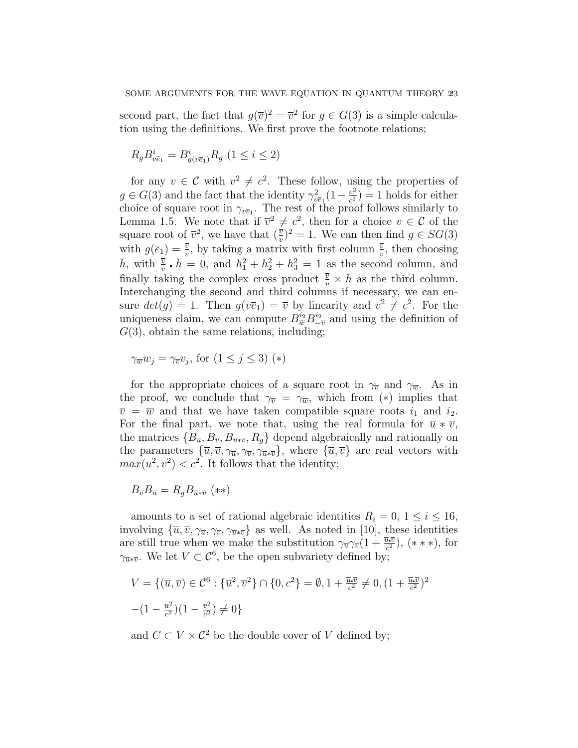second part, the fact that  $g(\overline{v})^2 = \overline{v}^2$  for  $g \in G(3)$  is a simple calculation using the definitions. We first prove the footnote relations;

$$
R_{g}B_{v\overline{e}_{1}}^{i}=B_{g(v\overline{e}_{1})}^{i}R_{g}\ (1\leq i\leq 2)
$$

for any  $v \in \mathcal{C}$  with  $v^2 \neq c^2$ . These follow, using the properties of  $g \in G(3)$  and the fact that the identity  $\gamma_{v\bar{e}_1}^2(1-\frac{v^2}{c^2})$  $(\frac{v^2}{c^2}) = 1$  holds for either choice of square root in  $\gamma_{v\bar{e}_1}$ . The rest of the proof follows similarly to Lemma 1.5. We note that if  $\overline{v}^2 \neq c^2$ , then for a choice  $v \in \mathcal{C}$  of the square root of  $\overline{v}^2$ , we have that  $(\frac{\overline{v}}{v})^2 = 1$ . We can then find  $g \in SG(3)$ with  $g(\bar{e}_1) = \frac{\bar{v}}{v}$ , by taking a matrix with first column  $\frac{\bar{v}}{v}$ , then choosing  $\overline{h}$ , with  $\frac{\overline{v}}{v} \cdot \overline{h} = 0$ , and  $h_1^2 + h_2^2 + h_3^2 = 1$  as the second column, and finally taking the complex cross product  $\frac{\overline{v}}{v} \times \overline{h}$  as the third column. Interchanging the second and third columns if necessary, we can ensure  $det(g) = 1$ . Then  $g(v\overline{e}_1) = \overline{v}$  by linearity and  $v^2 \neq c^2$ . For the uniqueness claim, we can compute  $B_{\overline{w}}^{i_2} B_{-\overline{v}}^{i_2}$  and using the definition of  $G(3)$ , obtain the same relations, including;

$$
\gamma_{\overline{w}} w_j = \gamma_{\overline{v}} v_j, \text{ for } (1 \le j \le 3) (*)
$$

for the appropriate choices of a square root in  $\gamma_{\overline{v}}$  and  $\gamma_{\overline{w}}$ . As in the proof, we conclude that  $\gamma_{\overline{v}} = \gamma_{\overline{w}}$ , which from (\*) implies that  $\overline{v} = \overline{w}$  and that we have taken compatible square roots  $i_1$  and  $i_2$ . For the final part, we note that, using the real formula for  $\bar{u} * \bar{v}$ , the matrices  ${B_{\overline{u}}, B_{\overline{v}}, B_{\overline{u}*\overline{v}}, R_q}$  depend algebraically and rationally on the parameters  $\{\overline{u}, \overline{v}, \gamma_{\overline{u}}, \gamma_{\overline{v}}, \gamma_{\overline{u}*\overline{v}}\}$ , where  $\{\overline{u}, \overline{v}\}$  are real vectors with  $max(\overline{u}^2, \overline{v}^2) < c^2$ . It follows that the identity;

$$
B_{\overline{v}}B_{\overline{u}} = R_g B_{\overline{u}*\overline{v}} \; (**)
$$

amounts to a set of rational algebraic identities  $R_i = 0, 1 \leq i \leq 16$ , involving  ${\overline{u}, \overline{v}, \gamma_{\overline{u}}, \gamma_{\overline{v}}, \gamma_{\overline{u}*\overline{v}}}$  as well. As noted in [10], these identities are still true when we make the substitution  $\gamma_{\overline{u}} \gamma_{\overline{v}} (1 + \frac{\overline{u} \cdot \overline{v}}{c^2})$ , (\*\*\*), for  $\gamma_{\overline{u}*\overline{v}}$ . We let  $V \subset \mathcal{C}^6$ , be the open subvariety defined by;

$$
V = \{ (\overline{u}, \overline{v}) \in \mathcal{C}^6 : \{ \overline{u}^2, \overline{v}^2 \} \cap \{ 0, c^2 \} = \emptyset, 1 + \frac{\overline{u} \cdot \overline{v}}{c^2} \neq 0, (1 + \frac{\overline{u} \cdot \overline{v}}{c^2})^2
$$

$$
-(1 - \frac{\overline{u}^2}{c^2})(1 - \frac{\overline{v}^2}{c^2}) \neq 0 \}
$$

and  $C \subset V \times \mathcal{C}^2$  be the double cover of V defined by: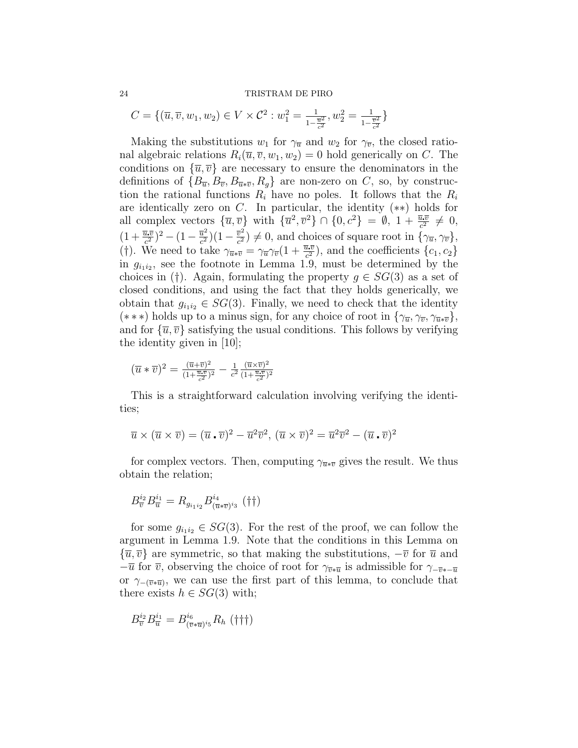24 TRISTRAM DE PIRO

$$
C = \{(\overline{u}, \overline{v}, w_1, w_2) \in V \times \mathcal{C}^2 : w_1^2 = \frac{1}{1 - \frac{\overline{u}^2}{c^2}}, w_2^2 = \frac{1}{1 - \frac{\overline{v}^2}{c^2}}\}
$$

Making the substitutions  $w_1$  for  $\gamma_{\overline{u}}$  and  $w_2$  for  $\gamma_{\overline{v}}$ , the closed rational algebraic relations  $R_i(\overline{u}, \overline{v}, w_1, w_2) = 0$  hold generically on C. The conditions on  $\{\overline{u}, \overline{v}\}$  are necessary to ensure the denominators in the definitions of  ${B_{\overline{u}}, B_{\overline{v}}, B_{\overline{u}*\overline{v}}, R_q}$  are non-zero on C, so, by construction the rational functions  $R_i$  have no poles. It follows that the  $R_i$ are identically zero on  $C$ . In particular, the identity  $(**)$  holds for all complex vectors  $\{\overline{u}, \overline{v}\}\$  with  $\{\overline{u}^2, \overline{v}^2\} \cap \{0, c^2\} = \emptyset$ ,  $1 + \frac{\overline{u} \cdot \overline{v}}{c^2} \neq 0$ ,  $(1+\frac{\overline{u}.\overline{v}}{c^2})^2-(1-\frac{\overline{u}^2}{c^2}$  $\frac{\overline{u}^2}{c^2}$ ) $(1-\frac{\overline{v}^2}{c^2})$  $(\frac{\overline{v}^2}{c^2}) \neq 0$ , and choices of square root in  $\{\gamma_{\overline{u}}, \gamma_{\overline{v}}\},\$ (†). We need to take  $\gamma_{\overline{u}*\overline{v}} = \gamma_{\overline{u}}\gamma_{\overline{v}}(1 + \frac{\overline{u}\cdot\overline{v}}{c^2})$ , and the coefficients  $\{c_1, c_2\}$ in  $g_{i_1 i_2}$ , see the footnote in Lemma 1.9, must be determined by the choices in (†). Again, formulating the property  $g \in SG(3)$  as a set of closed conditions, and using the fact that they holds generically, we obtain that  $g_{i_1i_2} \in SG(3)$ . Finally, we need to check that the identity (\*\*\*) holds up to a minus sign, for any choice of root in  $\{\gamma_{\overline{u}}, \gamma_{\overline{v}}, \gamma_{\overline{u}*\overline{v}}\}$ , and for  $\{\overline{u}, \overline{v}\}$  satisfying the usual conditions. This follows by verifying the identity given in [10];

$$
(\overline{u} * \overline{v})^2 = \frac{(\overline{u} + \overline{v})^2}{(1 + \frac{\overline{u} \cdot \overline{v}}{c^2})^2} - \frac{1}{c^2} \frac{(\overline{u} \times \overline{v})^2}{(1 + \frac{\overline{u} \cdot \overline{v}}{c^2})^2}
$$

This is a straightforward calculation involving verifying the identities;

$$
\overline{u} \times (\overline{u} \times \overline{v}) = (\overline{u} \cdot \overline{v})^2 - \overline{u}^2 \overline{v}^2, (\overline{u} \times \overline{v})^2 = \overline{u}^2 \overline{v}^2 - (\overline{u} \cdot \overline{v})^2
$$

for complex vectors. Then, computing  $\gamma_{\overline{u}*\overline{v}}$  gives the result. We thus obtain the relation;

$$
B_{\overline{v}}^{i_2} B_{\overline{u}}^{i_1} = R_{g_{i_1 i_2}} B_{(\overline{u} * \overline{v})^{i_3}}^{i_4} (\dagger \dagger)
$$

for some  $g_{i_1i_2} \in SG(3)$ . For the rest of the proof, we can follow the argument in Lemma 1.9. Note that the conditions in this Lemma on  $\{\overline{u}, \overline{v}\}\$ are symmetric, so that making the substitutions,  $-\overline{v}$  for  $\overline{u}$  and  $-\overline{u}$  for  $\overline{v}$ , observing the choice of root for  $\gamma_{\overline{v}*\overline{u}}$  is admissible for  $\gamma_{-\overline{v}*\overline{u}}$ or  $\gamma_{-(\bar{v}*\bar{u})}$ , we can use the first part of this lemma, to conclude that there exists  $h \in SG(3)$  with;

$$
B_{\overline{v}}^{i_2} B_{\overline{u}}^{i_1} = B_{(\overline{v} * \overline{u})^{i_5}}^{i_6} R_h \; (\dagger \dagger \dagger)
$$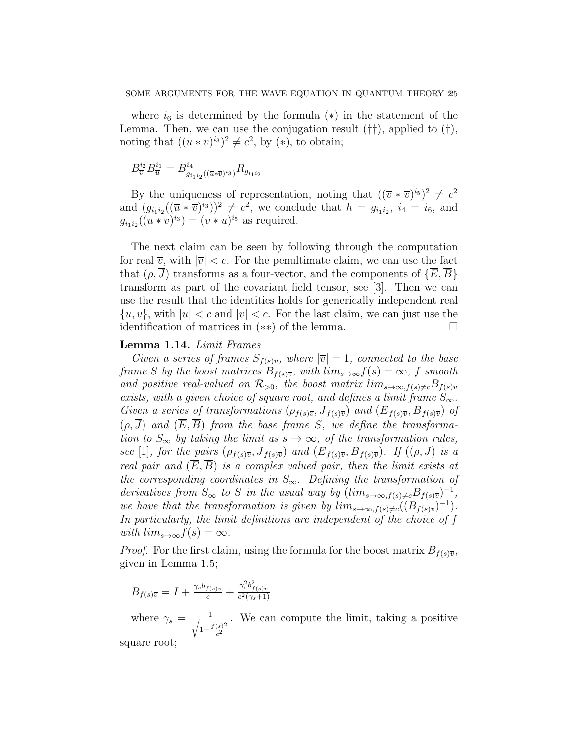where  $i<sub>6</sub>$  is determined by the formula (\*) in the statement of the Lemma. Then, we can use the conjugation result (††), applied to (†), noting that  $((\overline{u} * \overline{v})^{i_3})^2 \neq c^2$ , by  $(*)$ , to obtain;

$$
B_{\overline{v}}^{i_2} B_{\overline{u}}^{i_1} = B_{g_{i_1 i_2}((\overline{u} * \overline{v})^{i_3})}^{i_4} R_{g_{i_1 i_2}}
$$

By the uniqueness of representation, noting that  $((\overline{v} * \overline{v})^{i_5})^2 \neq c^2$ and  $(g_{i_1 i_2}((\overline{u} * \overline{v})^{i_3}))^2 \neq c^2$ , we conclude that  $h = g_{i_1 i_2}, i_4 = i_6$ , and  $g_{i_1 i_2}((\overline{u} * \overline{v})^{i_3}) = (\overline{v} * \overline{u})^{i_5}$  as required.

The next claim can be seen by following through the computation for real  $\overline{v}$ , with  $|\overline{v}| < c$ . For the penultimate claim, we can use the fact that  $(\rho, \overline{J})$  transforms as a four-vector, and the components of  $\{\overline{E}, \overline{B}\}$ transform as part of the covariant field tensor, see [3]. Then we can use the result that the identities holds for generically independent real  ${\overline{u}, \overline{v}}$ , with  $|\overline{u}| < c$  and  $|\overline{v}| < c$ . For the last claim, we can just use the identification of matrices in (∗∗) of the lemma.

## Lemma 1.14. Limit Frames

Given a series of frames  $S_{f(s)\overline{v}}$ , where  $|\overline{v}| = 1$ , connected to the base frame S by the boost matrices  $B_{f(s)\overline{v}}$ , with  $\lim_{s\to\infty}f(s)=\infty$ , f smooth and positive real-valued on  $\mathcal{R}_{>0}$ , the boost matrix  $\lim_{s\to\infty, f(s)\neq c} B_{f(s)\overline{v}}$ exists, with a given choice of square root, and defines a limit frame  $S_{\infty}$ . Given a series of transformations  $(\rho_{f(s)\overline{v}}, \overline{J}_{f(s)\overline{v}})$  and  $(\overline{E}_{f(s)\overline{v}}, \overline{B}_{f(s)\overline{v}})$  of  $(\rho, \overline{J})$  and  $(\overline{E}, \overline{B})$  from the base frame S, we define the transformation to  $S_{\infty}$  by taking the limit as  $s \to \infty$ , of the transformation rules, see [1], for the pairs  $(\rho_{f(s)\overline{v}}, \overline{J}_{f(s)\overline{v}})$  and  $(\overline{E}_{f(s)\overline{v}}, \overline{B}_{f(s)\overline{v}})$ . If  $((\rho, \overline{J})$  is a real pair and  $(\overline{E}, \overline{B})$  is a complex valued pair, then the limit exists at the corresponding coordinates in  $S_{\infty}$ . Defining the transformation of derivatives from  $S_{\infty}$  to S in the usual way by  $(lim_{s\rightarrow\infty,f(s)\neq c}B_{f(s)\overline{v}})^{-1}$ , we have that the transformation is given by  $\lim_{s\to\infty, f(s)\neq c}((B_{f(s)\overline{v}})^{-1}).$ In particularly, the limit definitions are independent of the choice of f with  $lim_{s\to\infty}f(s)=\infty$ .

*Proof.* For the first claim, using the formula for the boost matrix  $B_{f(s)\overline{v}}$ , given in Lemma 1.5;

$$
B_{f(s)\overline{v}} = I + \frac{\gamma_s b_{f(s)\overline{v}}}{c} + \frac{\gamma_s^2 b_{f(s)\overline{v}}^2}{c^2(\gamma_s+1)}
$$

where  $\gamma_s = \frac{1}{\sqrt{1-\frac{3}{2}}}$  $1-\frac{f(s)^2}{2}$  $\overline{c^2}$ . We can compute the limit, taking a positive

square root;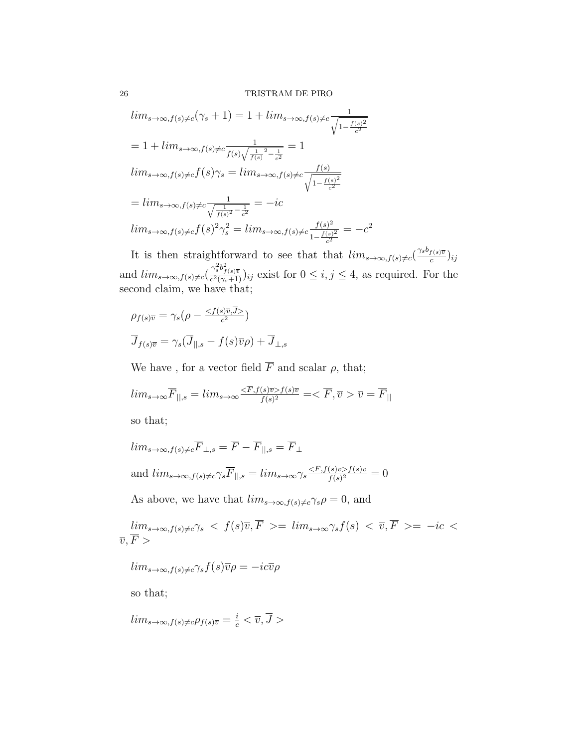$$
lim_{s \to \infty, f(s) \neq c} (\gamma_s + 1) = 1 + lim_{s \to \infty, f(s) \neq c} \frac{1}{\sqrt{1 - \frac{f(s)^2}{c^2}}}
$$
  
= 1 + lim\_{s \to \infty, f(s) \neq c} \frac{1}{f(s)\sqrt{\frac{1}{f(s)}^2 - \frac{1}{c^2}}} = 1  

$$
lim_{s \to \infty, f(s) \neq c} f(s)\gamma_s = lim_{s \to \infty, f(s) \neq c} \frac{f(s)}{\sqrt{1 - \frac{f(s)^2}{c^2}}}
$$
  
= 
$$
lim_{s \to \infty, f(s) \neq c} \frac{1}{\sqrt{\frac{1}{f(s)^2} - \frac{1}{c^2}}} = -ic
$$
  

$$
lim_{s \to \infty, f(s) \neq c} f(s)^2 \gamma_s^2 = lim_{s \to \infty, f(s) \neq c} \frac{f(s)^2}{1 - \frac{f(s)^2}{c^2}} = -c^2
$$

It is then straightforward to see that that  $\lim_{s\to\infty, f(s)\neq c} \left(\frac{\gamma_s b_{f(s)\overline{v}}}{c}\right)$  $\frac{f(s)\overline{v}}{c}$ ) $ij$ and  $\lim_{s\to\infty, f(s)\neq c}(\frac{\gamma_s^2 b_{f(s)\overline{v}}^2}{c^2(\gamma_s+1)})_{ij}$  exist for  $0\leq i,j\leq 4$ , as required. For the second claim, we have that;

$$
\rho_{f(s)\overline{v}} = \gamma_s (\rho - \frac{}{c^2})
$$

$$
\overline{J}_{f(s)\overline{v}} = \gamma_s (\overline{J}_{\parallel, s} - f(s)\overline{v}\rho) + \overline{J}_{\perp, s}
$$

We have , for a vector field  $\overline{F}$  and scalar  $\rho$ , that;

$$
lim_{s \to \infty} \overline{F}_{||,s} = lim_{s \to \infty} \frac{\langle \overline{F}, f(s)\overline{v} \rangle f(s)\overline{v}}{f(s)^2} = \langle \overline{F}, \overline{v} \rangle \overline{v} = \overline{F}_{||}
$$

so that;

$$
lim_{s \to \infty, f(s) \neq c} \overline{F}_{\perp, s} = \overline{F} - \overline{F}_{\parallel, s} = \overline{F}_{\perp}
$$
  
and  $lim_{s \to \infty, f(s) \neq c} \gamma_s \overline{F}_{\parallel, s} = lim_{s \to \infty} \gamma_s \frac{\langle \overline{F}, f(s) \overline{v} \rangle f(s) \overline{v}}{f(s)^2} = 0$ 

As above, we have that  $\lim_{s\to\infty, f(s)\neq c} \gamma_s \rho = 0$ , and

 $lim_{s\to\infty,f(s)\neq c}\gamma_s \ <\ f(s)\overline{v},\overline{F} \ > = \ lim_{s\to\infty}\gamma_s f(s) \ < \ \overline{v},\overline{F} \ > = \ -ic \ <$  $\overline{v}, F >$ 

 $lim_{s\to\infty, f(s)\neq c}\gamma_s f(s)\overline{v}\rho = -ic\overline{v}\rho$ 

so that;

$$
lim_{s\to\infty, f(s)\neq c}\rho_{f(s)\overline{v}}=\frac{i}{c}<\overline{v}, \overline{J}>
$$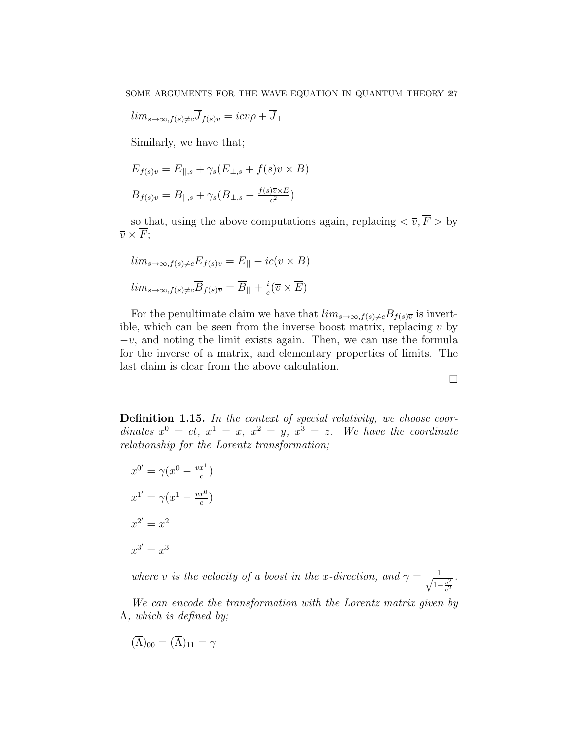$$
lim_{s\to\infty, f(s)\neq c}\overline{J}_{f(s)\overline{v}}=ic\overline{v}\rho+\overline{J}_{\perp}
$$

Similarly, we have that;

$$
\overline{E}_{f(s)\overline{v}} = \overline{E}_{||,s} + \gamma_s (\overline{E}_{\perp,s} + f(s)\overline{v} \times \overline{B})
$$

$$
\overline{B}_{f(s)\overline{v}} = \overline{B}_{||,s} + \gamma_s (\overline{B}_{\perp,s} - \frac{f(s)\overline{v} \times \overline{E}}{c^2})
$$

so that, using the above computations again, replacing  $\langle \overline{v}, \overline{F} \rangle$  by  $\overline{v} \times \overline{F}$ ;

$$
lim_{s \to \infty, f(s) \neq c} \overline{E}_{f(s)\overline{v}} = \overline{E}_{||} - ic(\overline{v} \times \overline{B})
$$
  

$$
lim_{s \to \infty, f(s) \neq c} \overline{B}_{f(s)\overline{v}} = \overline{B}_{||} + \frac{i}{c} (\overline{v} \times \overline{E})
$$

For the penultimate claim we have that  $\lim_{s\to\infty, f(s)\neq c}B_{f(s)\overline{v}}$  is invertible, which can be seen from the inverse boost matrix, replacing  $\bar{v}$  by  $-\overline{v}$ , and noting the limit exists again. Then, we can use the formula for the inverse of a matrix, and elementary properties of limits. The last claim is clear from the above calculation.

Definition 1.15. In the context of special relativity, we choose coordinates  $x^0 = ct$ ,  $x^1 = x$ ,  $x^2 = y$ ,  $x^3 = z$ . We have the coordinate relationship for the Lorentz transformation;

$$
x^{0'} = \gamma (x^0 - \frac{vx^1}{c})
$$

$$
x^{1'} = \gamma (x^1 - \frac{vx^0}{c})
$$

$$
x^{2'} = x^2
$$

$$
x^{3'} = x^3
$$

where v is the velocity of a boost in the x-direction, and  $\gamma = \frac{1}{\sqrt{1-\epsilon}}$  $1-\frac{v^2}{c^2}$ .

We can encode the transformation with the Lorentz matrix given by  $\overline{\Lambda}$ , which is defined by;

$$
(\overline{\Lambda})_{00} = (\overline{\Lambda})_{11} = \gamma
$$

 $\Box$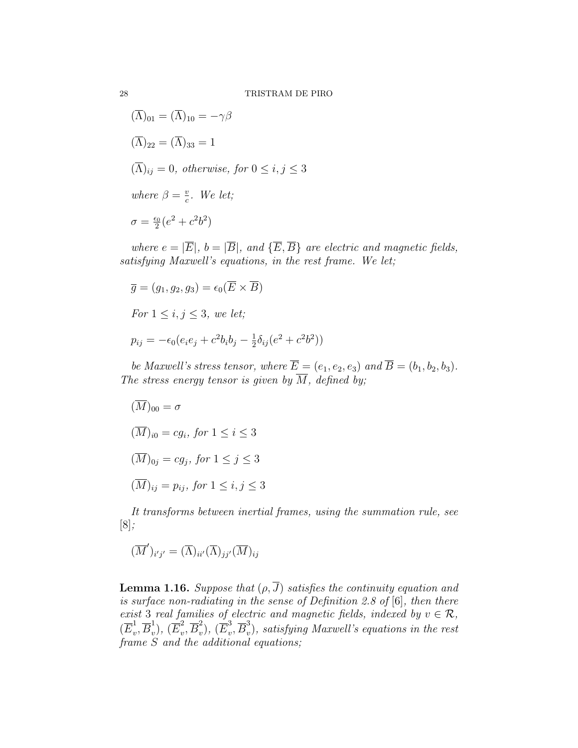$$
(\Lambda)_{01} = (\Lambda)_{10} = -\gamma \beta
$$
  
\n
$$
(\overline{\Lambda})_{22} = (\overline{\Lambda})_{33} = 1
$$
  
\n
$$
(\overline{\Lambda})_{ij} = 0, \text{ otherwise, for } 0 \le i, j \le 3
$$
  
\nwhere  $\beta = \frac{v}{c}$ . We let;  
\n
$$
\sigma = \frac{\epsilon_0}{2} (e^2 + c^2 b^2)
$$

where  $e = |\overline{E}|$ ,  $b = |\overline{B}|$ , and  $\{\overline{E}, \overline{B}\}$  are electric and magnetic fields, satisfying Maxwell's equations, in the rest frame. We let;

$$
\overline{g} = (g_1, g_2, g_3) = \epsilon_0(\overline{E} \times \overline{B})
$$

For  $1 \leq i, j \leq 3$ , we let;

$$
p_{ij} = -\epsilon_0 (e_i e_j + c^2 b_i b_j - \frac{1}{2} \delta_{ij} (e^2 + c^2 b^2))
$$

be Maxwell's stress tensor, where  $\overline{E} = (e_1, e_2, e_3)$  and  $\overline{B} = (b_1, b_2, b_3)$ . The stress energy tensor is given by  $\overline{M}$ , defined by;

$$
(\overline{M})_{00} = \sigma
$$
  
\n
$$
(\overline{M})_{i0} = cg_i, \text{ for } 1 \le i \le 3
$$
  
\n
$$
(\overline{M})_{0j} = cg_j, \text{ for } 1 \le j \le 3
$$
  
\n
$$
(\overline{M})_{ij} = p_{ij}, \text{ for } 1 \le i, j \le 3
$$

It transforms between inertial frames, using the summation rule, see [8];

$$
(\overline{M}')_{i'j'} = (\overline{\Lambda})_{ii'}(\overline{\Lambda})_{jj'}(\overline{M})_{ij}
$$

**Lemma 1.16.** Suppose that  $(\rho, \overline{J})$  satisfies the continuity equation and is surface non-radiating in the sense of Definition 2.8 of [6], then there exist 3 real families of electric and magnetic fields, indexed by  $v \in \mathcal{R}$ ,  $(\overline{E}_v^1)$  $\frac{1}{v}, \overline{B}_v^1$  $_v^1),\, (\overline{E}_v^2$  $v^2, \overline{B}_v^2$  $_v^2),\, (\overline{E}_v^3$  $v^3, \overline{B}_v^3$  $v_v$ ), satisfying Maxwell's equations in the rest frame S and the additional equations;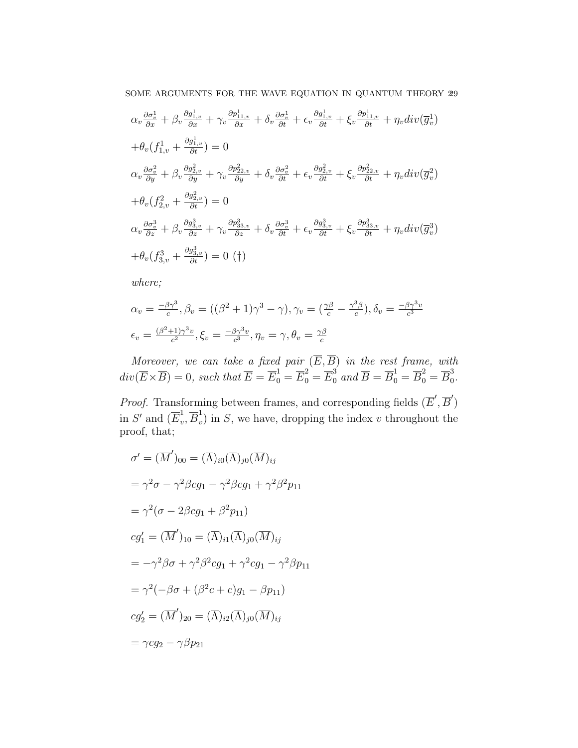$$
\alpha_v \frac{\partial \sigma_v^1}{\partial x} + \beta_v \frac{\partial g_{1,v}^1}{\partial x} + \gamma_v \frac{\partial p_{11,v}^1}{\partial x} + \delta_v \frac{\partial \sigma_v^1}{\partial t} + \epsilon_v \frac{\partial g_{1,v}^1}{\partial t} + \xi_v \frac{\partial p_{11,v}^1}{\partial t} + \eta_v \text{div}(\overline{g}_v^1)
$$
  
+
$$
\theta_v (f_{1,v}^1 + \frac{\partial g_{1,v}^1}{\partial t}) = 0
$$
  

$$
\alpha_v \frac{\partial \sigma_v^2}{\partial y} + \beta_v \frac{\partial g_{2,v}^2}{\partial y} + \gamma_v \frac{\partial p_{22,v}^2}{\partial y} + \delta_v \frac{\partial \sigma_v^2}{\partial t} + \epsilon_v \frac{\partial g_{2,v}^2}{\partial t} + \xi_v \frac{\partial p_{22,v}^2}{\partial t} + \eta_v \text{div}(\overline{g}_v^2)
$$
  
+
$$
\theta_v (f_{2,v}^2 + \frac{\partial g_{2,v}^2}{\partial t}) = 0
$$
  

$$
\alpha_v \frac{\partial \sigma_v^3}{\partial z} + \beta_v \frac{\partial g_{3,v}^3}{\partial z} + \gamma_v \frac{\partial p_{33,v}^3}{\partial z} + \delta_v \frac{\partial \sigma_v^3}{\partial t} + \epsilon_v \frac{\partial g_{3,v}^3}{\partial t} + \xi_v \frac{\partial p_{33,v}^3}{\partial t} + \eta_v \text{div}(\overline{g}_v^3)
$$
  
+
$$
\theta_v (f_{3,v}^3 + \frac{\partial g_{3,v}^3}{\partial t}) = 0 \text{ (†)}
$$

where;

$$
\alpha_v = \frac{-\beta \gamma^3}{c}, \beta_v = ((\beta^2 + 1)\gamma^3 - \gamma), \gamma_v = (\frac{\gamma \beta}{c} - \frac{\gamma^3 \beta}{c}), \delta_v = \frac{-\beta \gamma^3 v}{c^3}
$$

$$
\epsilon_v = \frac{(\beta^2 + 1)\gamma^3 v}{c^2}, \xi_v = \frac{-\beta \gamma^3 v}{c^3}, \eta_v = \gamma, \theta_v = \frac{\gamma \beta}{c}
$$

Moreover, we can take a fixed pair  $(E, B)$  in the rest frame, with  $div(\overline{E}\times\overline{B})=0,$  such that  $\overline{E}=\overline{E}_{0}^{1}=\overline{E}_{0}^{2}=\overline{E}_{0}^{3}$  and  $\overline{B}=\overline{B}_{0}^{1}=\overline{B}_{0}^{2}=\overline{B}_{0}^{3}$ .<br>ი

*Proof.* Transforming between frames, and corresponding fields  $(\overline{E}', \overline{B}')$ in S' and  $(\overline{E}_v^1)$  $v^1, \overline{B}_v^1$  $\sigma_v$ ) in S, we have, dropping the index v throughout the proof, that;

$$
\sigma' = (\overline{M}')_{00} = (\overline{\Lambda})_{i0} (\overline{\Lambda})_{j0} (\overline{M})_{ij}
$$
  
\n
$$
= \gamma^2 \sigma - \gamma^2 \beta c g_1 - \gamma^2 \beta c g_1 + \gamma^2 \beta^2 p_{11}
$$
  
\n
$$
= \gamma^2 (\sigma - 2\beta c g_1 + \beta^2 p_{11})
$$
  
\n
$$
c g_1' = (\overline{M}')_{10} = (\overline{\Lambda})_{i1} (\overline{\Lambda})_{j0} (\overline{M})_{ij}
$$
  
\n
$$
= -\gamma^2 \beta \sigma + \gamma^2 \beta^2 c g_1 + \gamma^2 c g_1 - \gamma^2 \beta p_{11}
$$
  
\n
$$
= \gamma^2 (-\beta \sigma + (\beta^2 c + c) g_1 - \beta p_{11})
$$
  
\n
$$
c g_2' = (\overline{M}')_{20} = (\overline{\Lambda})_{i2} (\overline{\Lambda})_{j0} (\overline{M})_{ij}
$$
  
\n
$$
= \gamma c g_2 - \gamma \beta p_{21}
$$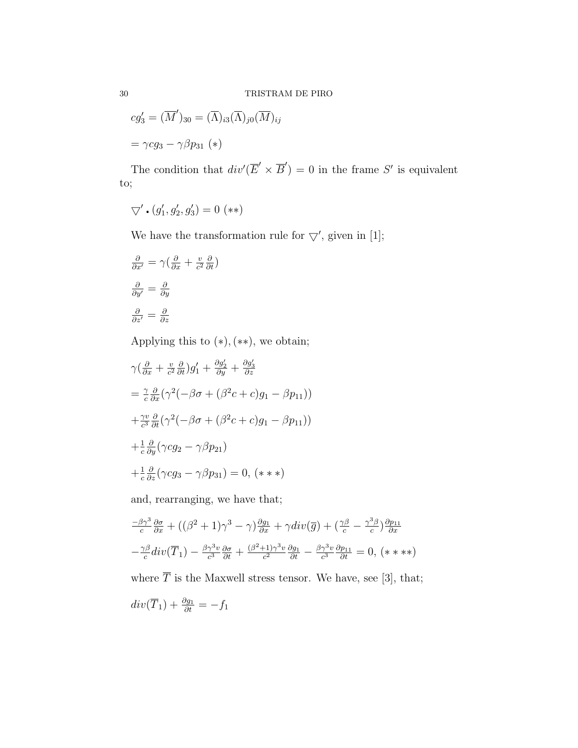$$
cg'_3 = (\overline{M}')_{30} = (\overline{\Lambda})_{i3}(\overline{\Lambda})_{j0}(\overline{M})_{ij}
$$

$$
= \gamma cg_3 - \gamma \beta p_{31} (*)
$$

The condition that  $div'(\overline{E}' \times \overline{B}') = 0$  in the frame S' is equivalent to;

$$
\bigtriangledown'\centerdot(g_1',g_2',g_3')=0\,\,(**)
$$

We have the transformation rule for  $\bigtriangledown'$ , given in [1];

$$
\frac{\partial}{\partial x'} = \gamma \left( \frac{\partial}{\partial x} + \frac{v}{c^2} \frac{\partial}{\partial t} \right)
$$

$$
\frac{\partial}{\partial y'} = \frac{\partial}{\partial y}
$$

$$
\frac{\partial}{\partial z'} = \frac{\partial}{\partial z}
$$

Applying this to  $(\ast),(\ast \ast),$  we obtain;

$$
\gamma \left( \frac{\partial}{\partial x} + \frac{v}{c^2} \frac{\partial}{\partial t} \right) g_1' + \frac{\partial g_2'}{\partial y} + \frac{\partial g_3'}{\partial z}
$$
  
=  $\frac{\gamma}{c} \frac{\partial}{\partial x} \left( \gamma^2 \left( -\beta \sigma + (\beta^2 c + c) g_1 - \beta p_{11} \right) \right)$   
+  $\frac{\gamma v}{c^3} \frac{\partial}{\partial t} \left( \gamma^2 \left( -\beta \sigma + (\beta^2 c + c) g_1 - \beta p_{11} \right) \right)$   
+  $\frac{1}{c} \frac{\partial}{\partial y} \left( \gamma c g_2 - \gamma \beta p_{21} \right)$   
+  $\frac{1}{c} \frac{\partial}{\partial z} \left( \gamma c g_3 - \gamma \beta p_{31} \right) = 0, \quad (* * *)$ 

and, rearranging, we have that;

$$
\frac{-\beta\gamma^3}{c}\frac{\partial\sigma}{\partial x} + ((\beta^2 + 1)\gamma^3 - \gamma)\frac{\partial g_1}{\partial x} + \gamma div(\overline{g}) + (\frac{\gamma\beta}{c} - \frac{\gamma^3\beta}{c})\frac{\partial p_{11}}{\partial x} \n- \frac{\gamma\beta}{c}div(\overline{T}_1) - \frac{\beta\gamma^3v}{c^3}\frac{\partial\sigma}{\partial t} + \frac{(\beta^2 + 1)\gamma^3v}{c^2}\frac{\partial g_1}{\partial t} - \frac{\beta\gamma^3v}{c^3}\frac{\partial p_{11}}{\partial t} = 0, (* **)
$$

where  $\overline{T}$  is the Maxwell stress tensor. We have, see [3], that;

$$
div(\overline{T}_1) + \frac{\partial g_1}{\partial t} = -f_1
$$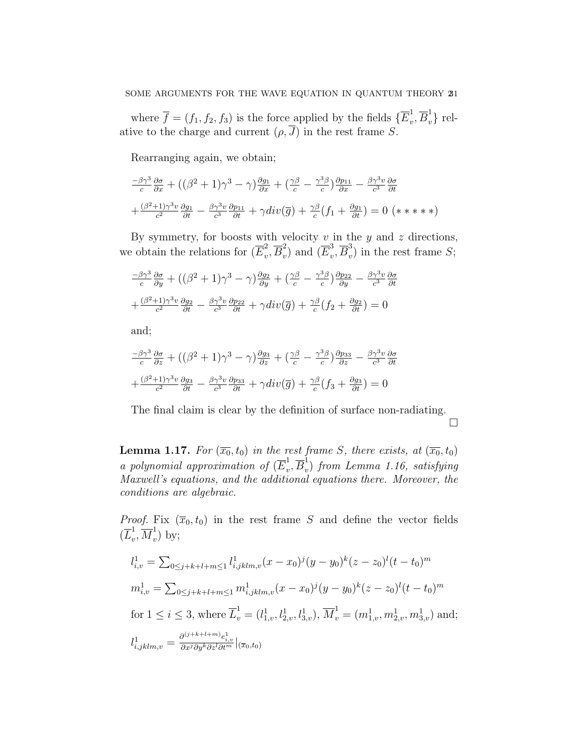where  $\overline{f} = (f_1, f_2, f_3)$  is the force applied by the fields  $\{E_v^1\}$  $_v^1, \overline{B}_v^1$  relative to the charge and current  $(\rho, J)$  in the rest frame S.

Rearranging again, we obtain;

$$
\frac{-\beta\gamma^3}{c}\frac{\partial\sigma}{\partial x} + ((\beta^2 + 1)\gamma^3 - \gamma)\frac{\partial g_1}{\partial x} + (\frac{\gamma\beta}{c} - \frac{\gamma^3\beta}{c})\frac{\partial p_{11}}{\partial x} - \frac{\beta\gamma^3v}{c^3}\frac{\partial\sigma}{\partial t} \n+ (\frac{\beta^2 + 1}{c^2})\frac{\gamma^3v}{\partial t} \frac{\partial g_1}{\partial t} - \frac{\beta\gamma^3v}{c^3}\frac{\partial p_{11}}{\partial t} + \gamma div(\overline{g}) + \frac{\gamma\beta}{c}(f_1 + \frac{\partial g_1}{\partial t}) = 0 \quad (* \ * \ * \ * \*)
$$

By symmetry, for boosts with velocity  $v$  in the  $y$  and  $z$  directions, we obtain the relations for  $(\overline{E}_v^2)$  $v^2, \overline{B}_v^2$  $(v^2)$  and  $(\overline{E}_v^3)$  $v^3, \overline{B}_v^3$  $\binom{3}{v}$  in the rest frame S;

$$
\frac{-\beta\gamma^3}{c}\frac{\partial\sigma}{\partial y} + ((\beta^2 + 1)\gamma^3 - \gamma)\frac{\partial g_2}{\partial y} + (\frac{\gamma\beta}{c} - \frac{\gamma^3\beta}{c})\frac{\partial p_{22}}{\partial y} - \frac{\beta\gamma^3v}{c^3}\frac{\partial\sigma}{\partial t} + (\frac{\beta^2+1}{c^2}\gamma^3v\frac{\partial g_2}{\partial t} - \frac{\beta\gamma^3v}{c^3}\frac{\partial p_{22}}{\partial t} + \gamma div(\overline{g}) + \frac{\gamma\beta}{c}(f_2 + \frac{\partial g_2}{\partial t}) = 0
$$

and;

$$
\frac{-\beta\gamma^3}{c}\frac{\partial\sigma}{\partial z} + ((\beta^2 + 1)\gamma^3 - \gamma)\frac{\partial g_3}{\partial z} + (\frac{\gamma\beta}{c} - \frac{\gamma^3\beta}{c})\frac{\partial p_{33}}{\partial z} - \frac{\beta\gamma^3v}{c^3}\frac{\partial\sigma}{\partial t} \n+ (\frac{\beta^2+1\gamma^3v}{c^2}\frac{\partial g_3}{\partial t} - \frac{\beta\gamma^3v}{c^3}\frac{\partial p_{33}}{\partial t} + \gamma div(\overline{g}) + \frac{\gamma\beta}{c}(f_3 + \frac{\partial g_3}{\partial t}) = 0
$$

The final claim is clear by the definition of surface non-radiating.  $\Box$ 

**Lemma 1.17.** For  $(\overline{x_0}, t_0)$  in the rest frame S, there exists, at  $(\overline{x_0}, t_0)$ a polynomial approximation of  $(\overline{E}_{v}^{1})$  $\frac{1}{v}, \overline{B}_v^1$  $\sigma_{v}$ ) from Lemma 1.16, satisfying Maxwell's equations, and the additional equations there. Moreover, the conditions are algebraic.

*Proof.* Fix  $(\bar{x}_0, t_0)$  in the rest frame S and define the vector fields  $(\overline{L}_v^1)$  $_u^1, \overline{M}_v^1$  $\int_{v}^{1}$  by;

$$
l_{i,v}^1 = \sum_{0 \le j+k+l+m \le 1} l_{i,jklm,v}^1(x - x_0)^j (y - y_0)^k (z - z_0)^l (t - t_0)^m
$$
  
\n
$$
m_{i,v}^1 = \sum_{0 \le j+k+l+m \le 1} m_{i,jklm,v}^1(x - x_0)^j (y - y_0)^k (z - z_0)^l (t - t_0)^m
$$
  
\nfor  $1 \le i \le 3$ , where  $\overline{L}_v^1 = (l_{1,v}^1, l_{2,v}^1, l_{3,v}^1), \overline{M}_v^1 = (m_{1,v}^1, m_{2,v}^1, m_{3,v}^1)$  and;  
\n
$$
\frac{\partial^{(j+k+l+m)} e_{i,v}^1}{\partial t}
$$

$$
l_{i,jklm,v}^{1} = \frac{\partial^{(j+n+v+m)} e_{i,v}^{1}}{\partial x^{j} \partial y^{k} \partial z^{l} \partial t^{m}}|_{(\overline{x}_{0},t_{0})}
$$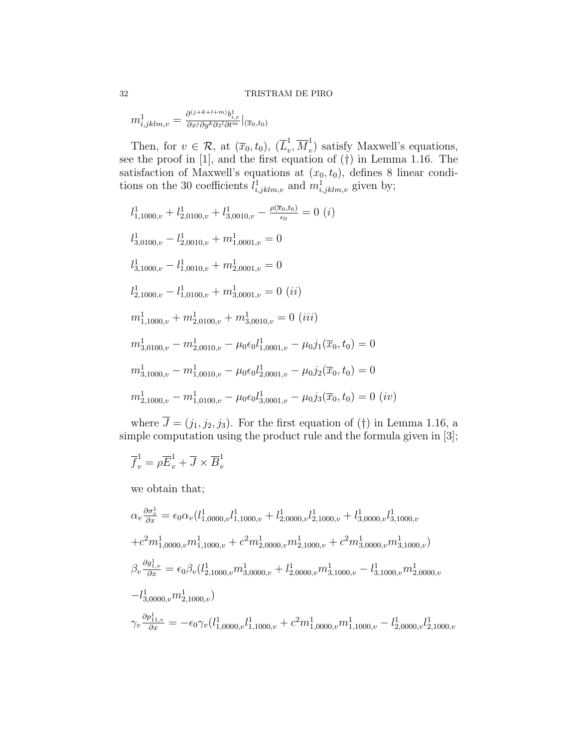#### 32 TRISTRAM DE PIRO

 $m^{1}_{i,jklm,v}=\frac{\partial^{(j+k+l+m)}b^{1}_{i,v}}{\partial x^{j}\partial y^{k}\partial z^{l}\partial t^{m}}|_{(\overline{x}_{0},t_{0})}$ 

Then, for  $v \in \mathcal{R}$ , at  $(\overline{x}_0, t_0)$ ,  $(\overline{L}_v^1)$  $_u^1, \overline{M}_v^1$  $\psi$ ) satisfy Maxwell's equations, see the proof in [1], and the first equation of (†) in Lemma 1.16. The satisfaction of Maxwell's equations at  $(x_0, t_0)$ , defines 8 linear conditions on the 30 coefficients  $l_{i,jklm,v}^1$  and  $m_{i,jklm,v}^1$  given by;

$$
l_{1,1000,v}^{1} + l_{2,0100,v}^{1} + l_{3,0010,v}^{1} - \frac{\rho(\overline{x}_0, t_0)}{\epsilon_0} = 0
$$
 (i)  
\n
$$
l_{3,0100,v}^{1} - l_{2,0010,v}^{1} + m_{1,0001,v}^{1} = 0
$$
  
\n
$$
l_{3,1000,v}^{1} - l_{1,0010,v}^{1} + m_{2,0001,v}^{1} = 0
$$
  
\n
$$
l_{2,1000,v}^{1} - l_{1,0100,v}^{1} + m_{3,0001,v}^{1} = 0
$$
 (ii)  
\n
$$
m_{1,1000,v}^{1} + m_{2,0100,v}^{1} + m_{3,0010,v}^{1} = 0
$$
 (iii)  
\n
$$
m_{3,0100,v}^{1} - m_{2,0010,v}^{1} - \mu_0 \epsilon_0 l_{1,0001,v}^{1} - \mu_0 j_1(\overline{x}_0, t_0) = 0
$$
  
\n
$$
m_{3,1000,v}^{1} - m_{1,0010,v}^{1} - \mu_0 \epsilon_0 l_{2,0001,v}^{1} - \mu_0 j_2(\overline{x}_0, t_0) = 0
$$
  
\n
$$
m_{2,1000,v}^{1} - m_{1,0100,v}^{1} - \mu_0 \epsilon_0 l_{3,0001,v}^{1} - \mu_0 j_3(\overline{x}_0, t_0) = 0
$$
 (iv)

where  $\overline{J} = (j_1, j_2, j_3)$ . For the first equation of (†) in Lemma 1.16, a simple computation using the product rule and the formula given in [3];

$$
\overline{f}_v^1 = \rho \overline{E}_v^1 + \overline{J} \times \overline{B}_v^1
$$

we obtain that;

$$
\alpha_v \frac{\partial \sigma_v^1}{\partial x} = \epsilon_0 \alpha_v (l_{1,0000,v}^1 l_{1,1000,v}^1 + l_{2,0000,v}^1 l_{2,1000,v}^1 + l_{3,0000,v}^1 l_{3,1000,v}^1
$$
  
\n
$$
+ c^2 m_{1,0000,v}^1 m_{1,1000,v}^1 + c^2 m_{2,0000,v}^1 m_{2,1000,v}^1 + c^2 m_{3,0000,v}^1 m_{3,1000,v}^1
$$
  
\n
$$
\beta_v \frac{\partial g_{1,v}^1}{\partial x} = \epsilon_0 \beta_v (l_{2,1000,v}^1 m_{3,0000,v}^1 + l_{2,0000,v}^1 m_{3,1000,v}^1 - l_{3,1000,v}^1 m_{2,0000,v}^1
$$
  
\n
$$
-l_{3,0000,v}^1 m_{2,1000,v}^1)
$$
  
\n
$$
\gamma_v \frac{\partial p_{11,v}^1}{\partial x} = -\epsilon_0 \gamma_v (l_{1,0000,v}^1 l_{1,1000,v}^1 + c^2 m_{1,0000,v}^1 m_{1,1000,v}^1 - l_{2,0000,v}^1 l_{2,1000,v}^1
$$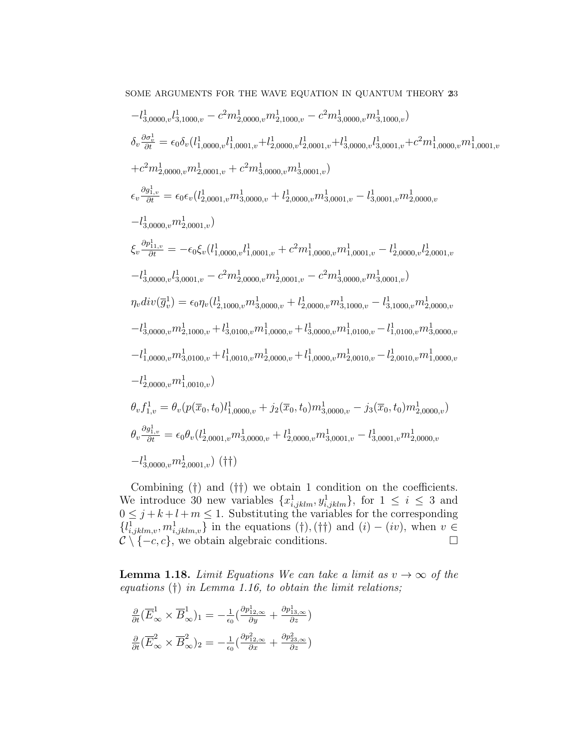SOME ARGUMENTS FOR THE WAVE EQUATION IN QUANTUM THEORY  $\bf 23$ 

$$
-l_{3,0000,v}^{1}l_{3,1000,v}^{1} - c^{2}m_{2,0000,v}^{1}m_{2,1000,v}^{1} - c^{2}m_{3,0000,v}^{1}m_{3,1000,v}^{1})
$$
  
\n
$$
\delta_{v}\frac{\partial\sigma_{v}^{1}}{\partial t} = \epsilon_{0}\delta_{v}(l_{1,0000,v}^{1}l_{1,0001,v}^{1} + l_{2,0000,v}^{1}l_{2,0001,v}^{1} + l_{3,0000,v}^{1}l_{3,0001,v}^{1} + c^{2}m_{1,0000,v}^{1}m_{1,0001,v}^{1})
$$
  
\n
$$
+c^{2}m_{2,0000,v}^{1}m_{2,0001,v}^{1} + c^{2}m_{3,0000,v}^{1}m_{3,0001,v}^{1} + l_{3,0001,v}^{1} - l_{3,0001,v}^{1}m_{2,0000,v}^{1}
$$
  
\n
$$
\epsilon_{v}\frac{\partial g_{1,v}^{1}}{\partial t} = \epsilon_{0}\epsilon_{v}(l_{2,0001,v}^{1}m_{3,0000,v}^{1} + l_{2,0000,v}^{1}m_{3,0001,v}^{1} - l_{3,0001,v}^{1}m_{2,0000,v}^{1}
$$
  
\n
$$
-l_{3,0000,v}^{1}m_{2,0001,v}^{1})
$$
  
\n
$$
\xi_{v}\frac{\partial r_{1,v}^{1}}{\partial t} = -\epsilon_{0}\xi_{v}(l_{1,0000,v}^{1}l_{1,0001,v} + c^{2}m_{1,0000,v}^{1}m_{1,0001,v}^{1} - l_{2,0000,v}^{1}l_{2,0001,v}^{1})
$$
  
\n
$$
-l_{3,0000,v}^{1}l_{3,0001,v} - c^{2}m_{2,0000,v}^{1}m_{2,0001,v}^{1} - c^{2}m_{3,0000,v}^{1}m_{3,0001,v}^{1})
$$
  
\n
$$
\eta_{v}div(\overline{g}_{v
$$

Combining (†) and (††) we obtain 1 condition on the coefficients. We introduce 30 new variables  $\{x_{i,jklm}^1, y_{i,jklm}^1\}$ , for  $1 \leq i \leq 3$  and  $0 \leq j + k + l + m \leq 1$ . Substituting the variables for the corresponding  $\{l_{i,jklm,v}^1, m_{i,jklm,v}^1\}$  in the equations (†),(††) and  $(i) - (iv)$ , when  $v \in$  $\mathcal{C} \setminus \{-c, c\}$ , we obtain algebraic conditions.

**Lemma 1.18.** Limit Equations We can take a limit as  $v \to \infty$  of the equations  $(\dagger)$  in Lemma 1.16, to obtain the limit relations;

$$
\frac{\partial}{\partial t} (\overline{E}_{\infty}^1 \times \overline{B}_{\infty}^1)_1 = -\frac{1}{\epsilon_0} (\frac{\partial p_{12,\infty}^1}{\partial y} + \frac{\partial p_{13,\infty}^1}{\partial z})
$$

$$
\frac{\partial}{\partial t} (\overline{E}_{\infty}^2 \times \overline{B}_{\infty}^2)_2 = -\frac{1}{\epsilon_0} (\frac{\partial p_{12,\infty}^2}{\partial x} + \frac{\partial p_{23,\infty}^2}{\partial z})
$$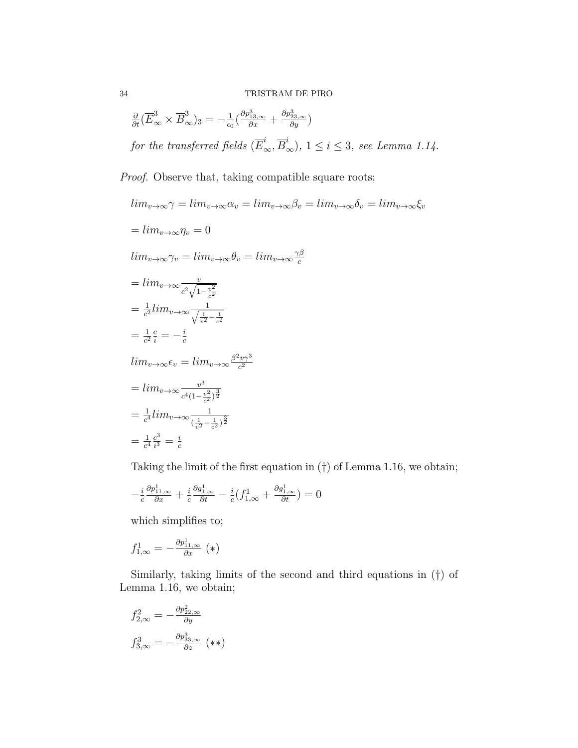$$
\frac{\partial}{\partial t}(\overline{E}_{\infty}^{3} \times \overline{B}_{\infty}^{3})_{3} = -\frac{1}{\epsilon_{0}}(\frac{\partial p_{13,\infty}^{3}}{\partial x} + \frac{\partial p_{23,\infty}^{3}}{\partial y})
$$
\nfor the transferred fields  $(\overline{E}_{\infty}^{i}, \overline{B}_{\infty}^{i}), 1 \leq i \leq 3$ , see Lemma 1.14.

Proof. Observe that, taking compatible square roots;

$$
\lim_{v \to \infty} \gamma = \lim_{v \to \infty} \alpha_v = \lim_{v \to \infty} \beta_v = \lim_{v \to \infty} \delta_v = \lim_{v \to \infty} \xi_v
$$
  
\n
$$
= \lim_{v \to \infty} \eta_v = 0
$$
  
\n
$$
\lim_{v \to \infty} \gamma_v = \lim_{v \to \infty} \theta_v = \lim_{v \to \infty} \frac{\gamma \beta}{c}
$$
  
\n
$$
= \lim_{v \to \infty} \frac{v}{c^2 \sqrt{1 - \frac{v^2}{c^2}}}
$$
  
\n
$$
= \frac{1}{c^2} \lim_{\theta \to \infty} \frac{1}{\sqrt{\frac{1}{v^2} - \frac{1}{c^2}}}
$$
  
\n
$$
= \frac{1}{c^2} \frac{c}{i} = -\frac{i}{c}
$$
  
\n
$$
\lim_{v \to \infty} \epsilon_v = \lim_{v \to \infty} \frac{\beta^2 v \gamma^3}{c^2}
$$
  
\n
$$
= \lim_{v \to \infty} \frac{v^3}{c^4 (1 - \frac{v^2}{c^2})^{\frac{3}{2}}}
$$
  
\n
$$
= \frac{1}{c^4} \lim_{v \to \infty} \frac{1}{(\frac{1}{v^2} - \frac{1}{c^2})^{\frac{3}{2}}}
$$
  
\n
$$
= \frac{1}{c^4} \frac{c^3}{i^3} = \frac{i}{c}
$$

Taking the limit of the first equation in (†) of Lemma 1.16, we obtain;

$$
-\frac{i}{c}\frac{\partial p_{11,\infty}^1}{\partial x} + \frac{i}{c}\frac{\partial g_{1,\infty}^1}{\partial t} - \frac{i}{c}(f_{1,\infty}^1 + \frac{\partial g_{1,\infty}^1}{\partial t}) = 0
$$

which simplifies to;

$$
f_{1,\infty}^1 = -\frac{\partial p_{11,\infty}^1}{\partial x} \, (*)
$$

Similarly, taking limits of the second and third equations in (†) of Lemma 1.16, we obtain;

$$
f_{2,\infty}^2 = -\frac{\partial p_{22,\infty}^2}{\partial y}
$$

$$
f_{3,\infty}^3 = -\frac{\partial p_{33,\infty}^3}{\partial z} \quad (**)
$$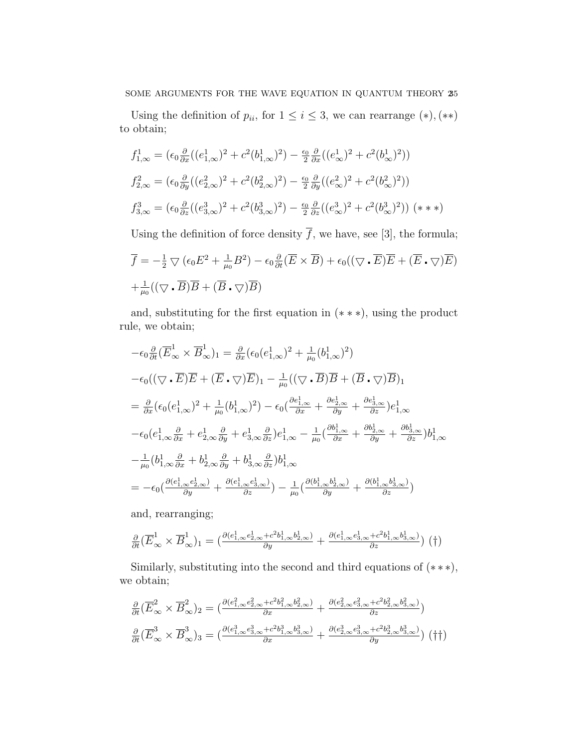Using the definition of  $p_{ii}$ , for  $1 \leq i \leq 3$ , we can rearrange  $(*)$ ,  $(**)$ to obtain;

$$
f_{1,\infty}^1 = (\epsilon_0 \frac{\partial}{\partial x} ((e_{1,\infty}^1)^2 + c^2 (b_{1,\infty}^1)^2) - \frac{\epsilon_0}{2} \frac{\partial}{\partial x} ((e_{\infty}^1)^2 + c^2 (b_{\infty}^1)^2))
$$
  
\n
$$
f_{2,\infty}^2 = (\epsilon_0 \frac{\partial}{\partial y} ((e_{2,\infty}^2)^2 + c^2 (b_{2,\infty}^2)^2) - \frac{\epsilon_0}{2} \frac{\partial}{\partial y} ((e_{\infty}^2)^2 + c^2 (b_{\infty}^2)^2))
$$
  
\n
$$
f_{3,\infty}^3 = (\epsilon_0 \frac{\partial}{\partial z} ((e_{3,\infty}^3)^2 + c^2 (b_{3,\infty}^3)^2) - \frac{\epsilon_0}{2} \frac{\partial}{\partial z} ((e_{\infty}^3)^2 + c^2 (b_{\infty}^3)^2)) (*)
$$

Using the definition of force density  $\overline{f}$ , we have, see [3], the formula;

$$
\overline{f} = -\frac{1}{2} \nabla (\epsilon_0 E^2 + \frac{1}{\mu_0} B^2) - \epsilon_0 \frac{\partial}{\partial t} (\overline{E} \times \overline{B}) + \epsilon_0 ((\nabla \cdot \overline{E}) \overline{E} + (\overline{E} \cdot \nabla) \overline{E})
$$
  
+  $\frac{1}{\mu_0} ((\nabla \cdot \overline{B}) \overline{B} + (\overline{B} \cdot \nabla) \overline{B})$ 

and, substituting for the first equation in (∗ ∗ ∗), using the product rule, we obtain;

$$
-\epsilon_0 \frac{\partial}{\partial t} (\overline{E}_{\infty}^1 \times \overline{B}_{\infty}^1)_1 = \frac{\partial}{\partial x} (\epsilon_0 (e_{1,\infty}^1)^2 + \frac{1}{\mu_0} (b_{1,\infty}^1)^2)
$$
  
\n
$$
-\epsilon_0 ((\nabla \cdot \overline{E}) \overline{E} + (\overline{E} \cdot \nabla) \overline{E})_1 - \frac{1}{\mu_0} ((\nabla \cdot \overline{B}) \overline{B} + (\overline{B} \cdot \nabla) \overline{B})_1
$$
  
\n
$$
= \frac{\partial}{\partial x} (\epsilon_0 (e_{1,\infty}^1)^2 + \frac{1}{\mu_0} (b_{1,\infty}^1)^2) - \epsilon_0 (\frac{\partial e_{1,\infty}^1}{\partial x} + \frac{\partial e_{2,\infty}^1}{\partial y} + \frac{\partial e_{3,\infty}^1}{\partial z}) e_{1,\infty}^1
$$
  
\n
$$
-\epsilon_0 (e_{1,\infty}^1 \frac{\partial}{\partial x} + e_{2,\infty}^1 \frac{\partial}{\partial y} + e_{3,\infty}^1 \frac{\partial}{\partial z}) e_{1,\infty}^1 - \frac{1}{\mu_0} (\frac{\partial b_{1,\infty}^1}{\partial x} + \frac{\partial b_{2,\infty}^1}{\partial y} + \frac{\partial b_{3,\infty}^1}{\partial z}) b_{1,\infty}^1
$$
  
\n
$$
- \frac{1}{\mu_0} (b_{1,\infty}^1 \frac{\partial}{\partial x} + b_{2,\infty}^1 \frac{\partial}{\partial y} + b_{3,\infty}^1 \frac{\partial}{\partial z}) b_{1,\infty}^1
$$
  
\n
$$
= -\epsilon_0 (\frac{\partial (e_{1,\infty}^1 e_{2,\infty}^1)}{\partial y} + \frac{\partial (e_{1,\infty}^1 e_{3,\infty}^1)}{\partial z}) - \frac{1}{\mu_0} (\frac{\partial (b_{1,\infty}^1 b_{2,\infty}^1)}{\partial y} + \frac{\partial (b_{1,\infty}^1 b_{3,\infty}^1)}{\partial z})
$$

and, rearranging;

$$
\frac{\partial}{\partial t}(\overline{E}_{\infty}^{1} \times \overline{B}_{\infty}^{1})_{1} = \left( \frac{\partial (e_{1,\infty}^{1} e_{2,\infty}^{1} + c^{2} b_{1,\infty}^{1} b_{2,\infty}^{1})}{\partial y} + \frac{\partial (e_{1,\infty}^{1} e_{3,\infty}^{1} + c^{2} b_{1,\infty}^{1} b_{3,\infty}^{1})}{\partial z} \right) (\dagger)
$$

Similarly, substituting into the second and third equations of  $(***)$ , we obtain;

$$
\frac{\partial}{\partial t} (\overline{E}_{\infty}^2 \times \overline{B}_{\infty}^2)_2 = \left( \frac{\partial (e_{1,\infty}^2 e_{2,\infty}^2 + c^2 b_{1,\infty}^2 b_{2,\infty}^2)}{\partial x} + \frac{\partial (e_{2,\infty}^2 e_{3,\infty}^2 + c^2 b_{2,\infty}^2 b_{3,\infty}^2)}{\partial z} \right)
$$
\n
$$
\frac{\partial}{\partial t} (\overline{E}_{\infty}^3 \times \overline{B}_{\infty}^3)_3 = \left( \frac{\partial (e_{1,\infty}^3 e_{3,\infty}^3 + c^2 b_{1,\infty}^3 b_{3,\infty}^3)}{\partial x} + \frac{\partial (e_{2,\infty}^3 e_{3,\infty}^3 + c^2 b_{2,\infty}^3 b_{3,\infty}^3)}{\partial y} \right) (\dagger \dagger)
$$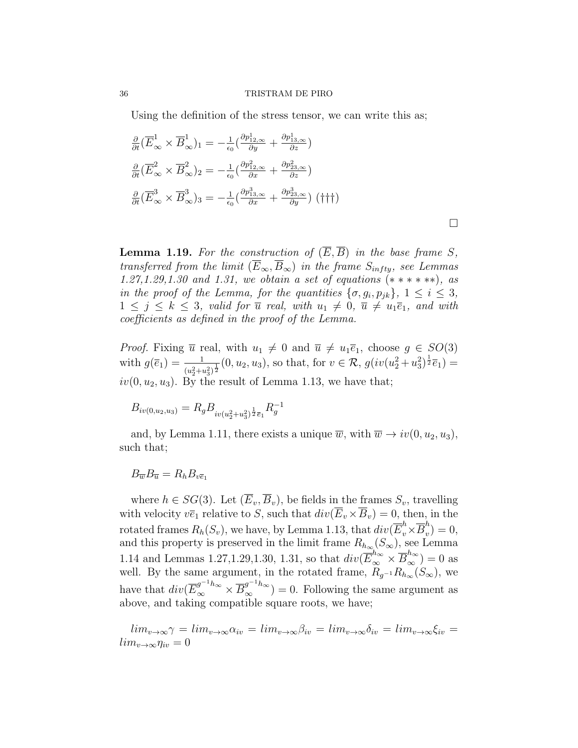Using the definition of the stress tensor, we can write this as;

$$
\frac{\partial}{\partial t} (\overline{E}_{\infty}^{1} \times \overline{B}_{\infty}^{1})_{1} = -\frac{1}{\epsilon_{0}} (\frac{\partial p_{12,\infty}^{1} \times \partial p_{13,\infty}^{1}}{\partial z})
$$
\n
$$
\frac{\partial}{\partial t} (\overline{E}_{\infty}^{2} \times \overline{B}_{\infty}^{2})_{2} = -\frac{1}{\epsilon_{0}} (\frac{\partial p_{12,\infty}^{2} \times \partial p_{23,\infty}^{1}}{\partial z})
$$
\n
$$
\frac{\partial}{\partial t} (\overline{E}_{\infty}^{3} \times \overline{B}_{\infty}^{3})_{3} = -\frac{1}{\epsilon_{0}} (\frac{\partial p_{13,\infty}^{3} \times \partial p_{23,\infty}^{3}}{\partial x}) (\dagger \dagger \dagger)
$$

**Lemma 1.19.** For the construction of  $(\overline{E}, \overline{B})$  in the base frame S, transferred from the limit  $(\overline{E}_{\infty}, \overline{B}_{\infty})$  in the frame  $S_{infty}$ , see Lemmas 1.27,1.29,1.30 and 1.31, we obtain a set of equations (∗ ∗ ∗ ∗ ∗∗), as in the proof of the Lemma, for the quantities  $\{\sigma, g_i, p_{jk}\}, 1 \leq i \leq 3$ ,  $1 \leq j \leq k \leq 3$ , valid for  $\overline{u}$  real, with  $u_1 \neq 0$ ,  $\overline{u} \neq u_1 \overline{e}_1$ , and with coefficients as defined in the proof of the Lemma.

 $\Box$ 

*Proof.* Fixing  $\overline{u}$  real, with  $u_1 \neq 0$  and  $\overline{u} \neq u_1 \overline{e}_1$ , choose  $g \in SO(3)$ with  $g(\bar{e}_1) = \frac{1}{(u_2^2 + u_3^2)^{\frac{1}{2}}}(0, u_2, u_3)$ , so that, for  $v \in \mathcal{R}$ ,  $g(iv(u_2^2 + u_3^2)^{\frac{1}{2}}\bar{e}_1) =$  $iv(0, u_2, u_3)$ . By the result of Lemma 1.13, we have that;

$$
B_{iv(0,u_2,u_3)}=R_gB_{iv(u_2^2+u_3^2)^{\frac{1}{2}}\bar{e}_1}R_g^{-1}
$$

and, by Lemma 1.11, there exists a unique  $\overline{w}$ , with  $\overline{w} \to i v(0, u_2, u_3)$ , such that;

$$
B_{\overline{w}}B_{\overline{u}}=R_hB_{v\overline{e}_1}
$$

where  $h \in SG(3)$ . Let  $(\overline{E}_v, \overline{B}_v)$ , be fields in the frames  $S_v$ , travelling with velocity  $v\overline{e}_1$  relative to S, such that  $div(\overline{E}_v\times\overline{B}_v) = 0$ , then, in the rotated frames  $R_h(S_v)$ , we have, by Lemma 1.13, that  $div(\overline{E}_v^h\times\overline{B}_v^h$  $v''_v$ ) = 0, and this property is preserved in the limit frame  $R_{h_{\infty}}(S_{\infty})$ , see Lemma 1.14 and Lemmas 1.27,1.29,1.30, 1.31, so that  $div(\overline{E}_{\infty}^{h_{\infty}} \times \overline{B}_{\infty}^{h_{\infty}}) = 0$  as well. By the same argument, in the rotated frame,  $\widetilde{R}_{g^{-1}}R_{h_{\infty}}(S_{\infty})$ , we have that  $div(\overline{E}_{\infty}^{g^{-1}h_{\infty}} \times \overline{B}_{\infty}^{g^{-1}h_{\infty}}) = 0$ . Following the same argument as above, and taking compatible square roots, we have;

 $\lim_{v\to\infty}\gamma = \lim_{v\to\infty}\alpha_{iv} = \lim_{v\to\infty}\beta_{iv} = \lim_{v\to\infty}\delta_{iv} = \lim_{v\to\infty}\xi_{iv} =$  $lim_{v\to\infty}$  $\eta_{iv} = 0$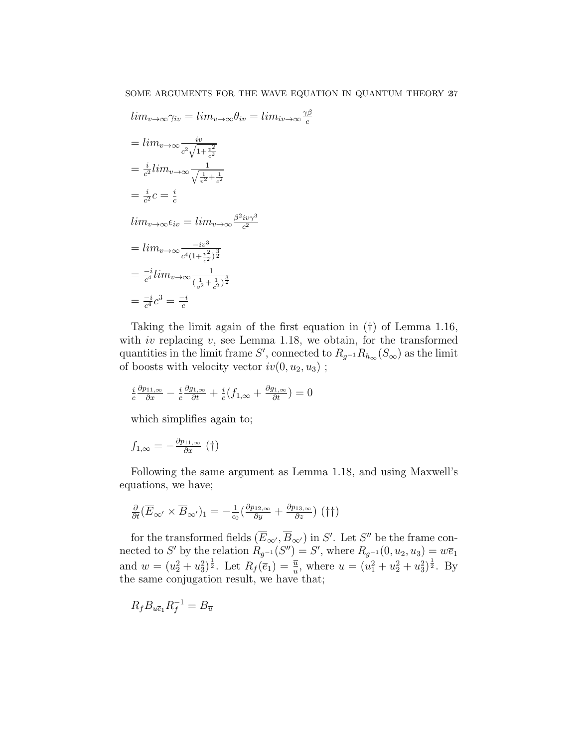c

$$
lim_{v \to \infty} \gamma_{iv} = lim_{v \to \infty} \theta_{iv} = lim_{iv \to \infty} \frac{\gamma \beta}{c}
$$
  
=  $lim_{v \to \infty} \frac{iv}{c^2 \sqrt{1 + \frac{v^2}{c^2}}}$   
=  $\frac{i}{c^2} lim_{v \to \infty} \frac{1}{\sqrt{\frac{1}{v^2} + \frac{1}{c^2}}}$   
=  $\frac{i}{c^2} c = \frac{i}{c}$   
 $lim_{v \to \infty} \epsilon_{iv} = lim_{v \to \infty} \frac{\beta^2 i v \gamma^3}{c^2}$   
=  $lim_{v \to \infty} \frac{-iv^3}{c^4 (1 + \frac{v^2}{c^2})^{\frac{3}{2}}}$   
=  $\frac{-i}{c^4} lim_{v \to \infty} \frac{1}{(\frac{1}{v^2} + \frac{1}{c^2})^{\frac{3}{2}}}$   
=  $\frac{-i}{c^4} c^3 = \frac{-i}{c}$ 

Taking the limit again of the first equation in (†) of Lemma 1.16, with *iv* replacing  $v$ , see Lemma 1.18, we obtain, for the transformed quantities in the limit frame S', connected to  $R_{g^{-1}}R_{h_{\infty}}(S_{\infty})$  as the limit of boosts with velocity vector  $iv(0, u_2, u_3)$ ;

$$
\frac{i}{c}\frac{\partial p_{11,\infty}}{\partial x} - \frac{i}{c}\frac{\partial g_{1,\infty}}{\partial t} + \frac{i}{c}(f_{1,\infty} + \frac{\partial g_{1,\infty}}{\partial t}) = 0
$$

which simplifies again to;

$$
f_{1,\infty} = -\frac{\partial p_{11,\infty}}{\partial x} \left( \dagger \right)
$$

Following the same argument as Lemma 1.18, and using Maxwell's equations, we have;

$$
\frac{\partial}{\partial t}(\overline{E}_{\infty'} \times \overline{B}_{\infty'})_1 = -\frac{1}{\epsilon_0} \left( \frac{\partial p_{12,\infty}}{\partial y} + \frac{\partial p_{13,\infty}}{\partial z} \right) (\dagger \dagger)
$$

for the transformed fields  $(\overline{E}_{\infty}, \overline{B}_{\infty})$  in S'. Let S'' be the frame connected to S' by the relation  $R_{g^{-1}}(S'') = S'$ , where  $R_{g^{-1}}(0, u_2, u_3) = w\overline{e}_1$ and  $w = (u_2^2 + u_3^2)^{\frac{1}{2}}$ . Let  $R_f(\overline{e}_1) = \frac{\overline{u}}{u}$ , where  $u = (u_1^2 + u_2^2 + u_3^2)^{\frac{1}{2}}$ . By the same conjugation result, we have that;

$$
R_f B_{u\overline{e}_1} R_f^{-1} = B_{\overline{u}}
$$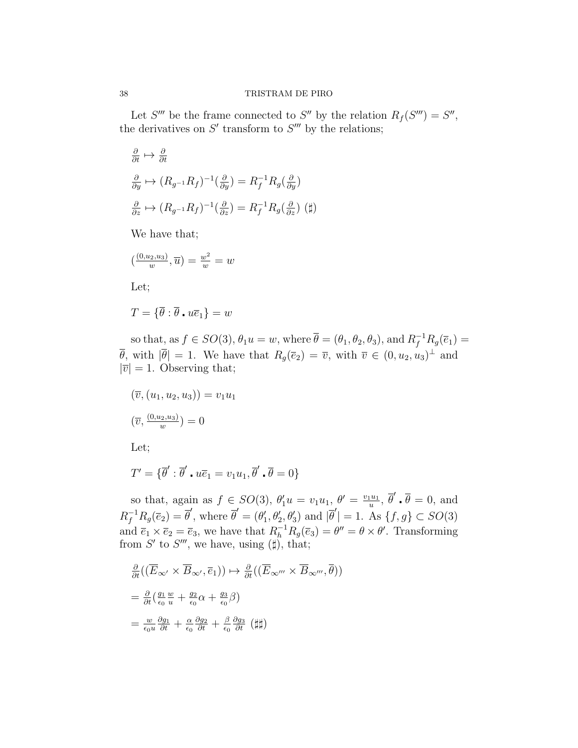Let S''' be the frame connected to S'' by the relation  $R_f(S''') = S''$ , the derivatives on  $S'$  transform to  $S'''$  by the relations;

$$
\frac{\partial}{\partial t} \mapsto \frac{\partial}{\partial t}
$$
\n
$$
\frac{\partial}{\partial y} \mapsto (R_{g^{-1}} R_f)^{-1} (\frac{\partial}{\partial y}) = R_f^{-1} R_g (\frac{\partial}{\partial y})
$$
\n
$$
\frac{\partial}{\partial z} \mapsto (R_{g^{-1}} R_f)^{-1} (\frac{\partial}{\partial z}) = R_f^{-1} R_g (\frac{\partial}{\partial z}) \quad (\sharp)
$$

We have that;

$$
\left(\frac{(0, u_2, u_3)}{w}, \overline{u}\right) = \frac{w^2}{w} = w
$$

Let;

$$
T = \{ \overline{\theta} : \overline{\theta} \cdot u \overline{e}_1 \} = w
$$

so that, as  $f \in SO(3)$ ,  $\theta_1 u = w$ , where  $\overline{\theta} = (\theta_1, \theta_2, \theta_3)$ , and  $R_f^{-1}R_g(\overline{e}_1) =$  $\overline{\theta}$ , with  $|\overline{\theta}| = 1$ . We have that  $R_g(\overline{e}_2) = \overline{v}$ , with  $\overline{v} \in (0, u_2, u_3)^\perp$  and  $|\overline{v}| = 1$ . Observing that;

$$
(\overline{v}, (u_1, u_2, u_3)) = v_1 u_1
$$

$$
(\overline{v}, \frac{(0, u_2, u_3)}{w}) = 0
$$

Let;

$$
T' = \{ \overline{\theta}' : \overline{\theta}' \cdot u \overline{e}_1 = v_1 u_1, \overline{\theta}' \cdot \overline{\theta} = 0 \}
$$

so that, again as  $f \in SO(3)$ ,  $\theta'_1 u = v_1 u_1$ ,  $\theta' = \frac{v_1 u_1}{u}$  $\frac{u_1}{u}, \overline{\theta}'$  .  $\overline{\theta} = 0$ , and  $R_f^{-1}R_g(\bar{e}_2) = \bar{\theta}'$ , where  $\bar{\theta}' = (\theta'_1, \theta'_2, \theta'_3)$  and  $|\bar{\theta}'| = 1$ . As  $\{f, g\} \subset SO(3)$ and  $\bar{e}_1 \times \bar{e}_2 = \bar{e}_3$ , we have that  $R_h^{-1} R_g(\bar{e}_3) = \theta'' = \theta \times \theta'$ . Transforming from S' to S''', we have, using  $(\sharp)$ , that;

$$
\frac{\partial}{\partial t}((\overline{E}_{\infty'} \times \overline{B}_{\infty'}, \overline{e}_1)) \mapsto \frac{\partial}{\partial t}((\overline{E}_{\infty'''} \times \overline{B}_{\infty'''}, \overline{\theta}))
$$
\n
$$
= \frac{\partial}{\partial t}(\frac{g_1}{\epsilon_0} \frac{w}{u} + \frac{g_2}{\epsilon_0} \alpha + \frac{g_3}{\epsilon_0} \beta)
$$
\n
$$
= \frac{w}{\epsilon_0 u} \frac{\partial g_1}{\partial t} + \frac{\alpha}{\epsilon_0} \frac{\partial g_2}{\partial t} + \frac{\beta}{\epsilon_0} \frac{\partial g_3}{\partial t} (\sharp\sharp)
$$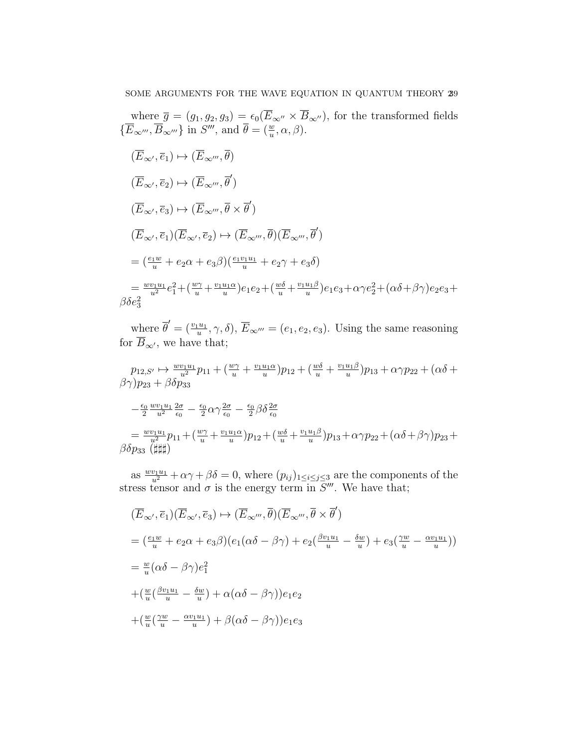where 
$$
\bar{g} = (g_1, g_2, g_3) = \epsilon_0(\overline{E}_{\infty''} \times \overline{B}_{\infty''})
$$
, for the transformed fields  
\n $\{\overline{E}_{\infty'''}, \overline{B}_{\infty'''}\}$  in  $S'''$ , and  $\overline{\theta} = (\frac{w}{u}, \alpha, \beta)$ .  
\n $(\overline{E}_{\infty'}, \overline{e}_1) \mapsto (\overline{E}_{\infty'''}, \overline{\theta})$   
\n $(\overline{E}_{\infty'}, \overline{e}_2) \mapsto (\overline{E}_{\infty'''}, \overline{\theta}')$   
\n $(\overline{E}_{\infty'}, \overline{e}_3) \mapsto (\overline{E}_{\infty'''}, \overline{\theta} \times \overline{\theta}')$   
\n $(\overline{E}_{\infty'}, \overline{e}_1)(\overline{E}_{\infty'}, \overline{e}_2) \mapsto (\overline{E}_{\infty'''}, \overline{\theta})(\overline{E}_{\infty'''}, \overline{\theta}')$   
\n $= (\frac{e_1w}{u} + e_2\alpha + e_3\beta)(\frac{e_1v_1u_1}{u} + e_2\gamma + e_3\delta)$   
\n $= \frac{w_1u_1}{u^2}e_1^2 + (\frac{w_1}{u} + \frac{v_1u_1\alpha}{u})e_1e_2 + (\frac{w_0}{u} + \frac{v_1u_1\beta}{u})e_1e_3 + \alpha\gamma e_2^2 + (\alpha\delta + \beta\gamma)e_2e_3 + \beta\delta e_3^2$ 

where  $\overline{\theta}' = (\frac{v_1 u_1}{u}, \gamma, \delta), \ \overline{E}_{\infty'''} = (e_1, e_2, e_3)$ . Using the same reasoning for  $B_{\infty}$ , we have that;

$$
p_{12,S'} \mapsto \frac{w v_1 u_1}{u^2} p_{11} + \left(\frac{w \gamma}{u} + \frac{v_1 u_1 \alpha}{u}\right) p_{12} + \left(\frac{w \delta}{u} + \frac{v_1 u_1 \beta}{u}\right) p_{13} + \alpha \gamma p_{22} + \left(\alpha \delta + \beta \gamma\right) p_{23} + \beta \delta p_{33}
$$
  

$$
-\frac{\epsilon_0}{2} \frac{w v_1 u_1}{u^2} \frac{2\sigma}{\epsilon_0} - \frac{\epsilon_0}{2} \alpha \gamma \frac{2\sigma}{\epsilon_0} - \frac{\epsilon_0}{2} \beta \delta \frac{2\sigma}{\epsilon_0}
$$
  

$$
= \frac{w v_1 u_1}{u^2} p_{11} + \left(\frac{w \gamma}{u} + \frac{v_1 u_1 \alpha}{u}\right) p_{12} + \left(\frac{w \delta}{u} + \frac{v_1 u_1 \beta}{u}\right) p_{13} + \alpha \gamma p_{22} + \left(\alpha \delta + \beta \gamma\right) p_{23} + \beta \delta p_{33} \left(\sharp \sharp \sharp\right)
$$

as  $\frac{wv_1u_1}{u^2} + \alpha \gamma + \beta \delta = 0$ , where  $(p_{ij})_{1 \le i \le j \le 3}$  are the components of the stress tensor and  $\sigma$  is the energy term in  $\overline{S}'''$ . We have that;

$$
\begin{aligned}\n(\overline{E}_{\infty'}, \overline{e}_1)(\overline{E}_{\infty'}, \overline{e}_3) &\mapsto (\overline{E}_{\infty''}, \overline{\theta})(\overline{E}_{\infty'''}, \overline{\theta} \times \overline{\theta}') \\
&= (\frac{e_1 w}{u} + e_2 \alpha + e_3 \beta)(e_1(\alpha \delta - \beta \gamma) + e_2(\frac{\beta v_1 u_1}{u} - \frac{\delta w}{u}) + e_3(\frac{\gamma w}{u} - \frac{\alpha v_1 u_1}{u})) \\
&= \frac{w}{u}(\alpha \delta - \beta \gamma)e_1^2 \\
&+ (\frac{w}{u}(\frac{\beta v_1 u_1}{u} - \frac{\delta w}{u}) + \alpha(\alpha \delta - \beta \gamma))e_1 e_2 \\
&+ (\frac{w}{u}(\frac{\gamma w}{u} - \frac{\alpha v_1 u_1}{u}) + \beta(\alpha \delta - \beta \gamma))e_1 e_3\n\end{aligned}
$$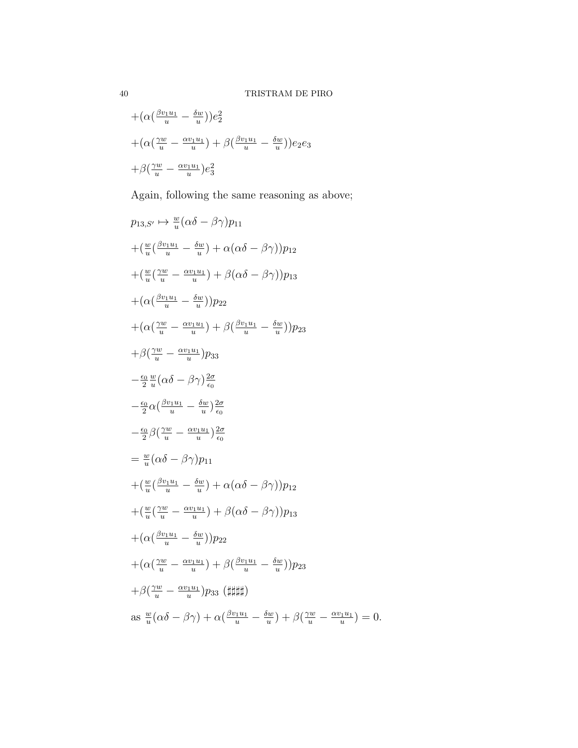$$
+(\alpha(\frac{\beta v_1 u_1}{u} - \frac{\delta w}{u}))e_2^2
$$
  
+
$$
(\alpha(\frac{\gamma w}{u} - \frac{\alpha v_1 u_1}{u}) + \beta(\frac{\beta v_1 u_1}{u} - \frac{\delta w}{u}))e_2e_3
$$
  
+
$$
\beta(\frac{\gamma w}{u} - \frac{\alpha v_1 u_1}{u})e_3^2
$$

Again, following the same reasoning as above;

$$
p_{13, S'} \mapsto \frac{w}{u} (\alpha \delta - \beta \gamma) p_{11}
$$
  
+ 
$$
(\frac{w}{u} (\frac{\beta v_1 u_1}{u} - \frac{\delta w}{u}) + \alpha (\alpha \delta - \beta \gamma)) p_{12}
$$
  
+ 
$$
(\frac{w}{u} (\frac{\gamma w}{u} - \frac{\alpha v_1 u_1}{u}) + \beta (\alpha \delta - \beta \gamma)) p_{13}
$$
  
+ 
$$
(\alpha (\frac{\beta v_1 u_1}{u} - \frac{\delta w}{u})) p_{22}
$$
  
+ 
$$
(\alpha (\frac{\gamma w}{u} - \frac{\alpha v_1 u_1}{u}) + \beta (\frac{\beta v_1 u_1}{u} - \frac{\delta w}{u})) p_{23}
$$
  
+ 
$$
\beta (\frac{\gamma w}{u} - \frac{\alpha v_1 u_1}{u}) p_{33}
$$
  
- 
$$
\frac{\epsilon_0}{2} \frac{w}{u} (\alpha \delta - \beta \gamma) \frac{2\sigma}{\epsilon_0}
$$
  
- 
$$
\frac{\epsilon_0}{2} \alpha (\frac{\beta v_1 u_1}{u} - \frac{\delta w}{u}) \frac{2\sigma}{\epsilon_0}
$$
  
= 
$$
\frac{w}{u} (\alpha \delta - \beta \gamma) p_{11}
$$
  
+ 
$$
(\frac{w}{u} (\frac{\beta v_1 u_1}{u} - \frac{\delta w}{u}) + \alpha (\alpha \delta - \beta \gamma)) p_{12}
$$
  
+ 
$$
(\frac{w}{u} (\frac{\beta v_1 u_1}{u} - \frac{\delta w}{u}) + \beta (\alpha \delta - \beta \gamma)) p_{13}
$$
  
+ 
$$
(\alpha (\frac{\beta v_1 u_1}{u} - \frac{\delta w}{u})) p_{22}
$$
  
+ 
$$
(\alpha (\frac{\beta v_1 u_1}{u} - \frac{\delta w}{u})) p_{23}
$$
  
+ 
$$
\beta (\frac{\gamma w}{u} - \frac{\alpha v_1 u_1}{u}) + \beta (\frac{\beta v_1 u_1}{u} - \frac{\delta w}{u})) p_{23}
$$
  
+ 
$$
\beta (\frac{\gamma w}{u} - \frac{\alpha v_1 u_1}{u}) p_{33}
$$
( $\sharp\sharp\sharp\sharp$ )  
as  $\frac{w}{u} (\alpha \delta - \beta \gamma) + \alpha (\frac{\beta v_$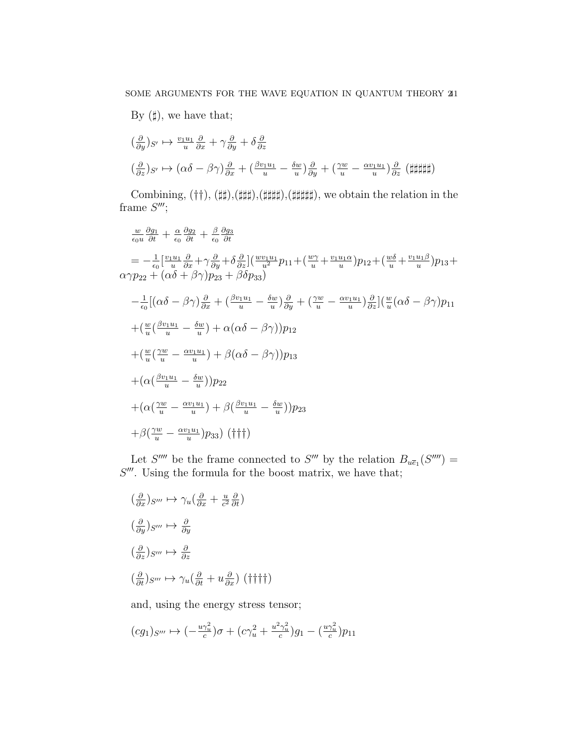By  $(\sharp)$ , we have that;

$$
\begin{aligned}\n\left(\frac{\partial}{\partial y}\right)_{S'} &\mapsto \frac{v_1 u_1}{u} \frac{\partial}{\partial x} + \gamma \frac{\partial}{\partial y} + \delta \frac{\partial}{\partial z} \\
\left(\frac{\partial}{\partial z}\right)_{S'} &\mapsto \left(\alpha \delta - \beta \gamma\right)_{\partial x} \frac{\partial}{\partial x} + \left(\frac{\beta v_1 u_1}{u} - \frac{\delta w}{u}\right)_{\partial y} \frac{\partial}{\partial y} + \left(\frac{\gamma w}{u} - \frac{\alpha v_1 u_1}{u}\right)_{\partial z} \left(\frac{1}{2} \frac{1}{2} \frac{1}{2} \frac{1}{2} \frac{1}{2} \frac{1}{2} \frac{1}{2} \frac{1}{2} \frac{1}{2} \frac{1}{2} \frac{1}{2} \frac{1}{2} \frac{1}{2} \frac{1}{2} \frac{1}{2} \frac{1}{2} \frac{1}{2} \frac{1}{2} \frac{1}{2} \frac{1}{2} \frac{1}{2} \frac{1}{2} \frac{1}{2} \frac{1}{2} \frac{1}{2} \frac{1}{2} \frac{1}{2} \frac{1}{2} \frac{1}{2} \frac{1}{2} \frac{1}{2} \frac{1}{2} \frac{1}{2} \frac{1}{2} \frac{1}{2} \frac{1}{2} \frac{1}{2} \frac{1}{2} \frac{1}{2} \frac{1}{2} \frac{1}{2} \frac{1}{2} \frac{1}{2} \frac{1}{2} \frac{1}{2} \frac{1}{2} \frac{1}{2} \frac{1}{2} \frac{1}{2} \frac{1}{2} \frac{1}{2} \frac{1}{2} \frac{1}{2} \frac{1}{2} \frac{1}{2} \frac{1}{2} \frac{1}{2} \frac{1}{2} \frac{1}{2} \frac{1}{2} \frac{1}{2} \frac{1}{2} \frac{1}{2} \frac{1}{2} \frac{1}{2} \frac{1}{2} \frac{1}{2} \frac{1}{2} \frac{1}{2} \frac{1}{2} \frac{1}{2} \frac{1}{2} \frac{1}{2} \frac{1}{2} \frac{1}{2} \frac{1}{2} \frac{1}{2} \frac{1}{2} \frac{1}{2} \frac{1}{2} \frac{
$$

Combining,  $(\dagger\dagger)$ ,  $(\dagger\dagger)$ , $(\dagger\dagger\dagger\dagger)$ , $(\dagger\dagger\dagger\dagger\dagger\dagger)$ , we obtain the relation in the frame  $S^{\prime\prime\prime}$ ;

$$
\frac{w}{\epsilon_0 u} \frac{\partial g_1}{\partial t} + \frac{\alpha}{\epsilon_0} \frac{\partial g_2}{\partial t} + \frac{\beta}{\epsilon_0} \frac{\partial g_3}{\partial t}
$$
\n
$$
= -\frac{1}{\epsilon_0} \left[ \frac{v_1 u_1}{u} \frac{\partial}{\partial x} + \gamma \frac{\partial}{\partial y} + \delta \frac{\partial}{\partial z} \right] \left( \frac{w v_1 u_1}{u^2} p_{11} + \left( \frac{w \gamma}{u} + \frac{v_1 u_1 \alpha}{u} \right) p_{12} + \left( \frac{w \delta}{u} + \frac{v_1 u_1 \beta}{u} \right) p_{13} + \alpha \gamma p_{22} + \left( \alpha \delta + \beta \gamma \right) p_{23} + \beta \delta p_{33} \right)
$$
\n
$$
- \frac{1}{\epsilon_0} \left[ \left( \alpha \delta - \beta \gamma \right) \frac{\partial}{\partial x} + \left( \frac{\beta v_1 u_1}{u} - \frac{\delta w}{u} \right) \frac{\partial}{\partial y} + \left( \frac{\gamma w}{u} - \frac{\alpha v_1 u_1}{u} \right) \frac{\partial}{\partial z} \right] \left( \frac{w}{u} \left( \alpha \delta - \beta \gamma \right) p_{11} + \left( \frac{w}{u} \left( \frac{\beta v_1 u_1}{u} - \frac{\delta w}{u} \right) + \alpha \left( \alpha \delta - \beta \gamma \right) \right) p_{12} + \left( \frac{w}{u} \left( \frac{\gamma w}{u} - \frac{\alpha v_1 u_1}{u} \right) + \beta \left( \alpha \delta - \beta \gamma \right) \right) p_{13} + \left( \alpha \left( \frac{\beta v_1 u_1}{u} - \frac{\delta w}{u} \right) \right) p_{22} + \left( \alpha \left( \frac{\gamma w}{u} - \frac{\alpha v_1 u_1}{u} \right) + \beta \left( \frac{\beta v_1 u_1}{u} - \frac{\delta w}{u} \right) \right) p_{23} + \beta \left( \frac{\gamma w}{u} - \frac{\alpha v_1 u_1}{u} \right) p_{33} \right) \left( \dagger \dagger \dagger \right)
$$

Let S''' be the frame connected to S''' by the relation  $B_{u\bar{e}_1}(S''') =$  $S'''$ . Using the formula for the boost matrix, we have that;

$$
\begin{aligned}\n\left(\frac{\partial}{\partial x}\right)_{S'''} &\mapsto \gamma_u \left(\frac{\partial}{\partial x} + \frac{u}{c^2} \frac{\partial}{\partial t}\right) \\
\left(\frac{\partial}{\partial y}\right)_{S'''} &\mapsto \frac{\partial}{\partial y} \\
\left(\frac{\partial}{\partial z}\right)_{S'''} &\mapsto \frac{\partial}{\partial z} \\
\left(\frac{\partial}{\partial t}\right)_{S'''} &\mapsto \gamma_u \left(\frac{\partial}{\partial t} + u \frac{\partial}{\partial x}\right) \left(\dagger \dagger \dagger \dagger\right)\n\end{aligned}
$$

and, using the energy stress tensor;

$$
(cg_1)_{S'''}\mapsto (-\tfrac{u\gamma_u^2}{c})\sigma+(c\gamma_u^2+\tfrac{u^2\gamma_u^2}{c})g_1-(\tfrac{u\gamma_u^2}{c})p_{11}
$$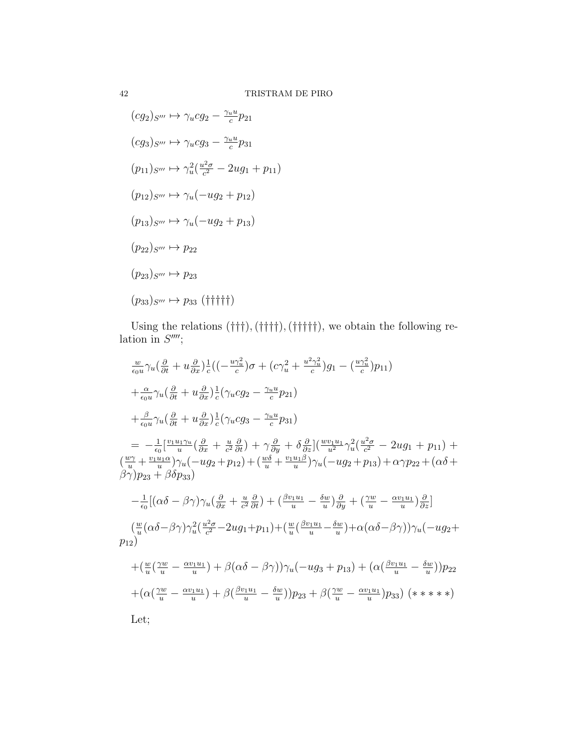$$
(cg_2)_{S'''} \mapsto \gamma_u cg_2 - \frac{\gamma_u u}{c} p_{21}
$$
  
\n
$$
(cg_3)_{S'''} \mapsto \gamma_u cg_3 - \frac{\gamma_u u}{c} p_{31}
$$
  
\n
$$
(p_{11})_{S'''} \mapsto \gamma_u^2(\frac{u^2\sigma}{c^2} - 2ug_1 + p_{11})
$$
  
\n
$$
(p_{12})_{S'''} \mapsto \gamma_u(-ug_2 + p_{12})
$$
  
\n
$$
(p_{13})_{S'''} \mapsto \gamma_u(-ug_2 + p_{13})
$$
  
\n
$$
(p_{22})_{S'''} \mapsto p_{22}
$$
  
\n
$$
(p_{23})_{S'''} \mapsto p_{23}
$$
  
\n
$$
(p_{33})_{S'''} \mapsto p_{33}
$$
 (fififf)

Using the relations  $(\dagger\dagger\dagger),(\dagger\dagger\dagger\dagger\dagger),(\dagger\dagger\dagger\dagger\dagger)$ , we obtain the following relation in  $S^{\prime\prime\prime\prime}$ ;

$$
\frac{w}{\epsilon_0 u} \gamma_u \left(\frac{\partial}{\partial t} + u \frac{\partial}{\partial x}\right) \frac{1}{c} \left( \left(-\frac{u\gamma_u^2}{c}\right)\sigma + \left(c\gamma_u^2 + \frac{u^2\gamma_u^2}{c}\right)g_1 - \left(\frac{u\gamma_u^2}{c}\right)p_{11} \right) \n+ \frac{\alpha}{\epsilon_0 u} \gamma_u \left(\frac{\partial}{\partial t} + u \frac{\partial}{\partial x}\right) \frac{1}{c} \left(\gamma_u c g_2 - \frac{\gamma_u u}{c} p_{21}\right) \n+ \frac{\beta}{\epsilon_0 u} \gamma_u \left(\frac{\partial}{\partial t} + u \frac{\partial}{\partial x}\right) \frac{1}{c} \left(\gamma_u c g_3 - \frac{\gamma_u u}{c} p_{31}\right) \n= -\frac{1}{\epsilon_0} \left[\frac{v_1 u_1 \gamma_u}{u} \left(\frac{\partial}{\partial x} + \frac{u}{c^2} \frac{\partial}{\partial t}\right) + \gamma \frac{\partial}{\partial y} + \delta \frac{\partial}{\partial z}\right] \left(\frac{w_1 u_1}{u^2} \gamma_u^2 \left(\frac{u^2 \sigma}{c^2} - 2u g_1 + p_{11}\right) + \left(\frac{w}{u} + \frac{v_1 u_1 \alpha}{u}\right) \gamma_u \left(-u g_2 + p_{12}\right) + \left(\frac{w \delta}{u} + \frac{v_1 u_1 \beta}{u}\right) \gamma_u \left(-u g_2 + p_{13}\right) + \alpha \gamma p_{22} + \left(\alpha \delta + \beta \gamma\right) p_{23} + \beta \delta p_{33}\right) \n- \frac{1}{\epsilon_0} \left[ \left(\alpha \delta - \beta \gamma\right) \gamma_u \left(\frac{\partial}{\partial x} + \frac{u}{c^2} \frac{\partial}{\partial t}\right) + \left(\frac{\beta v_1 u_1}{u} - \frac{\delta w}{u}\right) \frac{\partial}{\partial y} + \left(\frac{\gamma w}{u} - \frac{\alpha v_1 u_1}{u}\right) \frac{\partial}{\partial z}\right] \n\left(\frac{w}{u} \left(\alpha \delta - \beta \gamma\right) \gamma_u^2 \left(\frac{u^2 \sigma}{c^2} - 2u g_1 + p_{11}\right) + \left(\frac{w}{u}
$$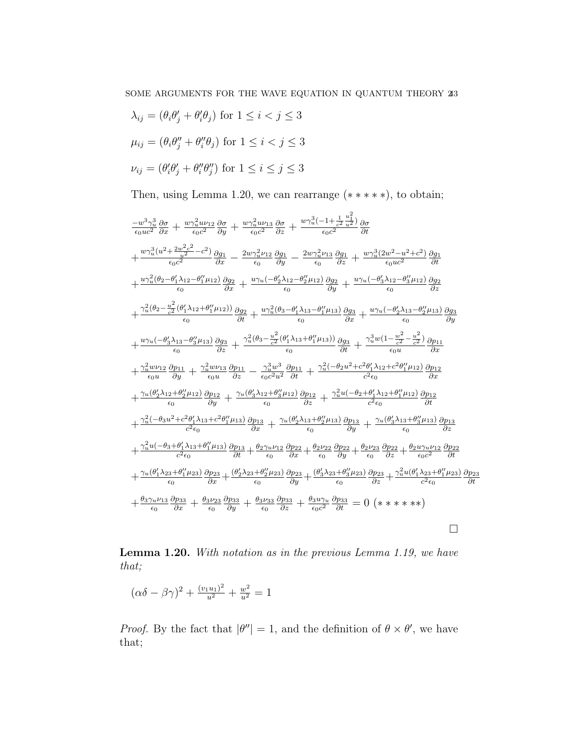$$
\lambda_{ij} = (\theta_i \theta'_j + \theta'_i \theta_j) \text{ for } 1 \le i < j \le 3
$$
  

$$
\mu_{ij} = (\theta_i \theta''_j + \theta''_i \theta_j) \text{ for } 1 \le i < j \le 3
$$
  

$$
\nu_{ij} = (\theta'_i \theta'_j + \theta''_i \theta''_j) \text{ for } 1 \le i \le j \le 3
$$

Then, using Lemma 1.20, we can rearrange  $(*****)$ , to obtain;

$$
\frac{-w^3 \gamma_u^3 \frac{\partial}{\partial x} + \frac{w \gamma_u^2 u \nu_{12}}{\epsilon_0 c^2} \frac{\partial \sigma}{\partial y} + \frac{w \gamma_u^2 u \nu_{13}}{\epsilon_0 c^2} \frac{\partial \sigma}{\partial z} + \frac{w \gamma_u^3 (-1 + \frac{u^2}{c^2} \frac{1}{u^2})}{\epsilon_0 c^2} \frac{\partial \sigma}{\partial t}
$$
\n
$$
+ \frac{w \gamma_u^3 (u^2 + \frac{2w^2 c^2}{2} - c^2)}{\epsilon_0 c^2} \frac{\partial g_1}{\partial x} - \frac{2w \gamma_u^2 \nu_{12}}{\epsilon_0} \frac{\partial g_1}{\partial y} - \frac{2w \gamma_u^2 \nu_{13}}{\epsilon_0} \frac{\partial g_1}{\partial z} + \frac{w \gamma_u^3 (2w^2 - u^2 + c^2)}{\epsilon_0 u c^2} \frac{\partial g_1}{\partial t}
$$
\n
$$
+ \frac{w \gamma_u^3 (\theta_2 - \theta_1' \lambda_{12} - \theta_1'' \mu_{12})}{\epsilon_0} \frac{\partial g_2}{\partial x} + \frac{u \gamma_u (-\theta_2' \lambda_{12} - \theta_2'' \mu_{12})}{\epsilon_0} \frac{\partial g_2}{\partial y} + \frac{u \gamma_u (-\theta_3' \lambda_{12} - \theta_3'' \mu_{12})}{\epsilon_0} \frac{\partial g_2}{\partial z}
$$
\n
$$
+ \frac{\gamma_u^2 (\theta_2 - \frac{u^2}{c^2} (\theta_1' \lambda_{12} + \theta_1'' \mu_{12}))}{\epsilon_0} \frac{\partial g_2}{\partial x} + \frac{u \gamma_u (\theta_3 - \theta_1' \lambda_{13} - \theta_1'' \mu_{13})}{\epsilon_0} \frac{\partial g_3}{\partial x} + \frac{w \gamma_u (-\theta_3' \lambda_{12} - \theta_2'' \mu_{13})}{\epsilon_0} \frac{\partial g_3}{\partial y}
$$
\n
$$
+ \frac{u \gamma_u (-\theta_3' \lambda_{13} - \theta_3'' \mu_{13})}{\epsilon_0} \frac{\partial g_3}{\partial z} + \frac{\gamma_u^2 (\theta_3 - \frac{u^2}{c^2} (\theta_1' \lambda_{13} + \theta
$$

Lemma 1.20. With notation as in the previous Lemma 1.19, we have that;

$$
(\alpha \delta - \beta \gamma)^2 + \frac{(v_1 u_1)^2}{u^2} + \frac{w^2}{u^2} = 1
$$

*Proof.* By the fact that  $|\theta''|=1$ , and the definition of  $\theta \times \theta'$ , we have that;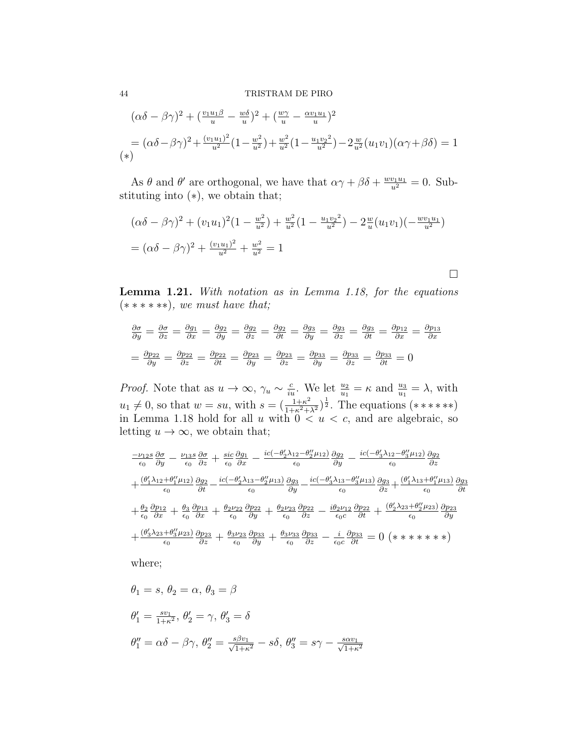## 44 TRISTRAM DE PIRO

$$
(\alpha \delta - \beta \gamma)^2 + (\frac{v_1 u_1 \beta}{u} - \frac{w \delta}{u})^2 + (\frac{w \gamma}{u} - \frac{\alpha v_1 u_1}{u})^2
$$
  
=  $(\alpha \delta - \beta \gamma)^2 + \frac{(v_1 u_1)^2}{u^2} (1 - \frac{w^2}{u^2}) + \frac{w^2}{u^2} (1 - \frac{u_1 v_2^2}{u^2}) - 2 \frac{w}{u^2} (u_1 v_1)(\alpha \gamma + \beta \delta) = 1$   
(\*)

As  $\theta$  and  $\theta'$  are orthogonal, we have that  $\alpha\gamma + \beta\delta + \frac{w v_1 u_1}{u^2} = 0$ . Substituting into (∗), we obtain that;

$$
(\alpha\delta - \beta\gamma)^2 + (v_1u_1)^2(1 - \frac{w^2}{u^2}) + \frac{w^2}{u^2}(1 - \frac{u_1v_2^2}{u^2}) - 2\frac{w}{u}(u_1v_1)(-\frac{wv_1u_1}{u^2})
$$
  
=  $(\alpha\delta - \beta\gamma)^2 + \frac{(v_1u_1)^2}{u^2} + \frac{w^2}{u^2} = 1$ 

Lemma 1.21. With notation as in Lemma 1.18, for the equations  $(* *******), we must have that;$ 

 $\Box$ 

$$
\frac{\partial \sigma}{\partial y} = \frac{\partial \sigma}{\partial z} = \frac{\partial g_1}{\partial x} = \frac{\partial g_2}{\partial y} = \frac{\partial g_2}{\partial z} = \frac{\partial g_2}{\partial t} = \frac{\partial g_3}{\partial y} = \frac{\partial g_3}{\partial z} = \frac{\partial g_3}{\partial t} = \frac{\partial p_{12}}{\partial x} = \frac{\partial p_{13}}{\partial x}
$$

$$
= \frac{\partial p_{22}}{\partial y} = \frac{\partial p_{22}}{\partial z} = \frac{\partial p_{22}}{\partial t} = \frac{\partial p_{23}}{\partial y} = \frac{\partial p_{23}}{\partial z} = \frac{\partial p_{33}}{\partial y} = \frac{\partial p_{33}}{\partial z} = \frac{\partial p_{33}}{\partial t} = 0
$$

*Proof.* Note that as  $u \to \infty$ ,  $\gamma_u \sim \frac{c}{iu}$ . We let  $\frac{u_2}{u_1} = \kappa$  and  $\frac{u_3}{u_1} = \lambda$ , with  $u_1 \neq 0$ , so that  $w = su$ , with  $s = (\frac{1+\kappa^2}{1+\kappa^2+\lambda^2})^{\frac{1}{2}}$ . The equations  $(******)$ in Lemma 1.18 hold for all u with  $0 < u < c$ , and are algebraic, so letting  $u \to \infty$ , we obtain that;

$$
\frac{-\nu_{12}s}{\epsilon_{0}}\frac{\partial\sigma}{\partial y} - \frac{\nu_{13}s}{\epsilon_{0}}\frac{\partial\sigma}{\partial z} + \frac{\text{sic } \partial g_{1}}{\epsilon_{0}} - \frac{\text{ic}(-\theta_{2}^{\prime}\lambda_{12}-\theta_{2}^{\prime}\mu_{12})}{\epsilon_{0}}\frac{\partial g_{2}}{\partial y} - \frac{\text{ic}(-\theta_{3}^{\prime}\lambda_{12}-\theta_{3}^{\prime}\mu_{12})}{\epsilon_{0}}\frac{\partial g_{2}}{\partial z} \n+ \frac{(\theta_{1}^{\prime}\lambda_{12}+\theta_{1}^{\prime\prime}\mu_{12})}{\epsilon_{0}}\frac{\partial g_{2}}{\partial t} - \frac{\text{ic}(-\theta_{2}^{\prime}\lambda_{13}-\theta_{2}^{\prime\prime}\mu_{13})}{\epsilon_{0}}\frac{\partial g_{3}}{\partial y} - \frac{\text{ic}(-\theta_{3}^{\prime}\lambda_{13}-\theta_{3}^{\prime\prime}\mu_{13})}{\epsilon_{0}}\frac{\partial g_{3}}{\partial z} + \frac{(\theta_{1}^{\prime}\lambda_{13}+\theta_{1}^{\prime\prime}\mu_{13})}{\epsilon_{0}}\frac{\partial g_{3}}{\partial t} \n+ \frac{\theta_{2}}{\epsilon_{0}}\frac{\partial p_{12}}{\partial x} + \frac{\theta_{3}}{\epsilon_{0}}\frac{\partial p_{13}}{\partial x} + \frac{\theta_{2}\nu_{22}}{\epsilon_{0}}\frac{\partial p_{22}}{\partial y} + \frac{\theta_{2}\nu_{23}}{\epsilon_{0}}\frac{\partial p_{22}}{\partial z} - \frac{\text{i}\theta_{2}\nu_{12}}{\epsilon_{0}}\frac{\partial p_{22}}{\partial t} + \frac{(\theta_{2}^{\prime}\lambda_{23}+\theta_{2}^{\prime\prime}\mu_{23})}{\epsilon_{0}}\frac{\partial p_{23}}{\partial y} \n+ \frac{(\theta_{3}^{\prime}\lambda_{23}+\theta_{3}^{\prime\prime}\mu_{23})}{\epsilon_{0}}\frac{\partial p_{23}}{\partial z} + \frac{\theta_{3}\nu_{23}}{\epsilon_{0}}\frac{\partial p_{33}}{\partial y} + \frac{\theta_{3}\nu_{33}}{\epsilon_{0}}\frac{\partial p_{33}}{\partial z} - \frac{\text{i}}{\epsilon_{0}c}\frac{\partial p_{33}}{\partial t} = 0 (\text{***
$$

where;

$$
\theta_1 = s, \ \theta_2 = \alpha, \ \theta_3 = \beta
$$
  

$$
\theta'_1 = \frac{s v_1}{1 + \kappa^2}, \ \theta'_2 = \gamma, \ \theta'_3 = \delta
$$
  

$$
\theta''_1 = \alpha \delta - \beta \gamma, \ \theta''_2 = \frac{s \beta v_1}{\sqrt{1 + \kappa^2}} - s \delta, \ \theta''_3 = s \gamma - \frac{s \alpha v_1}{\sqrt{1 + \kappa^2}}
$$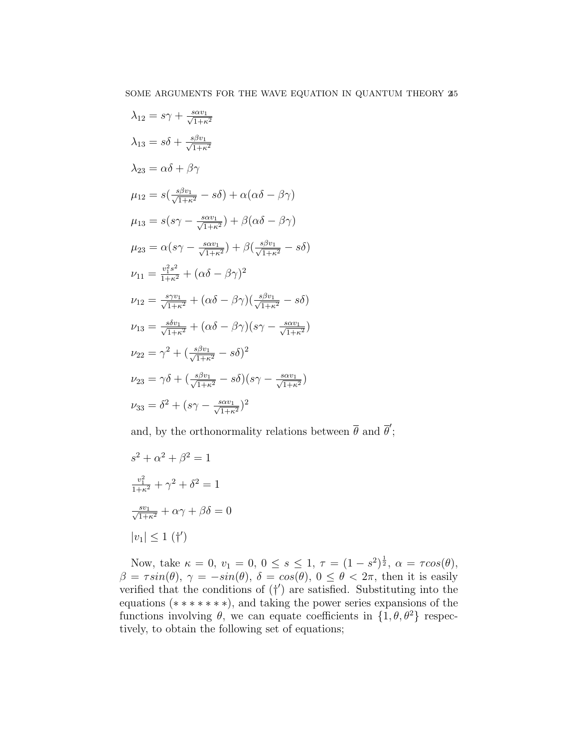$$
\lambda_{12} = s\gamma + \frac{s\alpha v_1}{\sqrt{1+\kappa^2}}
$$
  
\n
$$
\lambda_{13} = s\delta + \frac{s\beta v_1}{\sqrt{1+\kappa^2}}
$$
  
\n
$$
\lambda_{23} = \alpha\delta + \beta\gamma
$$
  
\n
$$
\mu_{12} = s\left(\frac{s\beta v_1}{\sqrt{1+\kappa^2}} - s\delta\right) + \alpha(\alpha\delta - \beta\gamma)
$$
  
\n
$$
\mu_{13} = s(s\gamma - \frac{s\alpha v_1}{\sqrt{1+\kappa^2}}) + \beta(\alpha\delta - \beta\gamma)
$$
  
\n
$$
\mu_{23} = \alpha(s\gamma - \frac{s\alpha v_1}{\sqrt{1+\kappa^2}}) + \beta\left(\frac{s\beta v_1}{\sqrt{1+\kappa^2}} - s\delta\right)
$$
  
\n
$$
\nu_{11} = \frac{v_1^2 s^2}{1+\kappa^2} + (\alpha\delta - \beta\gamma)^2
$$
  
\n
$$
\nu_{12} = \frac{s\gamma v_1}{\sqrt{1+\kappa^2}} + (\alpha\delta - \beta\gamma)\left(\frac{s\beta v_1}{\sqrt{1+\kappa^2}} - s\delta\right)
$$
  
\n
$$
\nu_{13} = \frac{s\delta v_1}{\sqrt{1+\kappa^2}} + (\alpha\delta - \beta\gamma)(s\gamma - \frac{s\alpha v_1}{\sqrt{1+\kappa^2}})
$$
  
\n
$$
\nu_{22} = \gamma^2 + \left(\frac{s\beta v_1}{\sqrt{1+\kappa^2}} - s\delta\right)^2
$$
  
\n
$$
\nu_{23} = \gamma\delta + \left(\frac{s\beta v_1}{\sqrt{1+\kappa^2}} - s\delta\right)(s\gamma - \frac{s\alpha v_1}{\sqrt{1+\kappa^2}})
$$
  
\n
$$
\nu_{33} = \delta^2 + (s\gamma - \frac{s\alpha v_1}{\sqrt{1+\kappa^2}})^2
$$

and, by the orthonormality relations between  $\bar{\theta}$  and  $\bar{\theta}'$ ;

$$
s^{2} + \alpha^{2} + \beta^{2} = 1
$$

$$
\frac{v_{1}^{2}}{1 + \kappa^{2}} + \gamma^{2} + \delta^{2} = 1
$$

$$
\frac{s v_{1}}{\sqrt{1 + \kappa^{2}}} + \alpha \gamma + \beta \delta = 0
$$

$$
|v_{1}| \le 1 \text{ (†')}
$$

Now, take  $\kappa = 0, v_1 = 0, 0 \le s \le 1, \tau = (1 - s^2)^{\frac{1}{2}}, \alpha = \tau cos(\theta),$  $\beta = \tau sin(\theta), \gamma = -sin(\theta), \delta = cos(\theta), 0 \le \theta < 2\pi$ , then it is easily verified that the conditions of  $(†')$  are satisfied. Substituting into the equations (∗ ∗ ∗ ∗ ∗ ∗ ∗), and taking the power series expansions of the functions involving  $\theta$ , we can equate coefficients in  $\{1, \theta, \theta^2\}$  respectively, to obtain the following set of equations;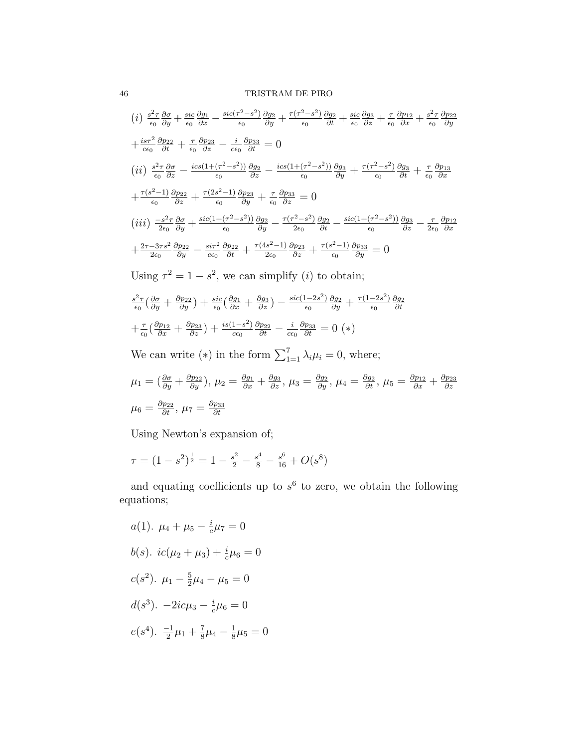# 46 TRISTRAM DE PIRO

$$
(i) \frac{s^2 \tau}{\epsilon_0} \frac{\partial \sigma}{\partial y} + \frac{\text{sic } \frac{\partial g_1}{\partial x} - \frac{\text{sic } (\tau^2 - s^2)}{\epsilon_0} \frac{\partial g_2}{\partial y} + \frac{\tau (\tau^2 - s^2)}{\epsilon_0} \frac{\partial g_2}{\partial t} + \frac{\text{sic } \frac{\partial g_3}{\partial z} + \frac{\tau}{\epsilon_0} \frac{\partial p_{12}}{\partial x} + \frac{s^2 \tau}{\epsilon_0} \frac{\partial p_{22}}{\partial y}
$$
\n
$$
+ \frac{\text{ics } \tau^2}{\epsilon_0} \frac{\partial p_{22}}{\partial t} + \frac{\tau}{\epsilon_0} \frac{\partial p_{23}}{\partial z} - \frac{\text{i}}{\epsilon_0} \frac{\partial p_{33}}{\partial z} = 0
$$
\n
$$
(ii) \frac{s^2 \tau}{\epsilon_0} \frac{\partial \sigma}{\partial z} - \frac{\text{ics } (1 + (\tau^2 - s^2))}{\epsilon_0} \frac{\partial g_2}{\partial z} - \frac{\text{ics } (1 + (\tau^2 - s^2))}{\epsilon_0} \frac{\partial g_3}{\partial y} + \frac{\tau (\tau^2 - s^2)}{\epsilon_0} \frac{\partial g_3}{\partial t} + \frac{\tau}{\epsilon_0} \frac{\partial p_{13}}{\partial x}
$$
\n
$$
+ \frac{\tau (s^2 - 1)}{\epsilon_0} \frac{\partial p_{22}}{\partial z} + \frac{\tau (2s^2 - 1)}{\epsilon_0} \frac{\partial p_{23}}{\partial y} + \frac{\tau}{\epsilon_0} \frac{\partial p_{33}}{\partial z} = 0
$$
\n
$$
(iii) \frac{-s^2 \tau}{2\epsilon_0} \frac{\partial \sigma}{\partial y} + \frac{\text{sic } (1 + (\tau^2 - s^2))}{\epsilon_0} \frac{\partial g_2}{\partial y} - \frac{\tau (\tau^2 - s^2)}{2\epsilon_0} \frac{\partial g_2}{\partial t} - \frac{\text{sic } (1 + (\tau^2 - s^2))}{\epsilon_0} \frac{\partial g_3}{\partial z} - \frac{\tau}{2\epsilon_0} \frac{\partial p_{12}}{\partial x}
$$
\n
$$
+ \frac{2\tau - 3\tau s^2}{2\epsilon_0} \frac{\partial p_{22}}{\partial y} - \frac
$$

Using  $\tau^2 = 1 - s^2$ , we can simplify (*i*) to obtain;

$$
\frac{s^2 \tau}{\epsilon_0} \left( \frac{\partial \sigma}{\partial y} + \frac{\partial p_{22}}{\partial y} \right) + \frac{\text{sic}}{\epsilon_0} \left( \frac{\partial g_1}{\partial x} + \frac{\partial g_3}{\partial z} \right) - \frac{\text{sic}(1-2s^2)}{\epsilon_0} \frac{\partial g_2}{\partial y} + \frac{\tau(1-2s^2)}{\epsilon_0} \frac{\partial g_2}{\partial t}
$$

$$
+ \frac{\tau}{\epsilon_0} \left( \frac{\partial p_{12}}{\partial x} + \frac{\partial p_{23}}{\partial z} \right) + \frac{\text{is}(1-s^2)}{\epsilon_0} \frac{\partial p_{22}}{\partial t} - \frac{i}{\epsilon_0} \frac{\partial p_{33}}{\partial t} = 0 \ (*)
$$

We can write (\*) in the form  $\sum_{1=1}^{7} \lambda_i \mu_i = 0$ , where;

$$
\mu_1 = \left(\frac{\partial \sigma}{\partial y} + \frac{\partial p_{22}}{\partial y}\right), \mu_2 = \frac{\partial g_1}{\partial x} + \frac{\partial g_3}{\partial z}, \mu_3 = \frac{\partial g_2}{\partial y}, \mu_4 = \frac{\partial g_2}{\partial t}, \mu_5 = \frac{\partial p_{12}}{\partial x} + \frac{\partial p_{23}}{\partial z}
$$

$$
\mu_6 = \frac{\partial p_{22}}{\partial t}, \mu_7 = \frac{\partial p_{33}}{\partial t}
$$

Using Newton's expansion of;

$$
\tau = (1 - s^2)^{\frac{1}{2}} = 1 - \frac{s^2}{2} - \frac{s^4}{8} - \frac{s^6}{16} + O(s^8)
$$

and equating coefficients up to  $s^6$  to zero, we obtain the following equations;

$$
a(1). \ \mu_4 + \mu_5 - \frac{i}{c}\mu_7 = 0
$$
  
\n
$$
b(s). \ \frac{ic(\mu_2 + \mu_3) + \frac{i}{c}\mu_6 = 0}{c(s^2). \ \mu_1 - \frac{5}{2}\mu_4 - \mu_5 = 0}
$$
  
\n
$$
d(s^3). \ -2ic\mu_3 - \frac{i}{c}\mu_6 = 0
$$
  
\n
$$
e(s^4). \ \frac{-1}{2}\mu_1 + \frac{7}{8}\mu_4 - \frac{1}{8}\mu_5 = 0
$$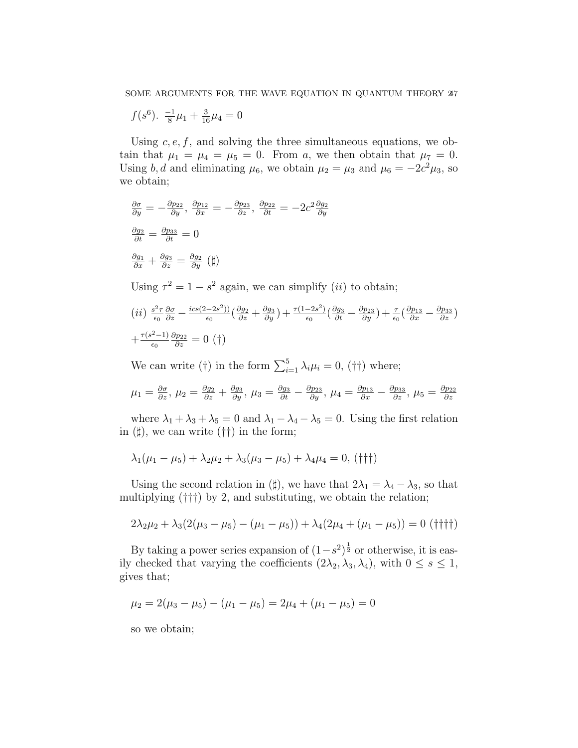$$
f(s^6)
$$
.  $\frac{-1}{8}\mu_1 + \frac{3}{16}\mu_4 = 0$ 

Using  $c, e, f$ , and solving the three simultaneous equations, we obtain that  $\mu_1 = \mu_4 = \mu_5 = 0$ . From a, we then obtain that  $\mu_7 = 0$ . Using b, d and eliminating  $\mu_6$ , we obtain  $\mu_2 = \mu_3$  and  $\mu_6 = -2c^2\mu_3$ , so we obtain;

$$
\frac{\partial \sigma}{\partial y} = -\frac{\partial p_{22}}{\partial y}, \frac{\partial p_{12}}{\partial x} = -\frac{\partial p_{23}}{\partial z}, \frac{\partial p_{22}}{\partial t} = -2c^2 \frac{\partial g_2}{\partial y}
$$

$$
\frac{\partial g_2}{\partial t} = \frac{\partial p_{33}}{\partial t} = 0
$$

$$
\frac{\partial g_1}{\partial x} + \frac{\partial g_3}{\partial z} = \frac{\partial g_2}{\partial y} (\sharp)
$$

Using  $\tau^2 = 1 - s^2$  again, we can simplify *(ii)* to obtain;

$$
(ii) \frac{s^2 \tau}{\epsilon_0} \frac{\partial \sigma}{\partial z} - \frac{i c s (2 - 2 s^2)}{\epsilon_0} \left( \frac{\partial g_2}{\partial z} + \frac{\partial g_3}{\partial y} \right) + \frac{\tau (1 - 2 s^2)}{\epsilon_0} \left( \frac{\partial g_3}{\partial t} - \frac{\partial p_{23}}{\partial y} \right) + \frac{\tau}{\epsilon_0} \left( \frac{\partial p_{13}}{\partial x} - \frac{\partial p_{33}}{\partial z} \right)
$$

$$
+ \frac{\tau (s^2 - 1)}{\epsilon_0} \frac{\partial p_{22}}{\partial z} = 0 \text{ (†)}
$$

We can write (†) in the form  $\sum_{i=1}^{5} \lambda_i \mu_i = 0$ , (††) where;

$$
\mu_1 = \frac{\partial \sigma}{\partial z}, \mu_2 = \frac{\partial g_2}{\partial z} + \frac{\partial g_3}{\partial y}, \mu_3 = \frac{\partial g_3}{\partial t} - \frac{\partial p_{23}}{\partial y}, \mu_4 = \frac{\partial p_{13}}{\partial x} - \frac{\partial p_{33}}{\partial z}, \mu_5 = \frac{\partial p_{22}}{\partial z}
$$

where  $\lambda_1 + \lambda_3 + \lambda_5 = 0$  and  $\lambda_1 - \lambda_4 - \lambda_5 = 0$ . Using the first relation in  $(\sharp)$ , we can write  $(\dagger\dagger)$  in the form;

$$
\lambda_1(\mu_1 - \mu_5) + \lambda_2 \mu_2 + \lambda_3(\mu_3 - \mu_5) + \lambda_4 \mu_4 = 0, \, (\dagger \dagger \dagger)
$$

Using the second relation in ( $\sharp$ ), we have that  $2\lambda_1 = \lambda_4 - \lambda_3$ , so that multiplying (†††) by 2, and substituting, we obtain the relation;

$$
2\lambda_2\mu_2 + \lambda_3(2(\mu_3 - \mu_5) - (\mu_1 - \mu_5)) + \lambda_4(2\mu_4 + (\mu_1 - \mu_5)) = 0 \text{ (}^{\dagger} \text{)}^{\dagger} \text{)}
$$

By taking a power series expansion of  $(1-s^2)^{\frac{1}{2}}$  or otherwise, it is easily checked that varying the coefficients  $(2\lambda_2, \lambda_3, \lambda_4)$ , with  $0 \leq s \leq 1$ , gives that;

$$
\mu_2 = 2(\mu_3 - \mu_5) - (\mu_1 - \mu_5) = 2\mu_4 + (\mu_1 - \mu_5) = 0
$$

so we obtain;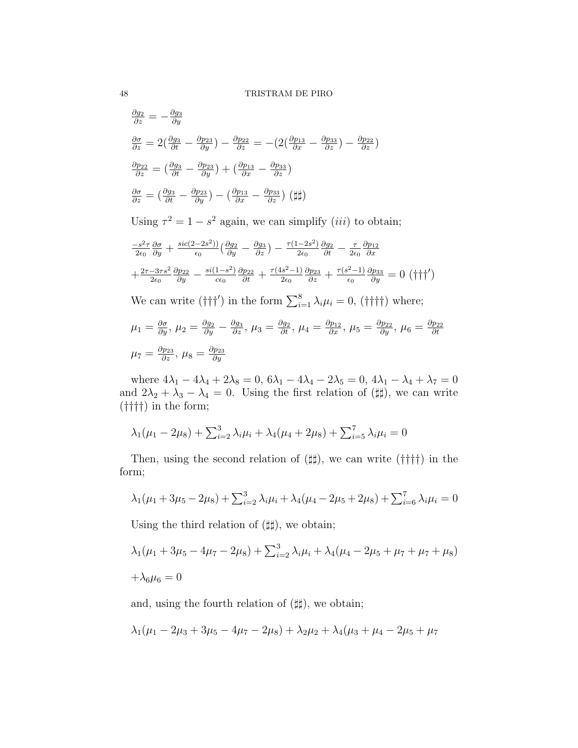$$
\frac{\partial g_2}{\partial z} = -\frac{\partial g_3}{\partial y}
$$
\n
$$
\frac{\partial \sigma}{\partial z} = 2\left(\frac{\partial g_3}{\partial t} - \frac{\partial p_{23}}{\partial y}\right) - \frac{\partial p_{22}}{\partial z} = -(2\left(\frac{\partial p_{13}}{\partial x} - \frac{\partial p_{33}}{\partial z}\right) - \frac{\partial p_{22}}{\partial z})
$$
\n
$$
\frac{\partial p_{22}}{\partial z} = \left(\frac{\partial g_3}{\partial t} - \frac{\partial p_{23}}{\partial y}\right) + \left(\frac{\partial p_{13}}{\partial x} - \frac{\partial p_{33}}{\partial z}\right)
$$
\n
$$
\frac{\partial \sigma}{\partial z} = \left(\frac{\partial g_3}{\partial t} - \frac{\partial p_{23}}{\partial y}\right) - \left(\frac{\partial p_{13}}{\partial x} - \frac{\partial p_{33}}{\partial z}\right) \left(\frac{\mu}{\mu}\right)
$$
\n
$$
\text{Using } \tau^2 = 1 - s^2 \text{ again, we can simplify } (iii) \text{ to obtain;}
$$
\n
$$
\frac{-s^2 \tau}{2\epsilon_0} \frac{\partial \sigma}{\partial y} + \frac{\text{sic}(2-2s^2)}{\epsilon_0} \left(\frac{\partial g_2}{\partial y} - \frac{\partial g_3}{\partial z}\right) - \frac{\tau(1-2s^2)}{2\epsilon_0} \frac{\partial g_2}{\partial t} - \frac{\tau}{2\epsilon_0} \frac{\partial p_{12}}{\partial x}
$$
\n
$$
+ \frac{2\tau - 3\tau s^2}{2\epsilon_0} \frac{\partial p_{22}}{\partial y} - \frac{\text{si}(1-s^2)}{\epsilon_0} \frac{\partial p_{22}}{\partial t} + \frac{\tau(4s^2-1)}{2\epsilon_0} \frac{\partial p_{23}}{\partial z} + \frac{\tau(s^2-1)}{\epsilon_0} \frac{\partial p_{33}}{\partial y} = 0 \text{ (†\uparrow}\uparrow')
$$
\n
$$
\text{We can write } (\uparrow \uparrow \uparrow') \text{ in the form } \sum_{i=1}^{8} \lambda_i \mu_i = 0, \text{ (†\uparrow}\uparrow \uparrow) \text{ where;}
$$

$$
\mu_1 = \frac{\partial \sigma}{\partial y}, \ \mu_2 = \frac{\partial g_2}{\partial y} - \frac{\partial g_3}{\partial z}, \ \mu_3 = \frac{\partial g_2}{\partial t}, \ \mu_4 = \frac{\partial p_{12}}{\partial x}, \ \mu_5 = \frac{\partial p_{22}}{\partial y}, \ \mu_6 = \frac{\partial p_{22}}{\partial t}
$$

$$
\mu_7 = \frac{\partial p_{23}}{\partial z}, \ \mu_8 = \frac{\partial p_{23}}{\partial y}
$$

where  $4\lambda_1 - 4\lambda_4 + 2\lambda_8 = 0$ ,  $6\lambda_1 - 4\lambda_4 - 2\lambda_5 = 0$ ,  $4\lambda_1 - \lambda_4 + \lambda_7 = 0$ and  $2\lambda_2 + \lambda_3 - \lambda_4 = 0$ . Using the first relation of ( $\sharp\sharp$ ), we can write (††††) in the form;

$$
\lambda_1(\mu_1 - 2\mu_8) + \sum_{i=2}^3 \lambda_i \mu_i + \lambda_4(\mu_4 + 2\mu_8) + \sum_{i=5}^7 \lambda_i \mu_i = 0
$$

Then, using the second relation of  $(\sharp \sharp)$ , we can write  $(\dag \dag \dag)$  in the form;

$$
\lambda_1(\mu_1 + 3\mu_5 - 2\mu_8) + \sum_{i=2}^3 \lambda_i \mu_i + \lambda_4(\mu_4 - 2\mu_5 + 2\mu_8) + \sum_{i=6}^7 \lambda_i \mu_i = 0
$$

Using the third relation of  $(\sharp \sharp)$ , we obtain;

$$
\lambda_1(\mu_1 + 3\mu_5 - 4\mu_7 - 2\mu_8) + \sum_{i=2}^3 \lambda_i \mu_i + \lambda_4(\mu_4 - 2\mu_5 + \mu_7 + \mu_7 + \mu_8) + \lambda_6 \mu_6 = 0
$$

and, using the fourth relation of  $(\sharp \sharp)$ , we obtain;

$$
\lambda_1(\mu_1 - 2\mu_3 + 3\mu_5 - 4\mu_7 - 2\mu_8) + \lambda_2\mu_2 + \lambda_4(\mu_3 + \mu_4 - 2\mu_5 + \mu_7)
$$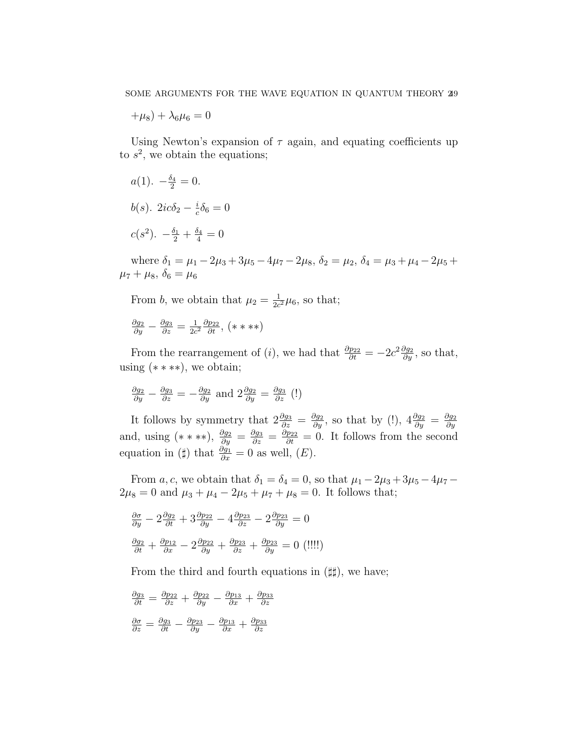$+\mu_8$ ) +  $\lambda_6\mu_6 = 0$ 

Using Newton's expansion of  $\tau$  again, and equating coefficients up to  $s^2$ , we obtain the equations;

$$
a(1) \cdot -\frac{\delta_4}{2} = 0.
$$
  

$$
b(s) \cdot 2ic\delta_2 - \frac{i}{c}\delta_6 = 0
$$
  

$$
c(s^2) \cdot -\frac{\delta_1}{2} + \frac{\delta_4}{4} = 0
$$

where  $\delta_1 = \mu_1 - 2\mu_3 + 3\mu_5 - 4\mu_7 - 2\mu_8$ ,  $\delta_2 = \mu_2$ ,  $\delta_4 = \mu_3 + \mu_4 - 2\mu_5 +$  $\mu_7 + \mu_8, \, \delta_6 = \mu_6$ 

From b, we obtain that  $\mu_2 = \frac{1}{2c}$  $\frac{1}{2c^2}\mu_6$ , so that;

$$
\frac{\partial g_2}{\partial y} - \frac{\partial g_3}{\partial z} = \frac{1}{2c^2} \frac{\partial p_{22}}{\partial t}, (\ast \ast \ast \ast)
$$

From the rearrangement of (*i*), we had that  $\frac{\partial p_{22}}{\partial t} = -2c^2 \frac{\partial g_2}{\partial y}$ , so that, using  $(****),$  we obtain;

$$
\frac{\partial g_2}{\partial y} - \frac{\partial g_3}{\partial z} = -\frac{\partial g_2}{\partial y}
$$
 and  $2\frac{\partial g_2}{\partial y} = \frac{\partial g_3}{\partial z}$  (!)

It follows by symmetry that  $2\frac{\partial g_3}{\partial z} = \frac{\partial g_2}{\partial y}$ , so that by (!),  $4\frac{\partial g_2}{\partial y} = \frac{\partial g_2}{\partial y}$ ∂y and, using  $(***)$ ,  $\frac{\partial g_2}{\partial y} = \frac{\partial g_3}{\partial z} = \frac{\partial p_{22}}{\partial t} = 0$ . It follows from the second equation in ( $\sharp$ ) that  $\frac{\partial g_1}{\partial x} = 0$  as well,  $(E)$ .

From a, c, we obtain that  $\delta_1 = \delta_4 = 0$ , so that  $\mu_1 - 2\mu_3 + 3\mu_5 - 4\mu_7 2\mu_8 = 0$  and  $\mu_3 + \mu_4 - 2\mu_5 + \mu_7 + \mu_8 = 0$ . It follows that;

$$
\frac{\partial \sigma}{\partial y} - 2 \frac{\partial g_2}{\partial t} + 3 \frac{\partial p_{22}}{\partial y} - 4 \frac{\partial p_{23}}{\partial z} - 2 \frac{\partial p_{23}}{\partial y} = 0
$$
  

$$
\frac{\partial g_2}{\partial t} + \frac{\partial p_{12}}{\partial x} - 2 \frac{\partial p_{22}}{\partial y} + \frac{\partial p_{23}}{\partial z} + \frac{\partial p_{23}}{\partial y} = 0 \text{ (}111\text{)}
$$

From the third and fourth equations in  $(\sharp \sharp)$ , we have;

$$
\frac{\partial g_3}{\partial t} = \frac{\partial p_{22}}{\partial z} + \frac{\partial p_{22}}{\partial y} - \frac{\partial p_{13}}{\partial x} + \frac{\partial p_{33}}{\partial z}
$$

$$
\frac{\partial \sigma}{\partial z} = \frac{\partial g_3}{\partial t} - \frac{\partial p_{23}}{\partial y} - \frac{\partial p_{13}}{\partial x} + \frac{\partial p_{33}}{\partial z}
$$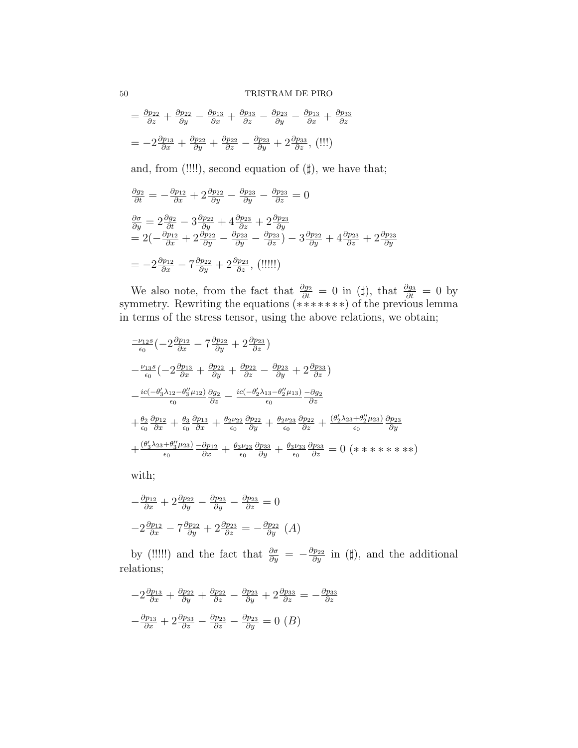$$
= \frac{\partial p_{22}}{\partial z} + \frac{\partial p_{22}}{\partial y} - \frac{\partial p_{13}}{\partial x} + \frac{\partial p_{33}}{\partial z} - \frac{\partial p_{23}}{\partial y} - \frac{\partial p_{13}}{\partial x} + \frac{\partial p_{33}}{\partial z}
$$

$$
= -2\frac{\partial p_{13}}{\partial x} + \frac{\partial p_{22}}{\partial y} + \frac{\partial p_{22}}{\partial z} - \frac{\partial p_{23}}{\partial y} + 2\frac{\partial p_{33}}{\partial z}, \text{(III)}
$$

and, from (!!!!), second equation of  $(\sharp)$ , we have that;

$$
\frac{\partial g_2}{\partial t} = -\frac{\partial p_{12}}{\partial x} + 2\frac{\partial p_{22}}{\partial y} - \frac{\partial p_{23}}{\partial y} - \frac{\partial p_{23}}{\partial z} = 0
$$
  

$$
\frac{\partial \sigma}{\partial y} = 2\frac{\partial g_2}{\partial t} - 3\frac{\partial p_{22}}{\partial y} + 4\frac{\partial p_{23}}{\partial z} + 2\frac{\partial p_{23}}{\partial y}
$$
  

$$
= 2\left(-\frac{\partial p_{12}}{\partial x} + 2\frac{\partial p_{22}}{\partial y} - \frac{\partial p_{23}}{\partial y} - \frac{\partial p_{23}}{\partial z}\right) - 3\frac{\partial p_{22}}{\partial y} + 4\frac{\partial p_{23}}{\partial z} + 2\frac{\partial p_{23}}{\partial y}
$$
  

$$
= -2\frac{\partial p_{12}}{\partial x} - 7\frac{\partial p_{22}}{\partial y} + 2\frac{\partial p_{23}}{\partial z}, \text{ (iii!)}
$$

We also note, from the fact that  $\frac{\partial g_2}{\partial t} = 0$  in (#), that  $\frac{\partial g_3}{\partial t} = 0$  by symmetry. Rewriting the equations (\*\*\*\*\*\*\*) of the previous lemma in terms of the stress tensor, using the above relations, we obtain;

$$
\frac{-\nu_{12}s}{\epsilon_0} \left(-2\frac{\partial p_{12}}{\partial x} - 7\frac{\partial p_{22}}{\partial y} + 2\frac{\partial p_{23}}{\partial z}\right)
$$
\n
$$
-\frac{\nu_{13}s}{\epsilon_0} \left(-2\frac{\partial p_{13}}{\partial x} + \frac{\partial p_{22}}{\partial y} + \frac{\partial p_{22}}{\partial z} - \frac{\partial p_{23}}{\partial y} + 2\frac{\partial p_{33}}{\partial z}\right)
$$
\n
$$
-\frac{ic(-\theta_3'\lambda_{12}-\theta_3''\mu_{12})}{\epsilon_0} \frac{\partial g_2}{\partial z} - \frac{ic(-\theta_2'\lambda_{13}-\theta_2''\mu_{13})}{\epsilon_0} - \frac{\partial g_2}{\partial z}
$$
\n
$$
+\frac{\theta_2}{\epsilon_0} \frac{\partial p_{12}}{\partial x} + \frac{\theta_3}{\epsilon_0} \frac{\partial p_{13}}{\partial x} + \frac{\theta_2\nu_{22}}{\epsilon_0} \frac{\partial p_{22}}{\partial y} + \frac{\theta_2\nu_{23}}{\epsilon_0} \frac{\partial p_{22}}{\partial z} + \frac{(\theta_2'\lambda_{23}+\theta_2''\mu_{23})}{\epsilon_0} \frac{\partial p_{23}}{\partial y}
$$
\n
$$
+\frac{(\theta_3'\lambda_{23}+\theta_3''\mu_{23})}{\epsilon_0} - \frac{\partial p_{12}}{\partial x} + \frac{\theta_3\nu_{23}}{\epsilon_0} \frac{\partial p_{33}}{\partial y} + \frac{\theta_3\nu_{33}}{\epsilon_0} \frac{\partial p_{33}}{\partial z} = 0 \quad (*\ast\ast\ast\ast\ast\ast)
$$

with;

$$
-\frac{\partial p_{12}}{\partial x} + 2\frac{\partial p_{22}}{\partial y} - \frac{\partial p_{23}}{\partial y} - \frac{\partial p_{23}}{\partial z} = 0
$$

$$
-2\frac{\partial p_{12}}{\partial x} - 7\frac{\partial p_{22}}{\partial y} + 2\frac{\partial p_{23}}{\partial z} = -\frac{\partial p_{22}}{\partial y} (A)
$$

by (!!!!!) and the fact that  $\frac{\partial \sigma}{\partial y} = -\frac{\partial p_{22}}{\partial y}$  in (#), and the additional relations;

$$
-2\frac{\partial p_{13}}{\partial x} + \frac{\partial p_{22}}{\partial y} + \frac{\partial p_{22}}{\partial z} - \frac{\partial p_{23}}{\partial y} + 2\frac{\partial p_{33}}{\partial z} = -\frac{\partial p_{33}}{\partial z}
$$

$$
-\frac{\partial p_{13}}{\partial x} + 2\frac{\partial p_{33}}{\partial z} - \frac{\partial p_{23}}{\partial z} - \frac{\partial p_{23}}{\partial y} = 0 (B)
$$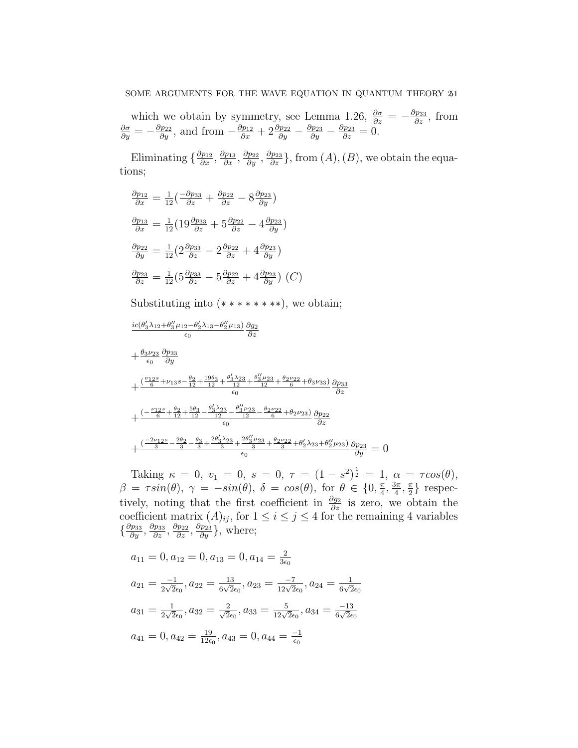which we obtain by symmetry, see Lemma 1.26,  $\frac{\partial \sigma}{\partial z} = -\frac{\partial p_{33}}{\partial z}$ , from  $\frac{\partial \sigma}{\partial y} = -\frac{\partial p_{22}}{\partial y}$ , and from  $-\frac{\partial p_{12}}{\partial x} + 2\frac{\partial p_{22}}{\partial y} - \frac{\partial p_{23}}{\partial y} - \frac{\partial p_{23}}{\partial z} = 0$ .

Eliminating  $\{\frac{\partial p_{12}}{\partial x}, \frac{\partial p_{23}}{\partial x}, \frac{\partial p_{23}}{\partial y}, \frac{\partial p_{23}}{\partial z}\}\$ , from  $(A)$ ,  $(B)$ , we obtain the equations;

$$
\frac{\partial p_{12}}{\partial x} = \frac{1}{12} \left( \frac{-\partial p_{33}}{\partial z} + \frac{\partial p_{22}}{\partial z} - 8 \frac{\partial p_{23}}{\partial y} \right)
$$

$$
\frac{\partial p_{13}}{\partial x} = \frac{1}{12} \left( 19 \frac{\partial p_{33}}{\partial z} + 5 \frac{\partial p_{22}}{\partial z} - 4 \frac{\partial p_{23}}{\partial y} \right)
$$

$$
\frac{\partial p_{22}}{\partial y} = \frac{1}{12} \left( 2 \frac{\partial p_{33}}{\partial z} - 2 \frac{\partial p_{22}}{\partial z} + 4 \frac{\partial p_{23}}{\partial y} \right)
$$

$$
\frac{\partial p_{23}}{\partial z} = \frac{1}{12} \left( 5 \frac{\partial p_{33}}{\partial z} - 5 \frac{\partial p_{22}}{\partial z} + 4 \frac{\partial p_{23}}{\partial y} \right) \left( C \right)
$$

Substituting into  $(*******),$  we obtain;

$$
\frac{i c (\theta'_3 \lambda_{12} + \theta''_3 \mu_{12} - \theta'_2 \lambda_{13} - \theta''_2 \mu_{13})}{\epsilon_0} \frac{\partial g_2}{\partial z} \n+ \frac{\theta_3 \nu_{23}}{\epsilon_0} \frac{\partial p_{33}}{\partial y} \n+ \frac{(\frac{\nu_{12}s}{6} + \nu_{13}s - \frac{\theta_2}{12} + \frac{19\theta_3}{12} + \frac{\theta'_3 \lambda_{23}}{12} + \frac{\theta'_3 \mu_{23}}{12} + \frac{\theta_2 \nu_{22}}{6} + \theta_3 \nu_{33})}{\epsilon_0} \frac{\partial p_{33}}{\partial z} \n+ \frac{(-\frac{\nu_{12}s}{6} + \frac{\theta_2}{12} + \frac{5\theta_3}{12} - \frac{\theta'_3 \lambda_{23}}{12} - \frac{\theta''_3 \mu_{23}}{12} - \frac{\theta_2 \nu_{22}}{6} + \theta_2 \nu_{23})}{\epsilon_0} \frac{\partial p_{22}}{\partial z} \n+ \frac{(\frac{-2\nu_{12}s}{3} - \frac{2\theta_2}{3} - \frac{\theta_3}{3} + \frac{2\theta'_3 \lambda_{23}}{3} + \frac{2\theta''_3 \mu_{23}}{3} + \frac{\theta_2 \nu_{22}}{3} + \theta'_2 \lambda_{23} + \theta''_2 \mu_{23})}{\theta y} \frac{\partial p_{23}}{\partial y} =
$$

Taking  $\kappa = 0, v_1 = 0, s = 0, \tau = (1 - s^2)^{\frac{1}{2}} = 1, \alpha = \tau cos(\theta),$  $\beta = \tau sin(\theta), \ \gamma = -sin(\theta), \ \delta = cos(\theta), \text{ for } \theta \in \{0, \frac{\pi}{4}\}$  $\frac{\pi}{4}, \frac{3\pi}{4}$  $\frac{3\pi}{4}, \frac{\pi}{2}$  $\frac{\pi}{2}$  respectively, noting that the first coefficient in  $\frac{\partial g_2}{\partial z}$  is zero, we obtain the coefficient matrix  $(A)_{ij}$ , for  $1 \leq i \leq j \leq 4$  for the remaining 4 variables  $\{\frac{\partial p_{33}}{\partial y}, \frac{\partial p_{33}}{\partial z}, \frac{\partial p_{22}}{\partial z}, \frac{\partial p_{23}}{\partial y}\},\text{where};$ 

 $\overline{0}$ 

$$
a_{11} = 0, a_{12} = 0, a_{13} = 0, a_{14} = \frac{2}{3\epsilon_0}
$$
  
\n
$$
a_{21} = \frac{-1}{2\sqrt{2}\epsilon_0}, a_{22} = \frac{13}{6\sqrt{2}\epsilon_0}, a_{23} = \frac{-7}{12\sqrt{2}\epsilon_0}, a_{24} = \frac{1}{6\sqrt{2}\epsilon_0}
$$
  
\n
$$
a_{31} = \frac{1}{2\sqrt{2}\epsilon_0}, a_{32} = \frac{2}{\sqrt{2}\epsilon_0}, a_{33} = \frac{5}{12\sqrt{2}\epsilon_0}, a_{34} = \frac{-13}{6\sqrt{2}\epsilon_0}
$$
  
\n
$$
a_{41} = 0, a_{42} = \frac{19}{12\epsilon_0}, a_{43} = 0, a_{44} = \frac{-1}{\epsilon_0}
$$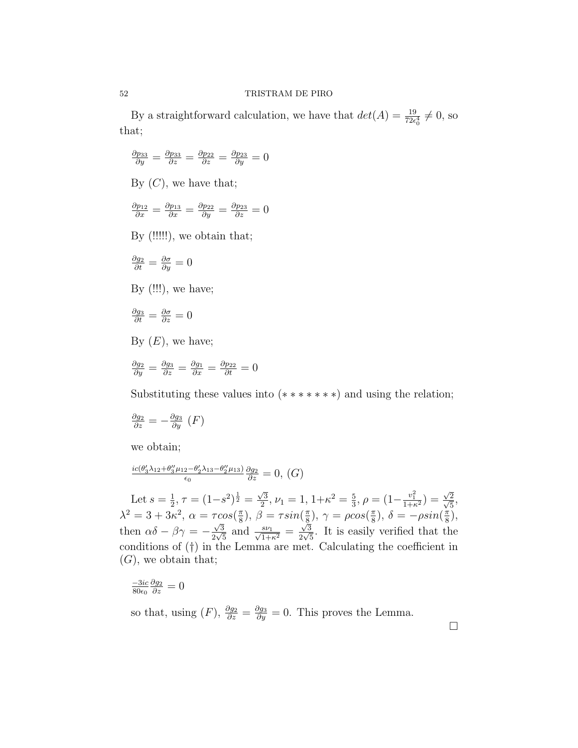By a straightforward calculation, we have that  $det(A) = \frac{19}{72\epsilon_0^4} \neq 0$ , so that;

$$
\frac{\partial p_{33}}{\partial y} = \frac{\partial p_{33}}{\partial z} = \frac{\partial p_{22}}{\partial z} = \frac{\partial p_{23}}{\partial y} = 0
$$

By  $(C)$ , we have that;

$$
\frac{\partial p_{12}}{\partial x} = \frac{\partial p_{13}}{\partial x} = \frac{\partial p_{22}}{\partial y} = \frac{\partial p_{23}}{\partial z} = 0
$$

By (!!!!!), we obtain that;

$$
\frac{\partial g_2}{\partial t} = \frac{\partial \sigma}{\partial y} = 0
$$

By  $($ !!! $)$ , we have;

$$
\tfrac{\partial g_3}{\partial t} = \tfrac{\partial \sigma}{\partial z} = 0
$$

By  $(E)$ , we have;

$$
\frac{\partial g_2}{\partial y} = \frac{\partial g_3}{\partial z} = \frac{\partial g_1}{\partial x} = \frac{\partial p_{22}}{\partial t} = 0
$$

Substituting these values into  $(*******)$  and using the relation;

$$
\frac{\partial g_2}{\partial z} = -\frac{\partial g_3}{\partial y} \left( F \right)
$$

we obtain;

$$
\frac{ic(\theta_3'\lambda_{12}+\theta_3''\mu_{12}-\theta_2'\lambda_{13}-\theta_2''\mu_{13})}{\epsilon_0}\frac{\partial g_2}{\partial z}=0, (G)
$$

Let  $s=\frac{1}{2}$  $\frac{1}{2}$ ,  $\tau = (1-s^2)^{\frac{1}{2}} =$  $\sqrt{3}$  $\frac{\sqrt{3}}{2}, \nu_1 = 1, 1 + \kappa^2 = \frac{5}{3}$  $\frac{5}{3}, \rho = (1 - \frac{v_1^2}{1 + \kappa^2}) =$ √  $\frac{\sqrt{2}}{2}$  $\frac{2}{5}$ ,  $\lambda^2 = 3 + 3\kappa^2$ ,  $\alpha = \tau cos(\frac{\pi}{8})$  $(\frac{\pi}{8}), \beta = \tau sin(\frac{\pi}{8})$  $(\frac{\pi}{8}), \gamma = \rho cos(\frac{\pi}{8})$  $(\frac{\pi}{8}), \delta = -\rho sin(\frac{\pi}{8})$  $\frac{\pi}{8}$ , then  $\alpha\delta - \beta\gamma = -$ √ 3  $\frac{\sqrt{3}}{2\sqrt{5}}$  and  $\frac{s\nu_1}{\sqrt{1+\kappa^2}}$  = √ 3  $\frac{\sqrt{3}}{2\sqrt{5}}$ . It is easily verified that the conditions of (†) in the Lemma are met. Calculating the coefficient in  $(G)$ , we obtain that;

$$
\frac{-3ic}{80\epsilon_0}\frac{\partial g_2}{\partial z}=0
$$

so that, using  $(F)$ ,  $\frac{\partial g_2}{\partial z} = \frac{\partial g_3}{\partial y} = 0$ . This proves the Lemma.

 $\Box$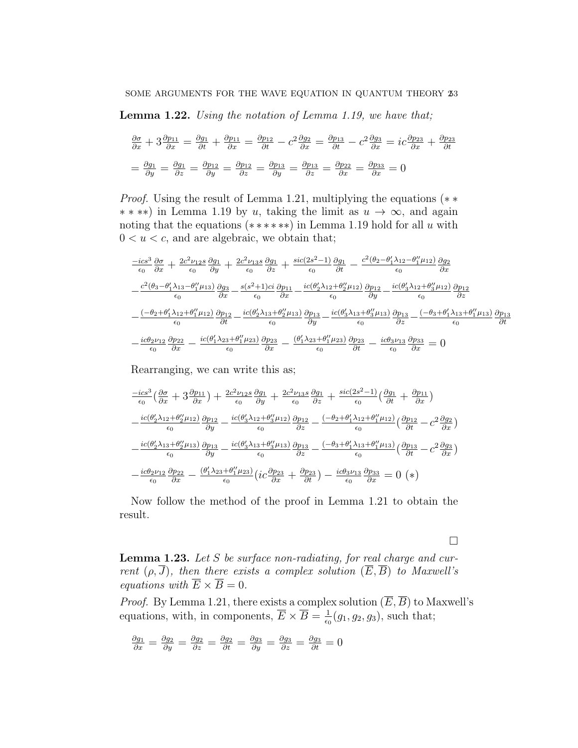Lemma 1.22. Using the notation of Lemma 1.19, we have that;

$$
\frac{\partial \sigma}{\partial x} + 3 \frac{\partial p_{11}}{\partial x} = \frac{\partial g_1}{\partial t} + \frac{\partial p_{11}}{\partial x} = \frac{\partial p_{12}}{\partial t} - c^2 \frac{\partial g_2}{\partial x} = \frac{\partial p_{13}}{\partial t} - c^2 \frac{\partial g_3}{\partial x} = ic \frac{\partial p_{23}}{\partial x} + \frac{\partial p_{23}}{\partial t}
$$

$$
= \frac{\partial g_1}{\partial y} = \frac{\partial g_1}{\partial z} = \frac{\partial p_{12}}{\partial y} = \frac{\partial p_{12}}{\partial z} = \frac{\partial p_{13}}{\partial y} = \frac{\partial p_{13}}{\partial z} = \frac{\partial p_{22}}{\partial x} = \frac{\partial p_{33}}{\partial x} = 0
$$

*Proof.* Using the result of Lemma 1.21, multiplying the equations  $(* \ast$  $*$  ∗ ∗ in Lemma 1.19 by u, taking the limit as  $u \to \infty$ , and again noting that the equations  $(*****)$  in Lemma 1.19 hold for all u with  $0 < u < c$ , and are algebraic, we obtain that;

$$
\frac{-ics^3}{\epsilon_0} \frac{\partial \sigma}{\partial x} + \frac{2c^2 \nu_{12} s}{\epsilon_0} \frac{\partial g_1}{\partial y} + \frac{2c^2 \nu_{13} s}{\epsilon_0} \frac{\partial g_1}{\partial z} + \frac{sic(2s^2 - 1)}{\epsilon_0} \frac{\partial g_1}{\partial t} - \frac{c^2(\theta_2 - \theta_1' \lambda_{12} - \theta_1'' \mu_{12})}{\epsilon_0} \frac{\partial g_2}{\partial x}
$$
\n
$$
-\frac{c^2(\theta_3 - \theta_1' \lambda_{13} - \theta_1'' \mu_{13})}{\epsilon_0} \frac{\partial g_3}{\partial x} - \frac{s(s^2 + 1)ci}{\epsilon_0} \frac{\partial p_{11}}{\partial x} - \frac{ic(\theta_2' \lambda_{12} + \theta_2'' \mu_{12})}{\epsilon_0} \frac{\partial p_{12}}{\partial y} - \frac{ic(\theta_3' \lambda_{12} + \theta_3'' \mu_{12})}{\epsilon_0} \frac{\partial p_{12}}{\partial z}
$$
\n
$$
-\frac{(-\theta_2 + \theta_1' \lambda_{12} + \theta_1'' \mu_{12})}{\epsilon_0} \frac{\partial p_{12}}{\partial t} - \frac{ic(\theta_2' \lambda_{13} + \theta_2'' \mu_{13})}{\epsilon_0} \frac{\partial p_{13}}{\partial y} - \frac{ic(\theta_3' \lambda_{13} + \theta_3'' \mu_{13})}{\epsilon_0} \frac{\partial p_{13}}{\partial z} - \frac{(-\theta_3 + \theta_1' \lambda_{13} + \theta_1'' \mu_{13})}{\epsilon_0} \frac{\partial p_{13}}{\partial t}
$$
\n
$$
-\frac{ic\theta_2 \nu_{12}}{\epsilon_0} \frac{\partial p_{22}}{\partial x} - \frac{ic(\theta_1' \lambda_{23} + \theta_1'' \mu_{23})}{\epsilon_0} \frac{\partial p_{23}}{\partial x} - \frac{(\theta_1' \lambda_{23} + \theta_1'' \mu_{23})}{\epsilon_0} \frac{\partial p_{23}}{\partial t} - \frac{ic\theta_3 \nu_{13}}{\epsilon_0} \frac{\partial p_{33}}{\partial x} = 0
$$

Rearranging, we can write this as;

$$
\frac{-ics^{3}}{\epsilon_{0}}\left(\frac{\partial\sigma}{\partial x} + 3\frac{\partial p_{11}}{\partial x}\right) + \frac{2c^{2}\nu_{12}s}{\epsilon_{0}}\frac{\partial g_{1}}{\partial y} + \frac{2c^{2}\nu_{13}s}{\epsilon_{0}}\frac{\partial g_{1}}{\partial z} + \frac{sic(2s^{2}-1)}{\epsilon_{0}}\left(\frac{\partial g_{1}}{\partial t} + \frac{\partial p_{11}}{\partial x}\right)
$$
\n
$$
-\frac{ic(\theta_{2}'\lambda_{12} + \theta_{2}''\mu_{12})}{\epsilon_{0}}\frac{\partial p_{12}}{\partial y} - \frac{ic(\theta_{3}'\lambda_{12} + \theta_{3}''\mu_{12})}{\epsilon_{0}}\frac{\partial p_{12}}{\partial z} - \frac{(-\theta_{2} + \theta_{1}'\lambda_{12} + \theta_{1}''\mu_{12})}{\epsilon_{0}}\left(\frac{\partial p_{12}}{\partial t} - c^{2}\frac{\partial g_{2}}{\partial x}\right)
$$
\n
$$
-\frac{ic(\theta_{2}'\lambda_{13} + \theta_{2}''\mu_{13})}{\epsilon_{0}}\frac{\partial p_{13}}{\partial y} - \frac{ic(\theta_{3}'\lambda_{13} + \theta_{3}''\mu_{13})}{\epsilon_{0}}\frac{\partial p_{13}}{\partial z} - \frac{(-\theta_{3} + \theta_{1}'\lambda_{13} + \theta_{1}''\mu_{13})}{\epsilon_{0}}\left(\frac{\partial p_{13}}{\partial t} - c^{2}\frac{\partial g_{3}}{\partial x}\right)
$$
\n
$$
-\frac{ic\theta_{2}\nu_{12}}{\epsilon_{0}}\frac{\partial p_{22}}{\partial x} - \frac{(\theta_{1}'\lambda_{23} + \theta_{1}''\mu_{23})}{\epsilon_{0}}\left(ic\frac{\partial p_{23}}{\partial x} + \frac{\partial p_{23}}{\partial t}\right) - \frac{ic\theta_{3}\nu_{13}}{\epsilon_{0}}\frac{\partial p_{33}}{\partial x} = 0
$$
 (\*)

Now follow the method of the proof in Lemma 1.21 to obtain the result.

**Lemma 1.23.** Let  $S$  be surface non-radiating, for real charge and current  $(\rho, \overline{J})$ , then there exists a complex solution  $(\overline{E}, \overline{B})$  to Maxwell's equations with  $\overline{E} \times \overline{B} = 0$ .

 $\Box$ 

*Proof.* By Lemma 1.21, there exists a complex solution  $(\overline{E}, \overline{B})$  to Maxwell's equations, with, in components,  $\overline{E} \times \overline{B} = \frac{1}{\epsilon_0}$  $\frac{1}{\epsilon_0}(g_1, g_2, g_3)$ , such that;

$$
\frac{\partial g_1}{\partial x} = \frac{\partial g_2}{\partial y} = \frac{\partial g_2}{\partial z} = \frac{\partial g_2}{\partial t} = \frac{\partial g_3}{\partial y} = \frac{\partial g_3}{\partial z} = \frac{\partial g_3}{\partial t} = 0
$$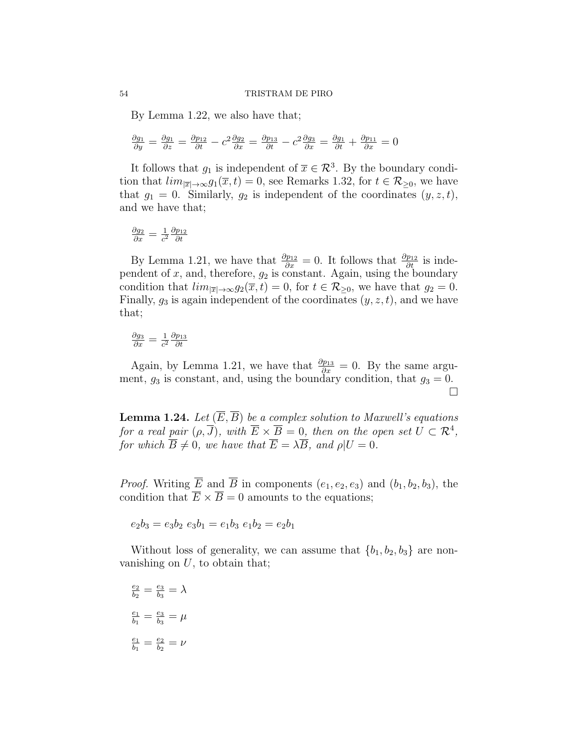By Lemma 1.22, we also have that;

$$
\frac{\partial g_1}{\partial y} = \frac{\partial g_1}{\partial z} = \frac{\partial p_{12}}{\partial t} - c^2 \frac{\partial g_2}{\partial x} = \frac{\partial p_{13}}{\partial t} - c^2 \frac{\partial g_3}{\partial x} = \frac{\partial g_1}{\partial t} + \frac{\partial p_{11}}{\partial x} = 0
$$

It follows that  $g_1$  is independent of  $\overline{x} \in \mathcal{R}^3$ . By the boundary condition that  $\lim_{|\overline{x}| \to \infty} g_1(\overline{x}, t) = 0$ , see Remarks 1.32, for  $t \in \mathcal{R}_{\geq 0}$ , we have that  $g_1 = 0$ . Similarly,  $g_2$  is independent of the coordinates  $(y, z, t)$ , and we have that;

$$
\frac{\partial g_2}{\partial x} = \frac{1}{c^2} \frac{\partial p_{12}}{\partial t}
$$

By Lemma 1.21, we have that  $\frac{\partial p_{12}}{\partial x} = 0$ . It follows that  $\frac{\partial p_{12}}{\partial t}$  is independent of  $x$ , and, therefore,  $g_2$  is constant. Again, using the boundary condition that  $\lim_{|\overline{x}| \to \infty} g_2(\overline{x}, t) = 0$ , for  $t \in \mathcal{R}_{\geq 0}$ , we have that  $g_2 = 0$ . Finally,  $g_3$  is again independent of the coordinates  $(y, z, t)$ , and we have that;

$$
\frac{\partial g_3}{\partial x} = \frac{1}{c^2} \frac{\partial p_{13}}{\partial t}
$$

Again, by Lemma 1.21, we have that  $\frac{\partial p_{13}}{\partial x} = 0$ . By the same argument,  $g_3$  is constant, and, using the boundary condition, that  $g_3 = 0$ .  $\Box$ 

**Lemma 1.24.** Let  $(\overline{E}, \overline{B})$  be a complex solution to Maxwell's equations for a real pair  $(\rho, \overline{J})$ , with  $\overline{E} \times \overline{B} = 0$ , then on the open set  $U \subset \mathcal{R}^4$ , for which  $\overline{B} \neq 0$ , we have that  $\overline{E} = \lambda \overline{B}$ , and  $\rho | U = 0$ .

*Proof.* Writing  $\overline{E}$  and  $\overline{B}$  in components  $(e_1, e_2, e_3)$  and  $(b_1, b_2, b_3)$ , the condition that  $\overline{E} \times \overline{B} = 0$  amounts to the equations;

$$
e_2b_3 = e_3b_2 e_3b_1 = e_1b_3 e_1b_2 = e_2b_1
$$

Without loss of generality, we can assume that  ${b_1, b_2, b_3}$  are nonvanishing on  $U$ , to obtain that;

 $\frac{e_2}{e_2}$  $\frac{e_2}{b_2} = \frac{e_3}{b_3}$  $\frac{e_3}{b_3}=\lambda$  $\overline{e_1}$  $\frac{e_1}{b_1} = \frac{e_3}{b_3}$  $\frac{e_3}{b_3}=\mu$  $\overline{e_1}$  $\frac{e_1}{b_1} = \frac{e_2}{b_2}$  $\frac{e_2}{b_2}=\nu$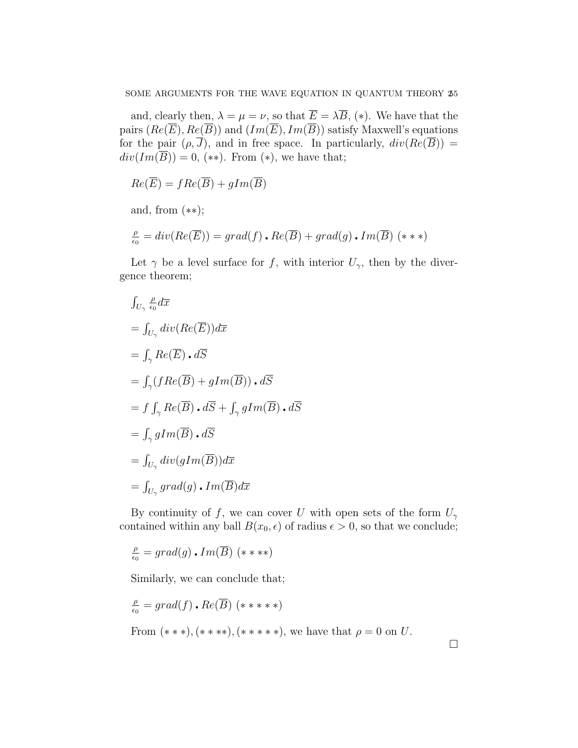and, clearly then,  $\lambda = \mu = \nu$ , so that  $\overline{E} = \lambda \overline{B}$ , (\*). We have that the pairs  $(Re(\overline{E}), Re(\overline{B}))$  and  $(Im(\overline{E}), Im(\overline{B}))$  satisfy Maxwell's equations for the pair  $(\rho, \overline{J})$ , and in free space. In particularly,  $div(Re(\overline{B}))$  =  $div(Im(\overline{B})) = 0$ , (\*\*). From (\*), we have that;

$$
Re(\overline{E}) = fRe(\overline{B}) + gIm(\overline{B})
$$

and, from (∗∗);

$$
\frac{\rho}{\epsilon_0} = div(Re(\overline{E})) = grad(f) \cdot Re(\overline{B}) + grad(g) \cdot Im(\overline{B}) \; (* **)
$$

Let  $\gamma$  be a level surface for f, with interior  $U_{\gamma}$ , then by the divergence theorem;

$$
\int_{U_{\gamma}} \frac{\rho}{\epsilon_0} d\overline{x}
$$
\n
$$
= \int_{U_{\gamma}} div(Re(\overline{E})) d\overline{x}
$$
\n
$$
= \int_{\gamma} Re(\overline{E}) \cdot d\overline{S}
$$
\n
$$
= \int_{\gamma} (fRe(\overline{B}) + gIm(\overline{B})) \cdot d\overline{S}
$$
\n
$$
= f \int_{\gamma} Re(\overline{B}) \cdot d\overline{S} + \int_{\gamma} gIm(\overline{B}) \cdot d\overline{S}
$$
\n
$$
= \int_{\gamma} gIm(\overline{B}) \cdot d\overline{S}
$$
\n
$$
= \int_{U_{\gamma}} div(gIm(\overline{B})) d\overline{x}
$$
\n
$$
= \int_{U_{\gamma}} grad(g) \cdot Im(\overline{B}) d\overline{x}
$$

By continuity of f, we can cover U with open sets of the form  $U_{\gamma}$ contained within any ball  $B(x_0, \epsilon)$  of radius  $\epsilon > 0$ , so that we conclude;

$$
\tfrac{\rho}{\epsilon_0} = grad(g)\centerdot Im(\overline{B})\,\,(***\ast
$$

Similarly, we can conclude that;

$$
\frac{\rho}{\epsilon_0} = grad(f) \cdot Re(\overline{B}) \quad (* \ast \ast \ast)
$$
  
From  $(\ast \ast \ast), (\ast \ast \ast \ast), (\ast \ast \ast \ast \ast),$  we have that  $\rho = 0$  on U.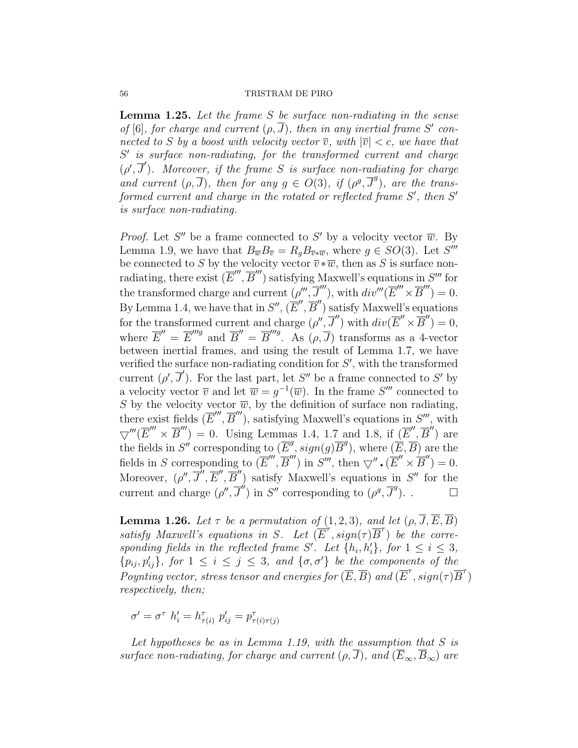#### 56 TRISTRAM DE PIRO

**Lemma 1.25.** Let the frame  $S$  be surface non-radiating in the sense of [6], for charge and current  $(\rho, \overline{J})$ , then in any inertial frame S' connected to S by a boost with velocity vector  $\overline{v}$ , with  $|\overline{v}| < c$ , we have that S' is surface non-radiating, for the transformed current and charge  $(\rho', \overline{J}')$ . Moreover, if the frame S is surface non-radiating for charge and current  $(\rho, \overline{J})$ , then for any  $g \in O(3)$ , if  $(\rho^g, \overline{J}^g)$ , are the transformed current and charge in the rotated or reflected frame  $S'$ , then  $S'$ is surface non-radiating.

*Proof.* Let S'' be a frame connected to S' by a velocity vector  $\overline{w}$ . By Lemma 1.9, we have that  $B_{\overline{w}}B_{\overline{v}} = R_g B_{\overline{v}*\overline{w}}$ , where  $g \in SO(3)$ . Let  $S'''$ be connected to S by the velocity vector  $\overline{v} * \overline{w}$ , then as S is surface nonradiating, there exist  $(\overline{E}''', \overline{B}''')$  satisfying Maxwell's equations in  $S'''$  for the transformed charge and current  $(\rho''', \overline{J}''')$ , with  $div'''(\overline{E}'' \times \overline{B}'') = 0$ . By Lemma 1.4, we have that in  $S''$ ,  $(\overline{E}'', \overline{B}'')$  satisfy Maxwell's equations for the transformed current and charge  $(\rho'', \overline{J}'')$  with  $div(\overline{E}'' \times \overline{B}'') = 0$ , where  $\overline{E}'' = \overline{E}'''^{g}$  and  $\overline{B}'' = \overline{B}''^{g}$ . As  $(\rho, \overline{J})$  transforms as a 4-vector between inertial frames, and using the result of Lemma 1.7, we have verified the surface non-radiating condition for  $S'$ , with the transformed current  $(\rho', \overline{J}')$ . For the last part, let S'' be a frame connected to S' by a velocity vector  $\overline{v}$  and let  $\overline{w} = g^{-1}(\overline{w})$ . In the frame  $S'''$  connected to S by the velocity vector  $\overline{w}$ , by the definition of surface non radiating, there exist fields  $(\overline{E}''', \overline{B}''')$ , satisfying Maxwell's equations in  $S'''$ , with  $\bigtriangledown'''(\overline{E}'' \times \overline{B}'') = 0$ . Using Lemmas 1.4, 1.7 and 1.8, if  $(\overline{E}', \overline{B}')$  are the fields in  $S''$  corresponding to  $(\overline{E}^g, sign(g)\overline{B}^g)$ , where  $(\overline{E}, \overline{B})$  are the fields in S corresponding to  $(\overline{E}''', \overline{B}''')$  in  $S'''$ , then  $\overline{\nabla}'' \cdot (\overline{E}'' \times \overline{B}'') = 0$ . Moreover,  $(\rho'', \overline{J}'', \overline{E}'', \overline{B}'')$  satisfy Maxwell's equations in S'' for the current and charge  $(\rho'', \overline{J}'')$  in  $S''$  corresponding to  $(\rho^g, \overline{J}^g)$ .

**Lemma 1.26.** Let  $\tau$  be a permutation of (1, 2, 3), and let  $(\rho, \overline{J}, \overline{E}, \overline{B})$ satisfy Maxwell's equations in S. Let  $(E^{\tau}, sign(\tau)\overline{B}^{\tau})$  be the corresponding fields in the reflected frame S'. Let  $\{h_i, h'_i\}$ , for  $1 \leq i \leq 3$ ,  $\{p_{ij}, p'_{ij}\}\$ , for  $1 \leq i \leq j \leq 3$ , and  $\{\sigma, \sigma'\}\$ be the components of the Poynting vector, stress tensor and energies for  $(\overline{E}, \overline{B})$  and  $(\overline{E}^{\tau}, sign(\tau)\overline{B}^{\tau})$ respectively, then;

 $\sigma' = \sigma^{\tau}$   $h'_i = h^{\tau}_{\tau(i)}$   $p'_{ij} = p^{\tau}_{\tau(i)\tau(j)}$ 

Let hypotheses be as in Lemma 1.19, with the assumption that  $S$  is surface non-radiating, for charge and current  $(\rho, \overline{J})$ , and  $(\overline{E}_{\infty}, \overline{B}_{\infty})$  are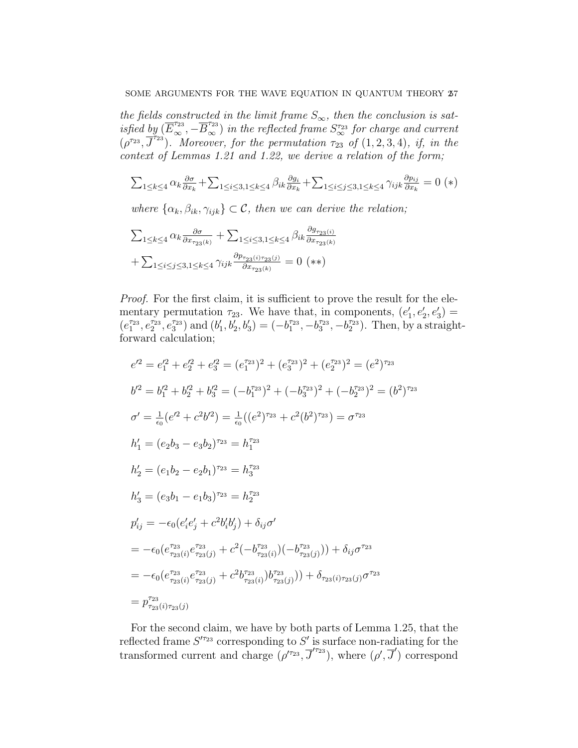the fields constructed in the limit frame  $S_{\infty}$ , then the conclusion is satisfied by  $(\overline{E}_{\infty}^{\tau_{23}}, -\overline{B}_{\infty}^{\tau_{23}})$  in the reflected frame  $S_{\infty}^{\tau_{23}}$  for charge and current  $(\rho^{\tau_{23}}, \overline{J}^{\tau_{23}})$ . Moreover, for the permutation  $\tau_{23}$  of  $(1, 2, 3, 4)$ , if, in the context of Lemmas 1.21 and 1.22, we derive a relation of the form;

$$
\textstyle \sum_{1 \leq k \leq 4} \alpha_k \frac{\partial \sigma}{\partial x_k} + \sum_{1 \leq i \leq 3, 1 \leq k \leq 4} \beta_{ik} \frac{\partial g_i}{\partial x_k} + \sum_{1 \leq i \leq j \leq 3, 1 \leq k \leq 4} \gamma_{ijk} \frac{\partial p_{ij}}{\partial x_k} = 0
$$
 (\*)

where  $\{\alpha_k, \beta_{ik}, \gamma_{ijk}\} \subset \mathcal{C}$ , then we can derive the relation;

$$
\sum_{1 \le k \le 4} \alpha_k \frac{\partial \sigma}{\partial x_{\tau_{23}(k)}} + \sum_{1 \le i \le 3, 1 \le k \le 4} \beta_{ik} \frac{\partial g_{\tau_{23}(i)}}{\partial x_{\tau_{23}(k)}}
$$

$$
+ \sum_{1 \le i \le j \le 3, 1 \le k \le 4} \gamma_{ijk} \frac{\partial p_{\tau_{23}(i)\tau_{23}(j)}}{\partial x_{\tau_{23}(k)}} = 0 \quad (*)
$$

Proof. For the first claim, it is sufficient to prove the result for the elementary permutation  $\tau_{23}$ . We have that, in components,  $(e'_1, e'_2, e'_3)$  =  $(e_1^{\tau_{23}}, e_2^{\tau_{23}}, e_3^{\tau_{23}})$  and  $(b'_1, b'_2, b'_3) = (-b_1^{\tau_{23}}, -b_3^{\tau_{23}}, -b_2^{\tau_{23}})$ . Then, by a straightforward calculation;

$$
e^{i2} = e_1^{i2} + e_2^{i2} + e_3^{i2} = (e_1^{i23})^2 + (e_3^{i23})^2 + (e_2^{i23})^2 = (e^2)^{i23}
$$
  
\n
$$
b^{i2} = b_1^{i2} + b_2^{i2} + b_3^{i2} = (-b_1^{i23})^2 + (-b_3^{i23})^2 + (-b_2^{i23})^2 = (b^2)^{i23}
$$
  
\n
$$
\sigma' = \frac{1}{\epsilon_0} (e^{i2} + c^2 b^{i2}) = \frac{1}{\epsilon_0} ((e^2)^{i23} + c^2 (b^2)^{i23}) = \sigma^{i23}
$$
  
\n
$$
h'_1 = (e_2 b_3 - e_3 b_2)^{i23} = h_1^{i23}
$$
  
\n
$$
h'_2 = (e_1 b_2 - e_2 b_1)^{i23} = h_2^{i23}
$$
  
\n
$$
h'_3 = (e_3 b_1 - e_1 b_3)^{i23} = h_2^{i23}
$$
  
\n
$$
p'_{ij} = -\epsilon_0 (e_i' e_j' + c^2 b_i' b_j' ) + \delta_{ij} \sigma'
$$
  
\n
$$
= -\epsilon_0 (e_{i23}^{i23} + e_{i23}^{i23} + e^{i2} (-b_{i23}^{i23} + e_{i23}^{i23} + e_{i23}^{i23} + e_{i23}^{i23} + e_{i23}^{i23} + e_{i23}^{i23} + e_{i23}^{i23} + e_{i23}^{i23} + e_{i23}^{i23} + e_{i23}^{i23} + e_{i23}^{i23} + e_{i23}^{i23} + e_{i23}^{i23} + e_{i23}^{i23} + e_{i23}^{i23} + e_{i23}^{i23} + e_{i23}^{i23} + e_{i23}^{i23} + e_{i23}^{i23} + e_{i23}^{i23} + e_{i23}^{i23} + e_{i23}^{i23} + e_{i23}^{i23} + e_{i23}^{i2
$$

For the second claim, we have by both parts of Lemma 1.25, that the reflected frame  $S<sup>{r_{23}}</sup>$  corresponding to  $S'$  is surface non-radiating for the transformed current and charge  $(\rho'^{r_{23}}, \overline{J}'^{r_{23}})$ , where  $(\rho', \overline{J}')$  correspond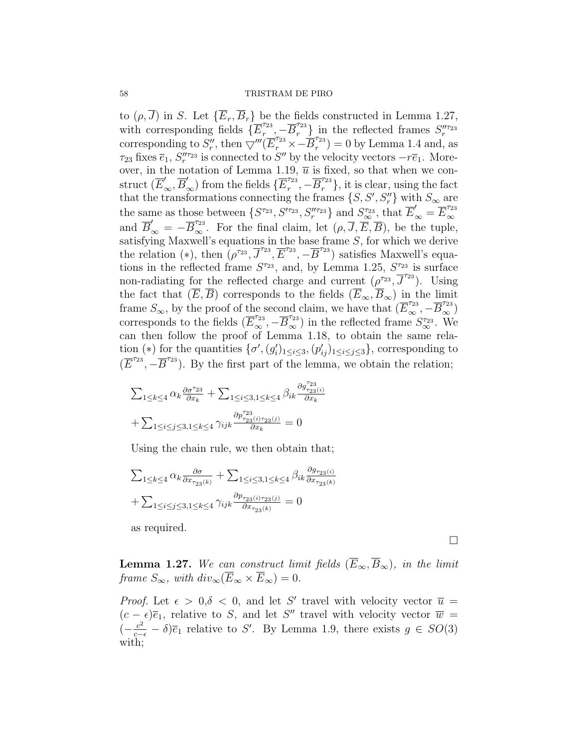#### 58 TRISTRAM DE PIRO

to  $(\rho, \overline{J})$  in S. Let  $\{\overline{E}_r, \overline{B}_r\}$  be the fields constructed in Lemma 1.27, with corresponding fields  $\{E_r^{\tau_{23}}\}$  $\left\{\frac{\tau_{23}}{r}, -\overline{B}_r^{\tau_{23}}\right\}$  in the reflected frames  $S''_r^{\tau_{23}}$ corresponding to  $S''_r$ , then  $\overline{\nabla'''}(\overline{E}_r^{\tau_{23}} \times -\overline{B}_r^{\tau_{23}})$  $(r^{23}) = 0$  by Lemma 1.4 and, as  $\tau_{23}$  fixes  $\bar{e}_1, S''_{r}$  is connected to  $S''$  by the velocity vectors  $-r\bar{e}_1$ . Moreover, in the notation of Lemma 1.19,  $\overline{u}$  is fixed, so that when we con- $\text{struct }(\overline{E}'_{\infty},\overline{B}'_{\infty}) \text{ from the fields } \{\overline{E}^{\tau_{23}}_r\}$  $\{\bar{x}_r^{23}, -\overline{B}_r^{723}\}\$ , it is clear, using the fact that the transformations connecting the frames  $\{S, S', S''_r\}$  with  $S_{\infty}$  are the same as those between  $\{S^{\tau_{23}}, S^{\prime\tau_{23}}, S^{\prime\prime\tau_{23}}_{r}\}$  and  $S^{\tau_{23}}_{\infty}$ , that  $\overline{E}'_{\infty} = \overline{E}^{\tau_{23}}_{\infty}$ ∞ and  $\overline{B}'_{\infty} = -\overline{B}_{\infty}^{\tau_{23}}$ . For the final claim, let  $(\rho, \overline{J}, \overline{E}, \overline{B})$ , be the tuple, satisfying Maxwell's equations in the base frame  $S$ , for which we derive the relation (\*), then  $(\rho^{\tau_{23}}, \overline{J}^{\tau_{23}}, \overline{E}^{\tau_{23}}, -\overline{B}^{\tau_{23}})$  satisfies Maxwell's equations in the reflected frame  $S^{\tau_{23}}$ , and, by Lemma 1.25,  $S^{\tau_{23}}$  is surface non-radiating for the reflected charge and current  $(\rho^{\tau_{23}}, \overline{J}^{\tau_{23}})$ . Using the fact that  $(\overline{E}, \overline{B})$  corresponds to the fields  $(\overline{E}_{\infty}, \overline{B}_{\infty})$  in the limit frame  $S_{\infty}$ , by the proof of the second claim, we have that  $(\overline{E}_{\infty}^{\tau_{23}}, -\overline{B}_{\infty}^{\tau_{23}})$ corresponds to the fields  $(\overline{E}_{\infty}^{\tau_{23}}, -\overline{B}_{\infty}^{\tau_{23}})$  in the reflected frame  $S_{\infty}^{\tau_{23}}$ . We can then follow the proof of Lemma 1.18, to obtain the same relation (\*) for the quantities  $\{\sigma', (g_i')_{1 \leq i \leq 3}, (p_{ij}')_{1 \leq i \leq j \leq 3}\}$ , corresponding to  $(\overline{E}^{r_{23}}, -\overline{B}^{r_{23}})$ . By the first part of the lemma, we obtain the relation;

$$
\sum_{1 \le k \le 4} \alpha_k \frac{\partial \sigma^{r_{23}}}{\partial x_k} + \sum_{1 \le i \le 3, 1 \le k \le 4} \beta_{ik} \frac{\partial g_{r_{23}(i)}^{r_{23}}}{\partial x_k} + \sum_{1 \le i \le j \le 3, 1 \le k \le 4} \gamma_{ijk} \frac{\partial p_{r_{23}(i)r_{23}(j)}^{r_{23}}}{\partial x_k} = 0
$$

Using the chain rule, we then obtain that;

$$
\sum_{1 \leq k \leq 4} \alpha_k \frac{\partial \sigma}{\partial x_{\tau_{23}(k)}} + \sum_{1 \leq i \leq 3, 1 \leq k \leq 4} \beta_{ik} \frac{\partial g_{\tau_{23}(i)}}{\partial x_{\tau_{23}(k)}}
$$

$$
+ \sum_{1 \leq i \leq j \leq 3, 1 \leq k \leq 4} \gamma_{ijk} \frac{\partial p_{\tau_{23}(i)\tau_{23}(j)}}{\partial x_{\tau_{23}(k)}} = 0
$$

as required.

**Lemma 1.27.** We can construct limit fields  $(\overline{E}_{\infty}, \overline{B}_{\infty})$ , in the limit frame  $S_{\infty}$ , with  $div_{\infty}(\overline{E}_{\infty} \times \overline{E}_{\infty}) = 0$ .

*Proof.* Let  $\epsilon > 0, \delta < 0$ , and let S' travel with velocity vector  $\bar{u} =$  $(c - \epsilon)\overline{e}_1$ , relative to S, and let S'' travel with velocity vector  $\overline{w}$  =  $\left(-\frac{c^2}{c-\epsilon} - \delta\right)\overline{e}_1$  relative to S'. By Lemma 1.9, there exists  $g \in SO(3)$ with;

 $\Box$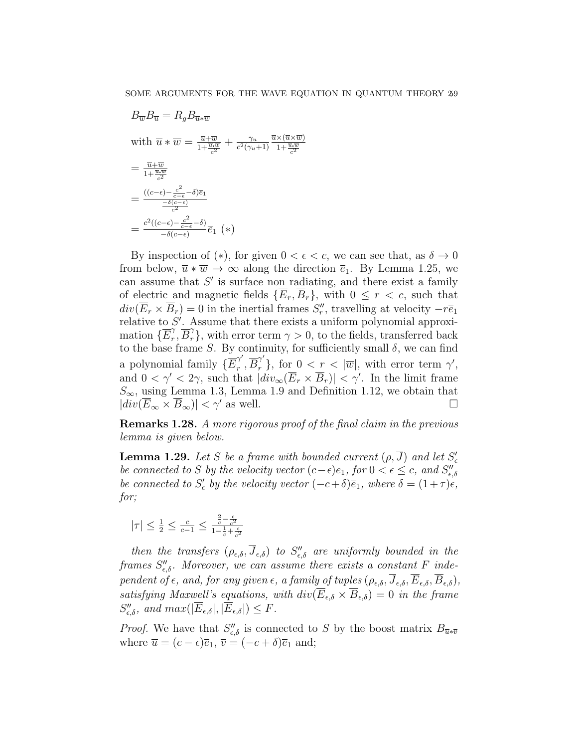$$
B_{\overline{w}}B_{\overline{u}} = R_g B_{\overline{u}*\overline{w}}
$$
  
with  $\overline{u} * \overline{w} = \frac{\overline{u} + \overline{w}}{1 + \frac{\overline{u} \cdot \overline{w}}{c^2}} + \frac{\gamma_u}{c^2(\gamma_u + 1)} \frac{\overline{u} \times (\overline{u} \times \overline{w})}{1 + \frac{\overline{u} \cdot \overline{w}}{c^2}}$   

$$
= \frac{\overline{u} + \overline{w}}{1 + \frac{\overline{u} \cdot \overline{w}}{c^2}}
$$
  

$$
= \frac{((c - \epsilon) - \frac{c^2}{c - \epsilon} - \delta)\overline{e_1}}{-\delta(c - \epsilon)}
$$
  

$$
= \frac{c^2((c - \epsilon) - \frac{c^2}{c - \epsilon} - \delta)}{-\delta(c - \epsilon)} \overline{e_1} (*)
$$

By inspection of  $(*)$ , for given  $0 < \epsilon < c$ , we can see that, as  $\delta \to 0$ from below,  $\overline{u} * \overline{w} \to \infty$  along the direction  $\overline{e}_1$ . By Lemma 1.25, we can assume that  $S'$  is surface non radiating, and there exist a family of electric and magnetic fields  $\{\overline{E}_r, \overline{B}_r\}$ , with  $0 \leq r < c$ , such that  $div(\overline{E}_r \times \overline{B}_r) = 0$  in the inertial frames  $S''_r$ , travelling at velocity  $-r\overline{e}_1$ relative to  $S'$ . Assume that there exists a uniform polynomial approximation  $\{E_r^{\gamma}$  $r_r^{\gamma}, \overline{B}_r^{\gamma}$ , with error term  $\gamma > 0$ , to the fields, transferred back to the base frame S. By continuity, for sufficiently small  $\delta$ , we can find a polynomial family  $\{E_r^{\gamma'}\}$  $\tau, \overline{B_r}^{\gamma'}, \overline{B_r}^{\gamma'}\}, \text{ for } 0 < r < |\overline{w}|, \text{ with error term } \gamma',$ and  $0 < \gamma' < 2\gamma$ , such that  $|div_\infty(\overline{E}_r \times \overline{B}_r)| < \gamma'$ . In the limit frame  $S_{\infty}$ , using Lemma 1.3, Lemma 1.9 and Definition 1.12, we obtain that  $|div(E_{\infty} \times B_{\infty})| < \gamma'$  as well.

Remarks 1.28. A more rigorous proof of the final claim in the previous lemma is given below.

**Lemma 1.29.** Let S be a frame with bounded current  $(\rho, \overline{J})$  and let  $S'_\epsilon$ be connected to S by the velocity vector  $(c-\epsilon)\overline{e}_1$ , for  $0 < \epsilon \leq c$ , and  $S''_{\epsilon,\delta}$ be connected to  $S'_{\epsilon}$  by the velocity vector  $(-c+\delta)\overline{e}_1$ , where  $\delta = (1+\tau)\overline{e}_1$ , for:

$$
|\tau|\leq \tfrac{1}{2}\leq \tfrac{c}{c-1}\leq \tfrac{\tfrac{2}{c}-\tfrac{\epsilon}{c^2}}{1-\tfrac{1}{c}+\tfrac{\epsilon}{c^2}}
$$

then the transfers  $(\rho_{\epsilon,\delta}, \overline{J}_{\epsilon,\delta})$  to  $S''_{\epsilon,\delta}$  are uniformly bounded in the frames  $S''_{\epsilon,\delta}$ . Moreover, we can assume there exists a constant F independent of  $\epsilon$ , and, for any given  $\epsilon$ , a family of tuples  $(\rho_{\epsilon,\delta}, \overline{J}_{\epsilon,\delta}, \overline{E}_{\epsilon,\delta}, \overline{B}_{\epsilon,\delta})$ , satisfying Maxwell's equations, with  $div(\overline{E}_{\epsilon,\delta} \times \overline{B}_{\epsilon,\delta}) = 0$  in the frame  $S''_{\epsilon,\delta}$ , and  $max(|\overline{E}_{\epsilon,\delta}|,|\overline{E}_{\epsilon,\delta}|) \leq F$ .

*Proof.* We have that  $S''_{\epsilon,\delta}$  is connected to S by the boost matrix  $B_{\overline{u}*\overline{v}}$ where  $\overline{u} = (c - \epsilon)\overline{e}_1$ ,  $\overline{v} = (-c + \delta)\overline{e}_1$  and;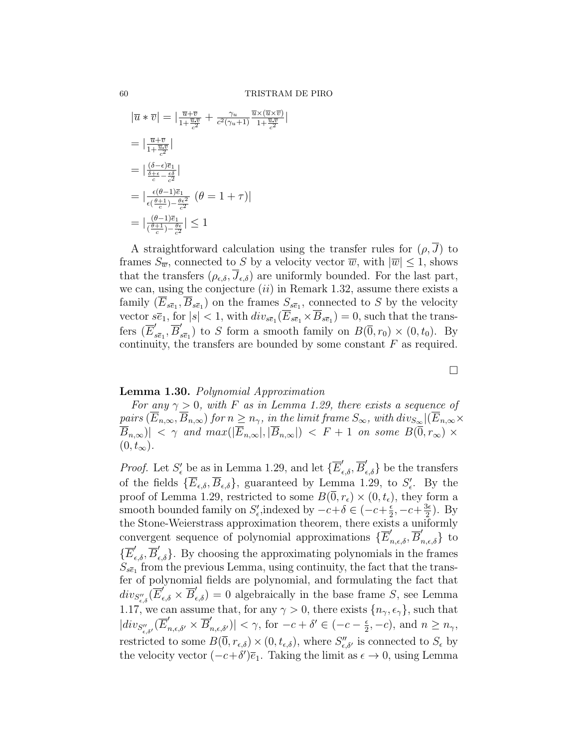|

$$
|\overline{u} * \overline{v}| = |\frac{\overline{u} + \overline{v}}{1 + \frac{\overline{u} \cdot \overline{v}}{c^2}} + \frac{\gamma_u}{c^2 (\gamma_u + 1)} \frac{\overline{u} \times (\overline{u} \times \overline{v})}{1 + \frac{\overline{u} \cdot \overline{v}}{c^2}}|
$$
  
\n
$$
= |\frac{\overline{u} + \overline{v}}{1 + \frac{\overline{u} \cdot \overline{v}}{c^2}}|
$$
  
\n
$$
= |\frac{\delta - \epsilon}{\frac{\delta + \epsilon}{c} - \frac{\epsilon \delta}{c^2}}|
$$
  
\n
$$
= |\frac{\epsilon(\theta - 1)\overline{e}_1}{\epsilon(\frac{\theta + 1}{c}) - \frac{\theta \epsilon^2}{c^2}} (\theta = 1 + \tau)|
$$
  
\n
$$
= |\frac{(\theta - 1)\overline{e}_1}{(\frac{\theta + 1}{c}) - \frac{\theta \epsilon}{c^2}}| \le 1
$$

A straightforward calculation using the transfer rules for  $(\rho, \overline{J})$  to frames  $S_{\overline{w}}$ , connected to S by a velocity vector  $\overline{w}$ , with  $|\overline{w}| \leq 1$ , shows that the transfers  $(\rho_{\epsilon,\delta}, \overline{J}_{\epsilon,\delta})$  are uniformly bounded. For the last part, we can, using the conjecture  $(ii)$  in Remark 1.32, assume there exists a family  $(E_{s\bar{e}_1}, B_{s\bar{e}_1})$  on the frames  $S_{s\bar{e}_1}$ , connected to S by the velocity vector  $s\overline{e}_1$ , for  $|s| < 1$ , with  $div_{s\overline{e}_1}(\overline{E}_{s\overline{e}_1} \times \overline{B}_{s\overline{e}_1}) = 0$ , such that the transfers  $(\overline{E}'_s)$  $\overline{s \overline{e}_1}, \overline{B}'_s$  $S_{s\bar{e}_1}$  to S form a smooth family on  $B(\bar{0}, r_0) \times (0, t_0)$ . By continuity, the transfers are bounded by some constant  $F$  as required.

# Lemma 1.30. Polynomial Approximation

For any  $\gamma > 0$ , with F as in Lemma 1.29, there exists a sequence of pairs  $(\overline{E}_{n,\infty}, \overline{B}_{n,\infty})$  for  $n \geq n_{\gamma}$ , in the limit frame  $S_{\infty}$ , with  $div_{S_{\infty}} |(\overline{E}_{n,\infty} \times$  $|\overline{B}_{n,\infty}| < \gamma$  and  $max(|\overline{E}_{n,\infty}|,|\overline{B}_{n,\infty}|) < F + 1$  on some  $B(\overline{0},r_{\infty}) \times$  $(0, t_{\infty}).$ 

*Proof.* Let  $S'_\epsilon$  be as in Lemma 1.29, and let  $\{\overline{E}'_{\epsilon,\delta}, \overline{B}'_{\epsilon,\delta}\}\)$  be the transfers of the fields  $\{\overline{E}_{\epsilon,\delta}, \overline{B}_{\epsilon,\delta}\}\$ , guaranteed by Lemma 1.29, to  $S'_{\epsilon}$ . By the proof of Lemma 1.29, restricted to some  $B(0, r_{\epsilon}) \times (0, t_{\epsilon})$ , they form a smooth bounded family on  $S'_{\epsilon}$ , indexed by  $-c+\delta \in (-c+\frac{\epsilon}{2})$  $\frac{e}{2}$ ,  $-c+\frac{3e}{2}$  $\frac{3\epsilon}{2}$ ). By the Stone-Weierstrass approximation theorem, there exists a uniformly convergent sequence of polynomial approximations  $\{\overline{E}'_{n,\epsilon,\delta},\overline{B}'_{n,\epsilon,\delta}\}\)$  to  $\{\overline{E}'_{\epsilon,\delta},\overline{B}'_{\epsilon,\delta}\}.$  By choosing the approximating polynomials in the frames  $S_{s\bar{e}_1}$  from the previous Lemma, using continuity, the fact that the transfer of polynomial fields are polynomial, and formulating the fact that  $div_{S''_{\epsilon,\delta}}(\overline{E'}_{\epsilon,\delta} \times \overline{B}'_{\epsilon,\delta}) = 0$  algebraically in the base frame S, see Lemma 1.17, we can assume that, for any  $\gamma > 0$ , there exists  $\{n_{\gamma}, \epsilon_{\gamma}\}\)$ , such that  $|div_{S^{\prime\prime}_{\epsilon,\delta^{\prime}}}(\overline{E}^{\prime}_{n,\epsilon,\delta^{\prime}}\times\overline{B}^{\prime}_{n,\epsilon,\delta^{\prime}})| < \gamma, \, \text{for } -c+\delta^{\prime} \in (-c-\frac{\epsilon}{2})$  $(\frac{\epsilon}{2}, -c)$ , and  $n \ge n_\gamma$ , restricted to some  $B(\overline{0},r_{\epsilon,\delta}) \times (0,t_{\epsilon,\delta})$ , where  $S''_{\epsilon,\delta'}$  is connected to  $S_{\epsilon}$  by the velocity vector  $(-c+\delta')\overline{e}_1$ . Taking the limit as  $\epsilon \to 0$ , using Lemma

 $\Box$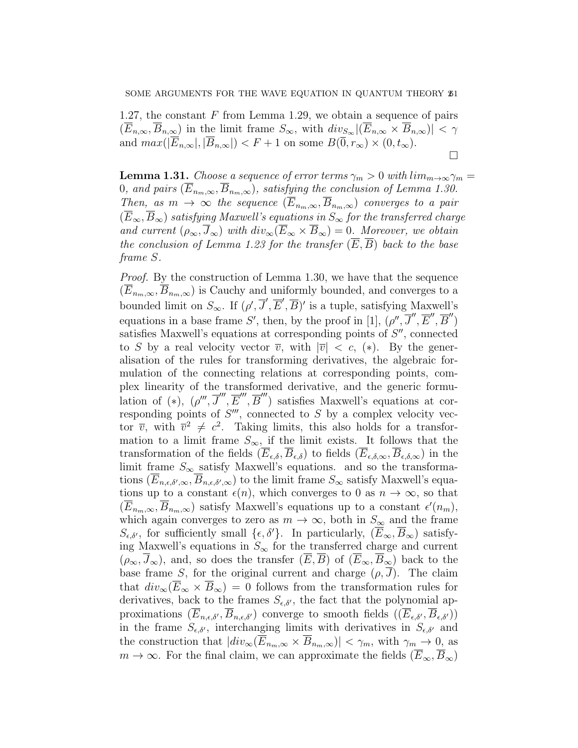1.27, the constant  $F$  from Lemma 1.29, we obtain a sequence of pairs  $(\overline{E}_{n,\infty}, \overline{B}_{n,\infty})$  in the limit frame  $S_{\infty}$ , with  $div_{S_{\infty}} |(\overline{E}_{n,\infty} \times \overline{B}_{n,\infty})| < \gamma$ and  $max(|\overline{E}_{n,\infty}|, |\overline{B}_{n,\infty}|) < F + 1$  on some  $B(\overline{0}, r_{\infty}) \times (0, t_{\infty})$ .  $\Box$ 

**Lemma 1.31.** Choose a sequence of error terms  $\gamma_m > 0$  with  $\lim_{m \to \infty} \gamma_m =$ 0, and pairs  $(\overline{E}_{n_m,\infty}, \overline{B}_{n_m,\infty})$ , satisfying the conclusion of Lemma 1.30. Then, as  $m \to \infty$  the sequence  $(\overline{E}_{n_m,\infty}, \overline{B}_{n_m,\infty})$  converges to a pair  $(\overline{E}_{\infty}, \overline{B}_{\infty})$  satisfying Maxwell's equations in  $S_{\infty}$  for the transferred charge and current  $(\rho_{\infty}, \overline{J}_{\infty})$  with  $div_{\infty}(\overline{E}_{\infty} \times \overline{B}_{\infty}) = 0$ . Moreover, we obtain the conclusion of Lemma 1.23 for the transfer  $(\overline{E}, \overline{B})$  back to the base frame S.

Proof. By the construction of Lemma 1.30, we have that the sequence  $(E_{n_m,\infty}, B_{n_m,\infty})$  is Cauchy and uniformly bounded, and converges to a bounded limit on  $S_{\infty}$ . If  $(\rho', \overline{J}', \overline{E}', \overline{B})'$  is a tuple, satisfying Maxwell's equations in a base frame S', then, by the proof in [1],  $(\rho'', \overline{J}'', \overline{E}'', \overline{B}'')$ satisfies Maxwell's equations at corresponding points of  $S''$ , connected to S by a real velocity vector  $\overline{v}$ , with  $|\overline{v}| < c$ , (\*). By the generalisation of the rules for transforming derivatives, the algebraic formulation of the connecting relations at corresponding points, complex linearity of the transformed derivative, and the generic formulation of (\*),  $(\rho''', \overline{J}'', \overline{E}''', \overline{B}''')$  satisfies Maxwell's equations at corresponding points of  $S'''$ , connected to  $S$  by a complex velocity vector  $\overline{v}$ , with  $\overline{v}^2 \neq c^2$ . Taking limits, this also holds for a transformation to a limit frame  $S_{\infty}$ , if the limit exists. It follows that the transformation of the fields  $(\overline{E}_{\epsilon,\delta}, \overline{B}_{\epsilon,\delta})$  to fields  $(\overline{E}_{\epsilon,\delta,\infty}, \overline{B}_{\epsilon,\delta,\infty})$  in the limit frame  $S_{\infty}$  satisfy Maxwell's equations. and so the transformations  $(E_{n,\epsilon,\delta',\infty},B_{n,\epsilon,\delta',\infty})$  to the limit frame  $S_{\infty}$  satisfy Maxwell's equations up to a constant  $\epsilon(n)$ , which converges to 0 as  $n \to \infty$ , so that  $(\overline{E}_{n_m,\infty}, \overline{B}_{n_m,\infty})$  satisfy Maxwell's equations up to a constant  $\epsilon'(n_m)$ , which again converges to zero as  $m \to \infty$ , both in  $S_{\infty}$  and the frame  $S_{\epsilon,\delta'}$ , for sufficiently small  $\{\epsilon,\delta'\}$ . In particularly,  $(\overline{E}_{\infty},\overline{B}_{\infty})$  satisfying Maxwell's equations in  $S_{\infty}$  for the transferred charge and current  $(\rho_{\infty}, J_{\infty})$ , and, so does the transfer  $(E, B)$  of  $(E_{\infty}, B_{\infty})$  back to the base frame S, for the original current and charge  $(\rho, \overline{J})$ . The claim that  $div_{\infty}(\overline{E}_{\infty} \times \overline{B}_{\infty}) = 0$  follows from the transformation rules for derivatives, back to the frames  $S_{\epsilon,\delta'}$ , the fact that the polynomial approximations  $(\overline{E}_{n,\epsilon,\delta'}, \overline{B}_{n,\epsilon,\delta'})$  converge to smooth fields  $((\overline{E}_{\epsilon,\delta'}, \overline{B}_{\epsilon,\delta'})$ in the frame  $S_{\epsilon,\delta'}$ , interchanging limits with derivatives in  $S_{\epsilon,\delta'}$  and the construction that  $|div_{\infty}(\overline{E}_{n_m,\infty} \times \overline{B}_{n_m,\infty})| < \gamma_m$ , with  $\gamma_m \to 0$ , as  $m \to \infty$ . For the final claim, we can approximate the fields  $(\overline{E}_{\infty}, \overline{B}_{\infty})$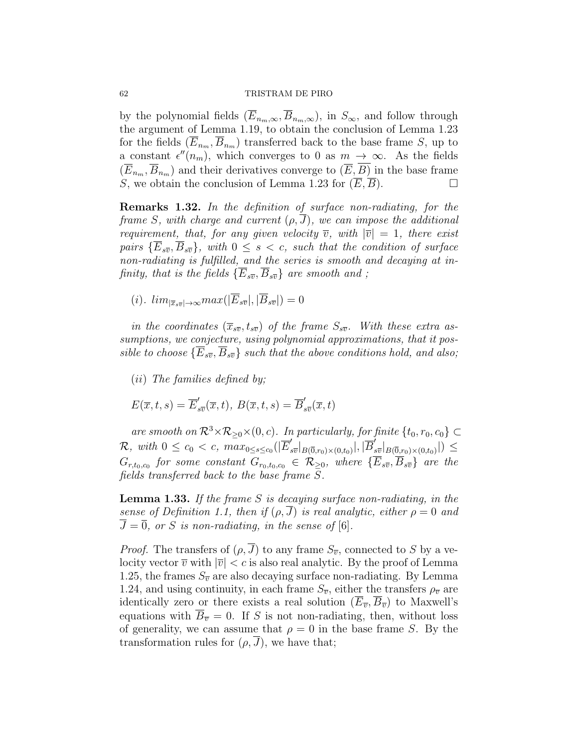#### 62 TRISTRAM DE PIRO

by the polynomial fields  $(\overline{E}_{n_m,\infty}, \overline{B}_{n_m,\infty})$ , in  $S_{\infty}$ , and follow through the argument of Lemma 1.19, to obtain the conclusion of Lemma 1.23 for the fields  $(E_{n_m}, B_{n_m})$  transferred back to the base frame S, up to a constant  $\epsilon''(n_m)$ , which converges to 0 as  $m \to \infty$ . As the fields  $(\overline{E}_{n_m}, \overline{B}_{n_m})$  and their derivatives converge to  $(\overline{E}, \overline{B})$  in the base frame S, we obtain the conclusion of Lemma 1.23 for  $(\overline{E}, \overline{B})$ .

Remarks 1.32. In the definition of surface non-radiating, for the frame S, with charge and current  $(\rho, \overline{J})$ , we can impose the additional requirement, that, for any given velocity  $\overline{v}$ , with  $|\overline{v}| = 1$ , there exist pairs  $\{\overline{E}_{s\overline{v}}, \overline{B}_{s\overline{v}}\}$ , with  $0 \leq s < c$ , such that the condition of surface non-radiating is fulfilled, and the series is smooth and decaying at infinity, that is the fields  $\{\overline{E}_{s\overline{v}}, \overline{B}_{s\overline{v}}\}$  are smooth and;

(i).  $\lim_{|\overline{x}_{s\overline{v}}|\to\infty} \max(|\overline{E}_{s\overline{v}}|,|\overline{B}_{s\overline{v}}|)=0$ 

in the coordinates  $(\overline{x}_{s\overline{v}}, t_{s\overline{v}})$  of the frame  $S_{s\overline{v}}$ . With these extra assumptions, we conjecture, using polynomial approximations, that it possible to choose  $\{E_{s\overline{v}}, B_{s\overline{v}}\}$  such that the above conditions hold, and also;

(ii) The families defined by;

$$
E(\overline{x},t,s)=\overline{E}_{s\overline{v}}'(\overline{x},t),\ B(\overline{x},t,s)=\overline{B}_{s\overline{v}}'(\overline{x},t)
$$

are smooth on  $\mathcal{R}^3 \times \mathcal{R}_{\geq 0} \times (0, c)$ . In particularly, for finite  $\{t_0, r_0, c_0\} \subset$  $\mathcal{R}$ , with  $0 \leq c_0 < c$ ,  $\max_{0 \leq s \leq c_0} (\vert \overline{E}'_s \vert)$  $\int_{s\overline{v}}^{'}|_{B(\overline{0},r_0)\times(0,t_0)}|,|\overline{B}_{s}^{\prime}|$  $\int_{s\overline{v}}\bigl|_{B(\overline{0},r_0)\times(0,t_0)}\bigr|\bigr)\leq$  $G_{r,t_0,c_0}$  for some constant  $G_{r_0,t_0,c_0} \in \mathcal{R}_{\geq 0},$  where  $\{\overline{E}_{s\overline{v}},\overline{B}_{s\overline{v}}\}$  are the fields transferred back to the base frame S.

**Lemma 1.33.** If the frame S is decaying surface non-radiating, in the sense of Definition 1.1, then if  $(\rho, J)$  is real analytic, either  $\rho = 0$  and  $\overline{J} = \overline{0}$ , or S is non-radiating, in the sense of [6].

*Proof.* The transfers of  $(\rho, \overline{J})$  to any frame  $S_{\overline{v}}$ , connected to S by a velocity vector  $\overline{v}$  with  $|\overline{v}| < c$  is also real analytic. By the proof of Lemma 1.25, the frames  $S_{\overline{v}}$  are also decaying surface non-radiating. By Lemma 1.24, and using continuity, in each frame  $S_{\overline{v}}$ , either the transfers  $\rho_{\overline{v}}$  are identically zero or there exists a real solution  $(\overline{E}_{\overline{v}}, \overline{B}_{\overline{v}})$  to Maxwell's equations with  $B_{\overline{v}} = 0$ . If S is not non-radiating, then, without loss of generality, we can assume that  $\rho = 0$  in the base frame S. By the transformation rules for  $(\rho, \overline{J})$ , we have that;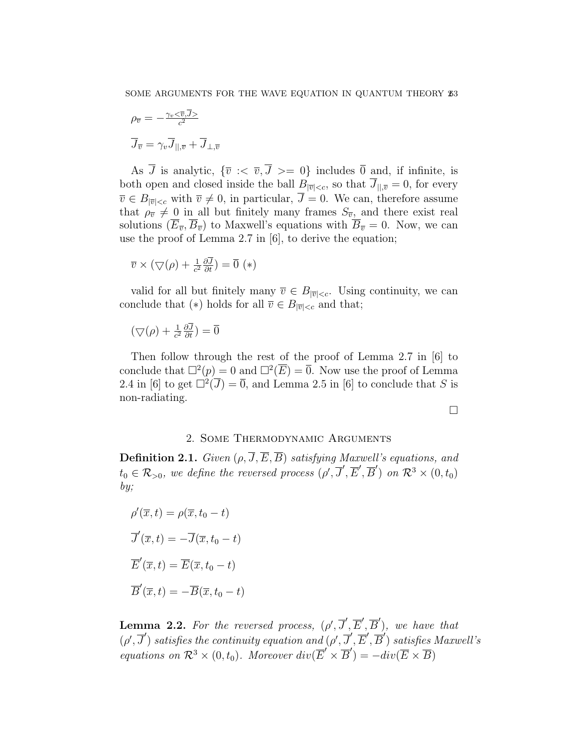$$
\rho_{\overline{v}} = -\frac{\gamma_v < \overline{v}, J>}{c^2}
$$

$$
\overline{J}_{\overline{v}} = \gamma_v \overline{J}_{||,\overline{v}} + \overline{J}_{\bot, \overline{v}}
$$

As  $\overline{J}$  is analytic,  $\{\overline{v} : \langle \overline{v}, \overline{J} \rangle = 0\}$  includes  $\overline{0}$  and, if infinite, is both open and closed inside the ball  $B_{|\overline{v}|, so that  $\overline{J}_{||,\overline{v}}=0$ , for every$  $\overline{v} \in B_{|\overline{v}| < c}$  with  $\overline{v} \neq 0$ , in particular,  $\overline{J} = 0$ . We can, therefore assume that  $\rho_{\overline{v}} \neq 0$  in all but finitely many frames  $S_{\overline{v}}$ , and there exist real solutions  $(E_{\overline{v}}, \overline{B}_{\overline{v}})$  to Maxwell's equations with  $\overline{B}_{\overline{v}} = 0$ . Now, we can use the proof of Lemma 2.7 in [6], to derive the equation;

$$
\overline{v} \times (\bigtriangledown(\rho) + \frac{1}{c^2} \frac{\partial \overline{J}}{\partial t}) = \overline{0} (*)
$$

valid for all but finitely many  $\overline{v} \in B_{|\overline{v}|. Using continuity, we can$ conclude that (\*) holds for all  $\overline{v} \in B_{|\overline{v}| and that;$ 

$$
(\nabla(\rho) + \frac{1}{c^2} \frac{\partial \overline{J}}{\partial t}) = \overline{0}
$$

Then follow through the rest of the proof of Lemma 2.7 in [6] to conclude that  $\Box^2(p) = 0$  and  $\Box^2(\overline{E}) = \overline{0}$ . Now use the proof of Lemma 2.4 in [6] to get  $\overline{\Box^2}(\overline{J}) = \overline{0}$ , and Lemma 2.5 in [6] to conclude that S is non-radiating.

 $\Box$ 

# 2. Some Thermodynamic Arguments

**Definition 2.1.** Given  $(\rho, \overline{J}, \overline{E}, \overline{B})$  satisfying Maxwell's equations, and  $t_0 \in \mathcal{R}_{>0}$ , we define the reversed process  $(\rho', \overline{J}', \overline{E}', \overline{B}')$  on  $\mathcal{R}^3 \times (0, t_0)$ by;

$$
\rho'(\overline{x}, t) = \rho(\overline{x}, t_0 - t)
$$

$$
\overline{J}'(\overline{x}, t) = -\overline{J}(\overline{x}, t_0 - t)
$$

$$
\overline{E}'(\overline{x}, t) = \overline{E}(\overline{x}, t_0 - t)
$$

$$
\overline{B}'(\overline{x}, t) = -\overline{B}(\overline{x}, t_0 - t)
$$

**Lemma 2.2.** For the reversed process,  $(\rho', \overline{J}', \overline{E}', \overline{B}')$ , we have that  $(\rho', \overline{J}')$  satisfies the continuity equation and  $(\rho', \overline{J}', \overline{E}', \overline{B}')$  satisfies Maxwell's equations on  $\mathcal{R}^3 \times (0,t_0)$ . Moreover  $div(\overline{E}' \times \overline{B}') = -div(\overline{E} \times \overline{B})$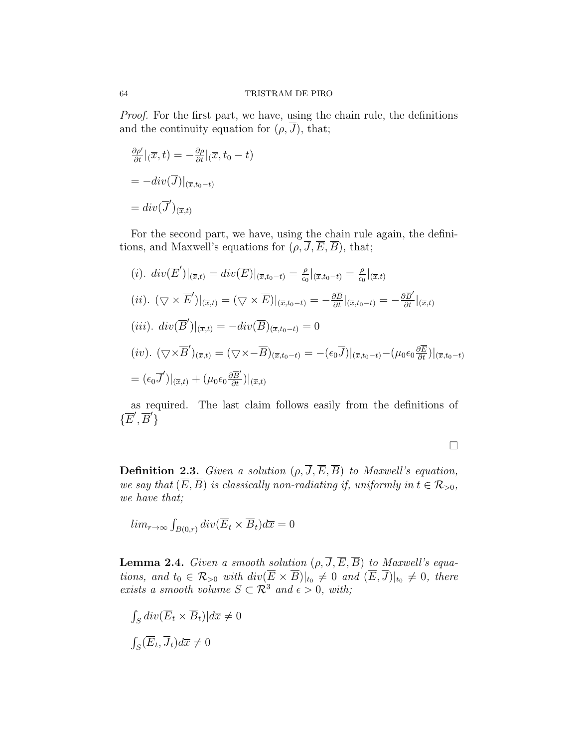Proof. For the first part, we have, using the chain rule, the definitions and the continuity equation for  $(\rho, \overline{J})$ , that;

$$
\frac{\partial \rho'}{\partial t}|_{(\overline{x},t)} = -\frac{\partial \rho}{\partial t}|_{(\overline{x},t_0-t)}
$$

$$
= -div(\overline{J})|_{(\overline{x},t_0-t)}
$$

$$
= div(\overline{J}')_{(\overline{x},t)}
$$

For the second part, we have, using the chain rule again, the definitions, and Maxwell's equations for  $(\rho, \overline{J}, \overline{E}, \overline{B})$ , that;

(i). 
$$
div(\overline{E}')|_{(\overline{x},t)} = div(\overline{E})|_{(\overline{x},t_0-t)} = \frac{\rho}{\epsilon_0}|_{(\overline{x},t_0-t)} = \frac{\rho}{\epsilon_0}|_{(\overline{x},t)}
$$
  
\n(ii). 
$$
(\nabla \times \overline{E}')|_{(\overline{x},t)} = (\nabla \times \overline{E})|_{(\overline{x},t_0-t)} = -\frac{\partial \overline{B}}{\partial t}|_{(\overline{x},t_0-t)} = -\frac{\partial \overline{B}'}{\partial t}|_{(\overline{x},t)}
$$
  
\n(iii). 
$$
div(\overline{B}')|_{(\overline{x},t)} = -div(\overline{B})_{(\overline{x},t_0-t)} = 0
$$
  
\n(iv). 
$$
(\nabla \times \overline{B}')_{(\overline{x},t)} = (\nabla \times -\overline{B})_{(\overline{x},t_0-t)} = -(\epsilon_0 \overline{J})|_{(\overline{x},t_0-t)} - (\mu_0 \epsilon_0 \frac{\partial \overline{E}}{\partial t})|_{(\overline{x},t_0-t)}
$$
  
\n
$$
= (\epsilon_0 \overline{J}')|_{(\overline{x},t)} + (\mu_0 \epsilon_0 \frac{\partial \overline{B}'}{\partial t})|_{(\overline{x},t)}
$$

as required. The last claim follows easily from the definitions of  $\{\overline{E}',\overline{B}'\}$ 

 $\Box$ 

**Definition 2.3.** Given a solution  $(\rho, \overline{J}, \overline{E}, \overline{B})$  to Maxwell's equation, we say that  $(\overline{E}, \overline{B})$  is classically non-radiating if, uniformly in  $t \in \mathcal{R}_{>0}$ , we have that;

$$
lim_{r \to \infty} \int_{B(0,r)} div(\overline{E}_t \times \overline{B}_t) d\overline{x} = 0
$$

**Lemma 2.4.** Given a smooth solution  $(\rho, \overline{J}, \overline{E}, \overline{B})$  to Maxwell's equations, and  $t_0 \in \mathcal{R}_{>0}$  with  $div(E \times B)|_{t_0} \neq 0$  and  $(E, J)|_{t_0} \neq 0$ , there exists a smooth volume  $S \subset \mathcal{R}^3$  and  $\epsilon > 0$ , with;

$$
\int_{S} \operatorname{div}(\overline{E}_t \times \overline{B}_t) | d\overline{x} \neq 0
$$
  

$$
\int_{S} (\overline{E}_t, \overline{J}_t) d\overline{x} \neq 0
$$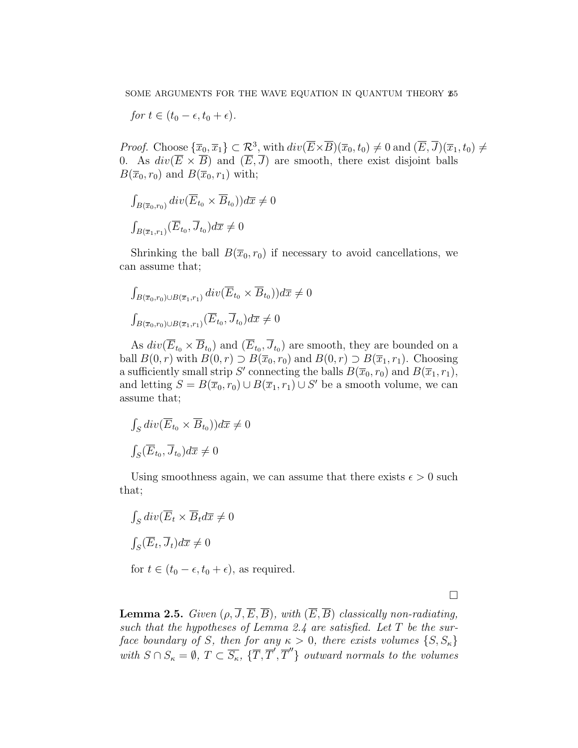for  $t \in (t_0 - \epsilon, t_0 + \epsilon)$ .

*Proof.* Choose  ${\lbrace \overline{x}_0, \overline{x}_1 \rbrace \subset \mathcal{R}^3}$ , with  $div(\overline{E} \times \overline{B})(\overline{x}_0, t_0) \neq 0$  and  $(\overline{E}, \overline{J})(\overline{x}_1, t_0) \neq 0$ 0. As  $div(\overline{E} \times \overline{B})$  and  $(\overline{E}, \overline{J})$  are smooth, there exist disjoint balls  $B(\overline{x}_0, r_0)$  and  $B(\overline{x}_0, r_1)$  with;

$$
\int_{B(\overline{x}_0,r_0)} \operatorname{div}(\overline{E}_{t_0} \times \overline{B}_{t_0})) d\overline{x} \neq 0
$$
  

$$
\int_{B(\overline{x}_1,r_1)} (\overline{E}_{t_0}, \overline{J}_{t_0}) d\overline{x} \neq 0
$$

Shrinking the ball  $B(\overline{x}_0, r_0)$  if necessary to avoid cancellations, we can assume that;

$$
\int_{B(\overline{x}_0,r_0)\cup B(\overline{x}_1,r_1)} \operatorname{div}(\overline{E}_{t_0}\times\overline{B}_{t_0}))d\overline{x}\neq 0
$$
  

$$
\int_{B(\overline{x}_0,r_0)\cup B(\overline{x}_1,r_1)} (\overline{E}_{t_0},\overline{J}_{t_0})d\overline{x}\neq 0
$$

As  $div(\overline{E}_{t_0} \times \overline{B}_{t_0})$  and  $(\overline{E}_{t_0}, \overline{J}_{t_0})$  are smooth, they are bounded on a ball  $B(0, r)$  with  $B(0, r) \supset B(\overline{x}_0, r_0)$  and  $B(0, r) \supset B(\overline{x}_1, r_1)$ . Choosing a sufficiently small strip S' connecting the balls  $B(\overline{x}_0, r_0)$  and  $B(\overline{x}_1, r_1)$ , and letting  $S = B(\overline{x}_0, r_0) \cup B(\overline{x}_1, r_1) \cup S'$  be a smooth volume, we can assume that;

$$
\int_{S} \operatorname{div}(\overline{E}_{t_0} \times \overline{B}_{t_0})) d\overline{x} \neq 0
$$
  

$$
\int_{S} (\overline{E}_{t_0}, \overline{J}_{t_0}) d\overline{x} \neq 0
$$

Using smoothness again, we can assume that there exists  $\epsilon > 0$  such that;

$$
\int_{S} \operatorname{div}(\overline{E}_t \times \overline{B}_t d\overline{x} \neq 0
$$

$$
\int_{S} (\overline{E}_t, \overline{J}_t) d\overline{x} \neq 0
$$

for  $t \in (t_0 - \epsilon, t_0 + \epsilon)$ , as required.

 $\Box$ 

**Lemma 2.5.** Given  $(\rho, \overline{J}, \overline{E}, \overline{B})$ , with  $(\overline{E}, \overline{B})$  classically non-radiating, such that the hypotheses of Lemma 2.4 are satisfied. Let  $T$  be the surface boundary of S, then for any  $\kappa > 0$ , there exists volumes  $\{S, S_{\kappa}\}\$ with  $S \cap S_{\kappa} = \emptyset$ ,  $T \subset \overline{S_{\kappa}}$ ,  $\{ \overline{T}, \overline{T}', \overline{T}'' \}$  outward normals to the volumes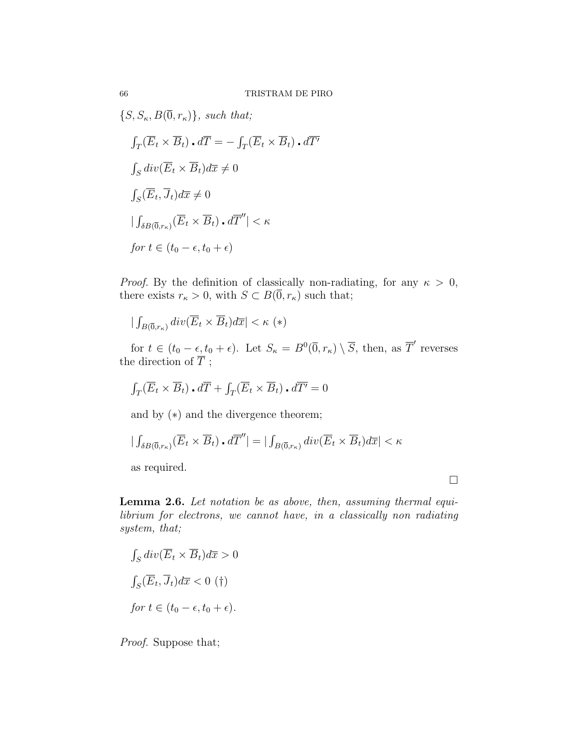$\{S, S_{\kappa}, B(\overline{0}, r_{\kappa})\}, \text{ such that};$ 

$$
\int_{T} (\overline{E}_{t} \times \overline{B}_{t}) \cdot d\overline{T} = -\int_{T} (\overline{E}_{t} \times \overline{B}_{t}) \cdot d\overline{T}'
$$
  

$$
\int_{S} div(\overline{E}_{t} \times \overline{B}_{t}) d\overline{x} \neq 0
$$
  

$$
\int_{S} (\overline{E}_{t}, \overline{J}_{t}) d\overline{x} \neq 0
$$
  

$$
|\int_{\delta B(\overline{0}, r_{\kappa})} (\overline{E}_{t} \times \overline{B}_{t}) \cdot d\overline{T}''| < \kappa
$$
  
for  $t \in (t_{0} - \epsilon, t_{0} + \epsilon)$ 

*Proof.* By the definition of classically non-radiating, for any  $\kappa > 0$ , there exists  $r_{\kappa} > 0$ , with  $S \subset B(\overline{0}, r_{\kappa})$  such that;

$$
|\int_{B(\overline{0},r_{\kappa})}div(\overline{E}_t\times\overline{B}_t)d\overline{x}| < \kappa \ (*)
$$

for  $t \in (t_0 - \epsilon, t_0 + \epsilon)$ . Let  $S_{\kappa} = B^0(\overline{0}, r_{\kappa}) \setminus \overline{S}$ , then, as  $\overline{T}'$  reverses the direction of  $T$ ;

$$
\int_T (\overline{E}_t \times \overline{B}_t) \cdot d\overline{T} + \int_T (\overline{E}_t \times \overline{B}_t) \cdot d\overline{T'} = 0
$$

and by (∗) and the divergence theorem;

$$
|\int_{\delta B(\overline{0},r_{\kappa})} (\overline{E}_t \times \overline{B}_t) \cdot d\overline{T}''| = |\int_{B(\overline{0},r_{\kappa})} div(\overline{E}_t \times \overline{B}_t) d\overline{x}| < \kappa
$$

as required.

 $\Box$ 

Lemma 2.6. Let notation be as above, then, assuming thermal equilibrium for electrons, we cannot have, in a classically non radiating system, that;

$$
\int_{S} \operatorname{div}(\overline{E}_t \times \overline{B}_t) d\overline{x} > 0
$$

$$
\int_{S} (\overline{E}_t, \overline{J}_t) d\overline{x} < 0 \quad (\dagger)
$$
  
for  $t \in (t_0 - \epsilon, t_0 + \epsilon)$ .

Proof. Suppose that;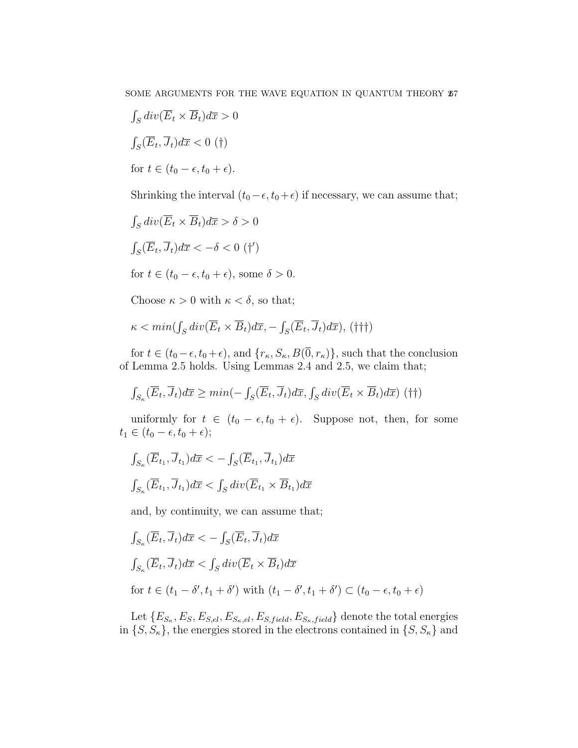$$
\int_{S} \operatorname{div}(\overline{E}_t \times \overline{B}_t) d\overline{x} > 0
$$

$$
\int_{S} (\overline{E}_t, \overline{J}_t) d\overline{x} < 0 \quad (\dagger)
$$
  
for  $t \in (t_0 - \epsilon, t_0 + \epsilon)$ .

Shrinking the interval  $(t_0 - \epsilon, t_0 + \epsilon)$  if necessary, we can assume that;

$$
\int_{S} \operatorname{div}(\overline{E}_t \times \overline{B}_t) d\overline{x} > \delta > 0
$$
  

$$
\int_{S} (\overline{E}_t, \overline{J}_t) d\overline{x} < -\delta < 0 \quad (\dagger')
$$
  
for  $t \in (t_0 - \epsilon, t_0 + \epsilon)$ , some  $\delta > 0$ .

Choose  $\kappa > 0$  with  $\kappa < \delta$ , so that;

$$
\kappa < \min(\int_{S} \operatorname{div}(\overline{E}_t \times \overline{B}_t) d\overline{x}, -\int_{S} (\overline{E}_t, \overline{J}_t) d\overline{x}), \, (\dagger \dagger \dagger)
$$

for  $t \in (t_0 - \epsilon, t_0 + \epsilon)$ , and  $\{r_{\kappa}, S_{\kappa}, B(\overline{0}, r_{\kappa})\}$ , such that the conclusion of Lemma 2.5 holds. Using Lemmas 2.4 and 2.5, we claim that;

$$
\int_{S_{\kappa}} (\overline{E}_t, \overline{J}_t) d\overline{x} \ge \min(-\int_S (\overline{E}_t, \overline{J}_t) d\overline{x}, \int_S div(\overline{E}_t \times \overline{B}_t) d\overline{x}) \tag{\dagger\dagger}
$$

uniformly for  $t \in (t_0 - \epsilon, t_0 + \epsilon)$ . Suppose not, then, for some  $t_1 \in (t_0 - \epsilon, t_0 + \epsilon);$ 

$$
\int_{S_{\kappa}} (\overline{E}_{t_1}, \overline{J}_{t_1}) d\overline{x} < -\int_{S} (\overline{E}_{t_1}, \overline{J}_{t_1}) d\overline{x}
$$

$$
\int_{S_{\kappa}} (\overline{E}_{t_1}, \overline{J}_{t_1}) d\overline{x} < \int_{S} div (\overline{E}_{t_1} \times \overline{B}_{t_1}) d\overline{x}
$$

and, by continuity, we can assume that;

$$
\int_{S_{\kappa}} (\overline{E}_t, \overline{J}_t) d\overline{x} < -\int_S (\overline{E}_t, \overline{J}_t) d\overline{x}
$$
  

$$
\int_{S_{\kappa}} (\overline{E}_t, \overline{J}_t) d\overline{x} < \int_S div(\overline{E}_t \times \overline{B}_t) d\overline{x}
$$
  
for  $t \in (t_1 - \delta', t_1 + \delta')$  with  $(t_1 - \delta', t_1 + \delta') \subset (t_0 - \epsilon, t_0 + \epsilon)$ 

Let  ${E_{S_{\kappa},E_{S},E_{S,el},E_{S_{\kappa},el},E_{S,field},E_{S_{\kappa},field}}}$  denote the total energies in  $\{S, S_{\kappa}\}\)$ , the energies stored in the electrons contained in  $\{S, S_{\kappa}\}\$  and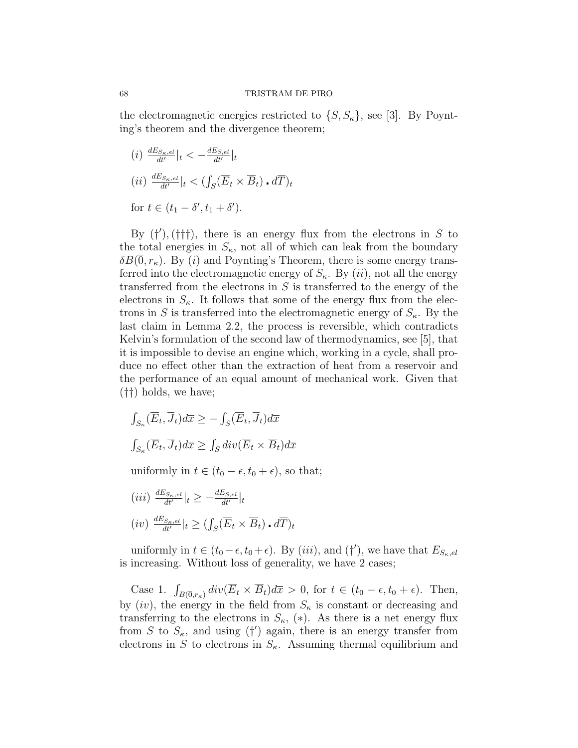the electromagnetic energies restricted to  $\{S, S_{\kappa}\}\)$ , see [3]. By Poynting's theorem and the divergence theorem;

$$
(i) \frac{dE_{S_{\kappa},el}}{dt'}|_{t} < -\frac{dE_{S,el}}{dt'}|_{t}
$$

$$
(ii) \frac{dE_{S_{\kappa},el}}{dt'}|_{t} < (\int_{S} (\overline{E}_{t} \times \overline{B}_{t}) \cdot d\overline{T})_{t}
$$
for  $t \in (t_{1} - \delta', t_{1} + \delta').$ 

By  $(†')$ ,  $(††)$ , there is an energy flux from the electrons in S to the total energies in  $S_{\kappa}$ , not all of which can leak from the boundary  $\delta B(\overline{0}, r_{\kappa})$ . By (*i*) and Poynting's Theorem, there is some energy transferred into the electromagnetic energy of  $S_{\kappa}$ . By  $(ii)$ , not all the energy transferred from the electrons in  $S$  is transferred to the energy of the electrons in  $S_{\kappa}$ . It follows that some of the energy flux from the electrons in S is transferred into the electromagnetic energy of  $S_{\kappa}$ . By the last claim in Lemma 2.2, the process is reversible, which contradicts Kelvin's formulation of the second law of thermodynamics, see [5], that it is impossible to devise an engine which, working in a cycle, shall produce no effect other than the extraction of heat from a reservoir and the performance of an equal amount of mechanical work. Given that (††) holds, we have;

$$
\int_{S_{\kappa}} (\overline{E}_t, \overline{J}_t) d\overline{x} \ge - \int_S (\overline{E}_t, \overline{J}_t) d\overline{x}
$$
  

$$
\int_{S_{\kappa}} (\overline{E}_t, \overline{J}_t) d\overline{x} \ge \int_S div(\overline{E}_t \times \overline{B}_t) d\overline{x}
$$
  
uniformly in  $t \in (t_0 - \epsilon, t_0 + \epsilon)$ , so that;

 $(iii) \frac{dE_{S_{\kappa},el}}{dt'}$  $\frac{dE_{S,\textit{el}}}{dt'}|_{t} \geq -\frac{dE_{S,\textit{el}}}{dt'}|_{t}$  $(iv) \frac{dE_{S_{\kappa},el}}{dt'}$  $\bar{d}_{dt'}^{\vphantom{\mathrm{dS}_{K},el}}|_{t}\geq (\int_{S}(\overline{E}_{t}\times\overline{B}_{t})$  .  $d\overline{T})_{t}$ 

uniformly in  $t \in (t_0 - \epsilon, t_0 + \epsilon)$ . By  $(iii)$ , and  $(\dagger')$ , we have that  $E_{S_{\kappa},\epsilon}$ is increasing. Without loss of generality, we have 2 cases;

Case 1.  $\int_{B(\overline{0},r_{\kappa})} div(\overline{E}_t \times \overline{B}_t) d\overline{x} > 0$ , for  $t \in (t_0 - \epsilon, t_0 + \epsilon)$ . Then, by  $(iv)$ , the energy in the field from  $S_{\kappa}$  is constant or decreasing and transferring to the electrons in  $S_{\kappa}$ , (\*). As there is a net energy flux from S to  $S_{\kappa}$ , and using (†') again, there is an energy transfer from electrons in S to electrons in  $S_{\kappa}$ . Assuming thermal equilibrium and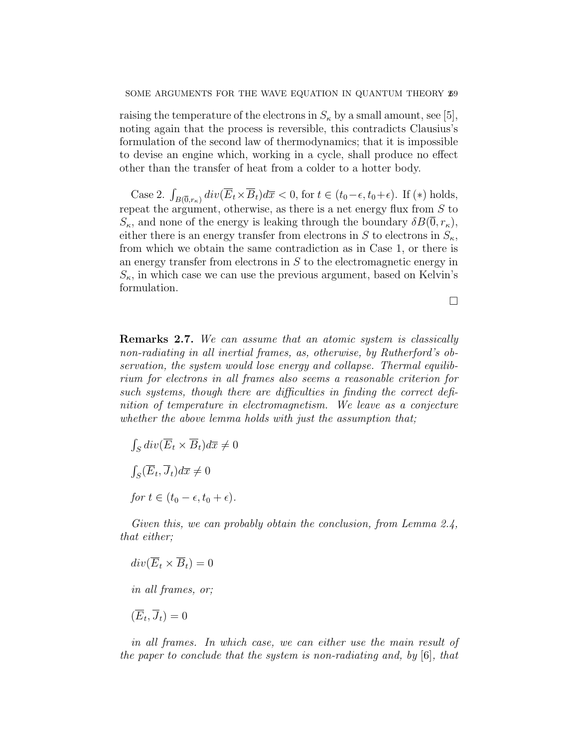raising the temperature of the electrons in  $S_{\kappa}$  by a small amount, see [5], noting again that the process is reversible, this contradicts Clausius's formulation of the second law of thermodynamics; that it is impossible to devise an engine which, working in a cycle, shall produce no effect other than the transfer of heat from a colder to a hotter body.

Case 2.  $\int_{B(\overline{0},r_{\kappa})} div(\overline{E}_t \times \overline{B}_t) d\overline{x} < 0$ , for  $t \in (t_0-\epsilon, t_0+\epsilon)$ . If  $(*)$  holds, repeat the argument, otherwise, as there is a net energy flux from  $S$  to  $S_{\kappa}$ , and none of the energy is leaking through the boundary  $\delta B(0, r_{\kappa})$ , either there is an energy transfer from electrons in S to electrons in  $S_{\kappa}$ , from which we obtain the same contradiction as in Case 1, or there is an energy transfer from electrons in S to the electromagnetic energy in  $S_{\kappa}$ , in which case we can use the previous argument, based on Kelvin's formulation.

 $\Box$ 

Remarks 2.7. We can assume that an atomic system is classically non-radiating in all inertial frames, as, otherwise, by Rutherford's observation, the system would lose energy and collapse. Thermal equilibrium for electrons in all frames also seems a reasonable criterion for such systems, though there are difficulties in finding the correct definition of temperature in electromagnetism. We leave as a conjecture whether the above lemma holds with just the assumption that;

 $\int_S div(\overline{E}_t \times \overline{B}_t) d\overline{x} \neq 0$  $\int_S (\overline{E}_t, \overline{J}_t) d\overline{x} \neq 0$ for  $t \in (t_0 - \epsilon, t_0 + \epsilon)$ .

Given this, we can probably obtain the conclusion, from Lemma 2.4, that either;

$$
div(\overline{E}_t \times \overline{B}_t) = 0
$$

in all frames, or;

$$
(\overline{E}_t, \overline{J}_t) = 0
$$

in all frames. In which case, we can either use the main result of the paper to conclude that the system is non-radiating and, by [6], that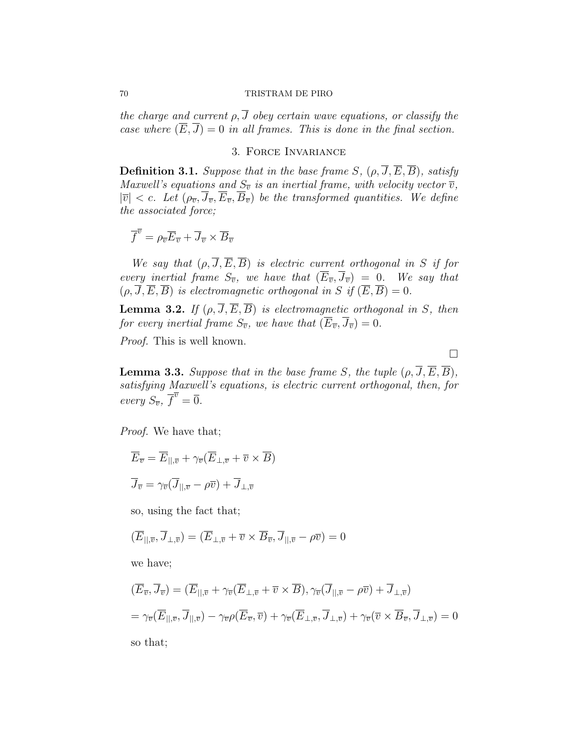## 70 TRISTRAM DE PIRO

the charge and current  $\rho$ ,  $\overline{J}$  obey certain wave equations, or classify the case where  $(\overline{E}, \overline{J}) = 0$  in all frames. This is done in the final section.

## 3. Force Invariance

**Definition 3.1.** Suppose that in the base frame S,  $(\rho, \overline{J}, \overline{E}, \overline{B})$ , satisfy Maxwell's equations and  $S_{\overline{v}}$  is an inertial frame, with velocity vector  $\overline{v}$ ,  $|\overline{v}| < c$ . Let  $(\rho_{\overline{v}}, \overline{J}_{\overline{v}}, \overline{E}_{\overline{v}}, \overline{B}_{\overline{v}})$  be the transformed quantities. We define the associated force;

$$
\overline{f}^{\overline{v}} = \rho_{\overline{v}} \overline{E}_{\overline{v}} + \overline{J}_{\overline{v}} \times \overline{B}_{\overline{v}}
$$

We say that  $(\rho, \overline{J}, \overline{E}, \overline{B})$  is electric current orthogonal in S if for every inertial frame  $S_{\overline{v}}$ , we have that  $(\overline{E}_{\overline{v}}, \overline{J}_{\overline{v}}) = 0$ . We say that  $(\rho, \overline{J}, \overline{E}, \overline{B})$  is electromagnetic orthogonal in S if  $(\overline{E}, \overline{B}) = 0$ .

**Lemma 3.2.** If  $(\rho, \overline{J}, \overline{E}, \overline{B})$  is electromagnetic orthogonal in S, then for every inertial frame  $S_{\overline{v}}$ , we have that  $(\overline{E}_{\overline{v}}, \overline{J}_{\overline{v}}) = 0$ .

Proof. This is well known.

**Lemma 3.3.** Suppose that in the base frame S, the tuple  $(\rho, \overline{J}, \overline{E}, \overline{B})$ , satisfying Maxwell's equations, is electric current orthogonal, then, for every  $S_{\overline{v}}, \overline{f}^{\overline{v}} = \overline{0}.$ 

Proof. We have that;

$$
\overline{E}_{\overline{v}} = \overline{E}_{||,\overline{v}} + \gamma_{\overline{v}} (\overline{E}_{\perp,\overline{v}} + \overline{v} \times \overline{B})
$$

$$
\overline{J}_{\overline{v}} = \gamma_{\overline{v}} (\overline{J}_{||,\overline{v}} - \rho \overline{v}) + \overline{J}_{\perp,\overline{v}}
$$

so, using the fact that;

$$
(\overline{E}_{||,\overline{v}}, \overline{J}_{\perp,\overline{v}}) = (\overline{E}_{\perp,\overline{v}} + \overline{v} \times \overline{B}_{\overline{v}}, \overline{J}_{||,\overline{v}} - \rho \overline{v}) = 0
$$

we have;

$$
(\overline{E}_{\overline{v}}, \overline{J}_{\overline{v}}) = (\overline{E}_{||,\overline{v}} + \gamma_{\overline{v}} (\overline{E}_{\perp,\overline{v}} + \overline{v} \times \overline{B}), \gamma_{\overline{v}} (\overline{J}_{||,\overline{v}} - \rho \overline{v}) + \overline{J}_{\perp,\overline{v}})
$$
  
=  $\gamma_{\overline{v}} (\overline{E}_{||,\overline{v}}, \overline{J}_{||,\overline{v}}) - \gamma_{\overline{v}} \rho (\overline{E}_{\overline{v}}, \overline{v}) + \gamma_{\overline{v}} (\overline{E}_{\perp,\overline{v}}, \overline{J}_{\perp,\overline{v}}) + \gamma_{\overline{v}} (\overline{v} \times \overline{B}_{\overline{v}}, \overline{J}_{\perp,\overline{v}}) = 0$ 

so that;

 $\Box$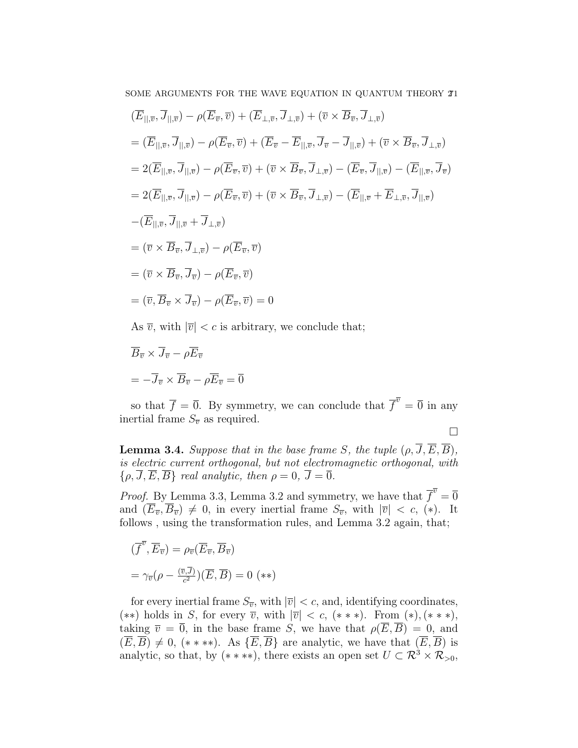SOME ARGUMENTS FOR THE WAVE EQUATION IN QUANTUM THEORY  $\mathbb{Z}1$ 

$$
(\overline{E}_{||,\overline{v}}, \overline{J}_{||,\overline{v}}) - \rho(\overline{E}_{\overline{v}}, \overline{v}) + (\overline{E}_{\perp,\overline{v}}, \overline{J}_{\perp,\overline{v}}) + (\overline{v} \times \overline{B}_{\overline{v}}, \overline{J}_{\perp,\overline{v}})
$$
  
\n
$$
= (\overline{E}_{||,\overline{v}}, \overline{J}_{||,\overline{v}}) - \rho(\overline{E}_{\overline{v}}, \overline{v}) + (\overline{E}_{\overline{v}} - \overline{E}_{||,\overline{v}}, \overline{J}_{\overline{v}} - \overline{J}_{||,\overline{v}}) + (\overline{v} \times \overline{B}_{\overline{v}}, \overline{J}_{\perp,\overline{v}})
$$
  
\n
$$
= 2(\overline{E}_{||,\overline{v}}, \overline{J}_{||,\overline{v}}) - \rho(\overline{E}_{\overline{v}}, \overline{v}) + (\overline{v} \times \overline{B}_{\overline{v}}, \overline{J}_{\perp,\overline{v}}) - (\overline{E}_{\overline{v}}, \overline{J}_{||,\overline{v}}) - (\overline{E}_{||,\overline{v}}, \overline{J}_{\overline{v}})
$$
  
\n
$$
= 2(\overline{E}_{||,\overline{v}}, \overline{J}_{||,\overline{v}}) - \rho(\overline{E}_{\overline{v}}, \overline{v}) + (\overline{v} \times \overline{B}_{\overline{v}}, \overline{J}_{\perp,\overline{v}}) - (\overline{E}_{||,\overline{v}} + \overline{E}_{\perp,\overline{v}}, \overline{J}_{||,\overline{v}})
$$
  
\n
$$
- (\overline{E}_{||,\overline{v}}, \overline{J}_{||,\overline{v}} + \overline{J}_{\perp,\overline{v}})
$$
  
\n
$$
= (\overline{v} \times \overline{B}_{\overline{v}}, \overline{J}_{\perp,\overline{v}}) - \rho(\overline{E}_{\overline{v}}, \overline{v})
$$
  
\n
$$
= (\overline{v} \times \overline{B}_{\overline{v}}, \overline{J}_{\overline{v}}) - \rho(\overline{E}_{\overline{v}}, \overline{v})
$$

As  $\overline{v}$ , with  $|\overline{v}| < c$  is arbitrary, we conclude that;

$$
\overline{B}_{\overline{v}} \times \overline{J}_{\overline{v}} - \rho \overline{E}_{\overline{v}}
$$

$$
= -\overline{J}_{\overline{v}} \times \overline{B}_{\overline{v}} - \rho \overline{E}_{\overline{v}} = \overline{0}
$$

so that  $\overline{f} = \overline{0}$ . By symmetry, we can conclude that  $\overline{f}^{\overline{v}} = \overline{0}$  in any inertial frame  $S_{\overline{v}}$  as required.

 $\Box$ 

**Lemma 3.4.** Suppose that in the base frame S, the tuple  $(\rho, \overline{J}, \overline{E}, \overline{B})$ , is electric current orthogonal, but not electromagnetic orthogonal, with  $\{\rho, \overline{J}, \overline{E}, \overline{B}\}\$ real analytic, then  $\rho = 0$ ,  $\overline{J} = \overline{0}$ .

*Proof.* By Lemma 3.3, Lemma 3.2 and symmetry, we have that  $\overline{f}^{\overline{v}} = \overline{0}$ and  $(\overline{E}_{\overline{v}}, \overline{B}_{\overline{v}}) \neq 0$ , in every inertial frame  $S_{\overline{v}}$ , with  $|\overline{v}| < c$ , (\*). It follows, using the transformation rules, and Lemma 3.2 again, that;

$$
\begin{aligned} (\overline{f}^{\overline{v}}, \overline{E}_{\overline{v}}) &= \rho_{\overline{v}}(\overline{E}_{\overline{v}}, \overline{B}_{\overline{v}}) \\ &= \gamma_{\overline{v}}(\rho - \frac{(\overline{v}, \overline{J})}{c^2})(\overline{E}, \overline{B}) = 0 \quad (*) \end{aligned}
$$

for every inertial frame  $S_{\overline{v}}$ , with  $|\overline{v}| < c$ , and, identifying coordinates, (\*\*) holds in S, for every  $\overline{v}$ , with  $|\overline{v}| < c$ , (\*\*\*). From (\*), (\*\*\*), taking  $\overline{v} = \overline{0}$ , in the base frame S, we have that  $\rho(\overline{E}, \overline{B}) = 0$ , and  $(\overline{E}, \overline{B}) \neq 0$ ,  $(* ***)$ . As  $\{\overline{E}, \overline{B}\}$  are analytic, we have that  $(\overline{E}, \overline{B})$  is analytic, so that, by  $(* **)$ , there exists an open set  $U \subset \mathbb{R}^3 \times \mathbb{R}_{\geq 0}$ ,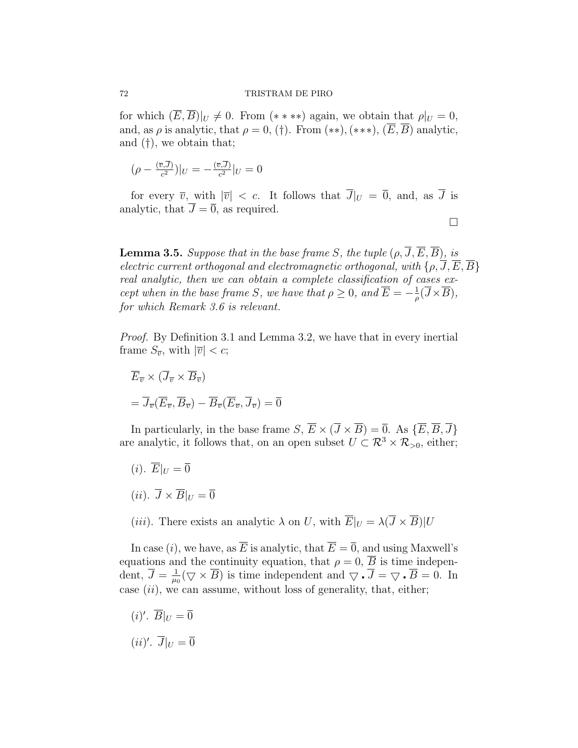## 72 TRISTRAM DE PIRO

for which  $(\overline{E}, \overline{B})|_{U} \neq 0$ . From  $(* **)$  again, we obtain that  $\rho|_{U} = 0$ , and, as  $\rho$  is analytic, that  $\rho = 0$ , (†). From (\*\*), (\*\*\*),  $(\overline{E}, \overline{B})$  analytic, and (†), we obtain that;

$$
(\rho - \frac{(\overline{v}, \overline{J})}{c^2})|_U = -\frac{(\overline{v}, \overline{J})}{c^2}|_U = 0
$$

for every  $\overline{v}$ , with  $|\overline{v}| < c$ . It follows that  $\overline{J}|_{U} = \overline{0}$ , and, as  $\overline{J}$  is analytic, that  $\overline{J} = \overline{0}$ , as required.

**Lemma 3.5.** Suppose that in the base frame S, the tuple  $(\rho, \overline{J}, \overline{E}, \overline{B})$ , is electric current orthogonal and electromagnetic orthogonal, with  $\{\rho, \overline{J}, \overline{E}, \overline{B}\}$ real analytic, then we can obtain a complete classification of cases except when in the base frame S, we have that  $\rho \geq 0$ , and  $\overline{E} = -\frac{1}{a}$  $\frac{1}{\rho}(\overline{J}\!\times\!\overline{B}),$ for which Remark 3.6 is relevant.

 $\Box$ 

Proof. By Definition 3.1 and Lemma 3.2, we have that in every inertial frame  $S_{\overline{v}}$ , with  $|\overline{v}| < c$ ;

$$
\overline{E}_{\overline{v}} \times (\overline{J}_{\overline{v}} \times \overline{B}_{\overline{v}})
$$
  
=  $\overline{J}_{\overline{v}}(\overline{E}_{\overline{v}}, \overline{B}_{\overline{v}}) - \overline{B}_{\overline{v}}(\overline{E}_{\overline{v}}, \overline{J}_{\overline{v}}) = \overline{0}$ 

In particularly, in the base frame  $S, \overline{E} \times (\overline{J} \times \overline{B}) = \overline{0}$ . As  $\{\overline{E}, \overline{B}, \overline{J}\}$ are analytic, it follows that, on an open subset  $U \subset \mathbb{R}^3 \times \mathbb{R}_{\geq 0}$ , either;

- $(i). \ \overline{E}|_U = \overline{0}$
- $(ii). \ \overline{J} \times \overline{B}|_{U} = \overline{0}$
- (iii). There exists an analytic  $\lambda$  on U, with  $\overline{E}|_U = \lambda(\overline{J} \times \overline{B})|U$

In case (i), we have, as  $\overline{E}$  is analytic, that  $\overline{E} = \overline{0}$ , and using Maxwell's equations and the continuity equation, that  $\rho = 0$ ,  $\overline{B}$  is time independent,  $\overline{J} = \frac{1}{\mu}$  $\frac{1}{\mu_0}(\nabla \times \overline{B})$  is time independent and  $\nabla \cdot \overline{J} = \nabla \cdot \overline{B} = 0$ . In case  $(ii)$ , we can assume, without loss of generality, that, either;

 $(i)'$ .  $\overline{B}|_U = \overline{0}$ 

$$
(ii)'. \ \overline{J}|_U = \overline{0}
$$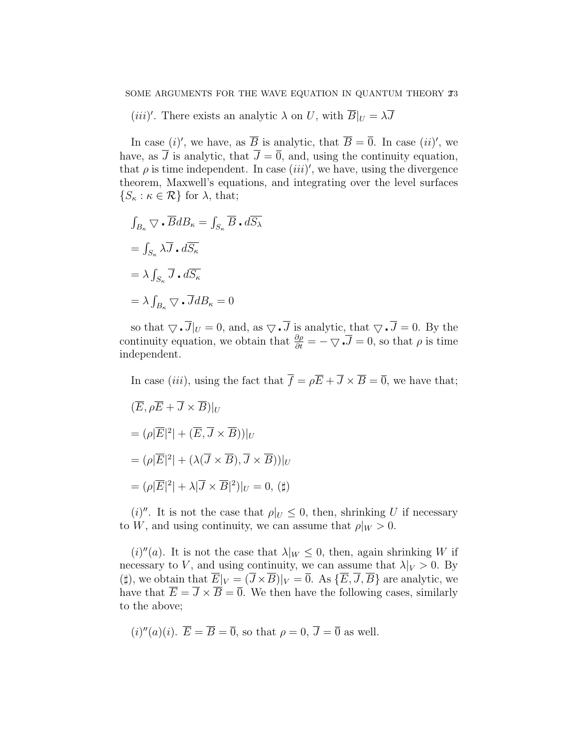(*iii*)'. There exists an analytic  $\lambda$  on U, with  $\overline{B}|_U = \lambda \overline{J}$ 

In case (i)', we have, as  $\overline{B}$  is analytic, that  $\overline{B} = \overline{0}$ . In case (ii)', we have, as  $\overline{J}$  is analytic, that  $\overline{J} = \overline{0}$ , and, using the continuity equation, that  $\rho$  is time independent. In case  $(iii)'$ , we have, using the divergence theorem, Maxwell's equations, and integrating over the level surfaces  $\{S_{\kappa} : \kappa \in \mathcal{R}\}\$ for  $\lambda$ , that;

$$
\int_{B_{\kappa}} \nabla \cdot \overline{B} dB_{\kappa} = \int_{S_{\kappa}} \overline{B} \cdot d\overline{S_{\lambda}}
$$

$$
= \int_{S_{\kappa}} \lambda \overline{J} \cdot d\overline{S_{\kappa}}
$$

$$
= \lambda \int_{S_{\kappa}} \overline{J} \cdot d\overline{S_{\kappa}}
$$

$$
= \lambda \int_{B_{\kappa}} \nabla \cdot \overline{J} dB_{\kappa} = 0
$$

so that  $\nabla \cdot \overline{J}|_U = 0$ , and, as  $\nabla \cdot \overline{J}$  is analytic, that  $\nabla \cdot \overline{J} = 0$ . By the continuity equation, we obtain that  $\frac{\partial \rho}{\partial t} = -\nabla \cdot \overline{J} = 0$ , so that  $\rho$  is time independent.

In case *(iii)*, using the fact that  $\overline{f} = \rho \overline{E} + \overline{J} \times \overline{B} = \overline{0}$ , we have that;  $(\overline{E}, \rho \overline{E} + \overline{J} \times \overline{B})|_{U}$  $= (\rho |\overline{E}|^2 | + (\overline{E}, \overline{J} \times \overline{B}))|_U$  $= (\rho |\overline{E}|^2 | + (\lambda(\overline{J}\times\overline{B}), \overline{J}\times\overline{B}))|_U$  $= (\rho |\overline{E}|^2 + \lambda |\overline{J} \times \overline{B}|^2)|_U = 0,$  (#)

(i)". It is not the case that  $\rho|_U \leq 0$ , then, shrinking U if necessary to W, and using continuity, we can assume that  $\rho|_W > 0$ .

 $(i)''(a)$ . It is not the case that  $\lambda|_W \leq 0$ , then, again shrinking W if necessary to V, and using continuity, we can assume that  $\lambda|_V > 0$ . By (#), we obtain that  $\overline{E}|_V = (\overline{J} \times \overline{B})|_V = \overline{0}$ . As  $\{\overline{E}, \overline{J}, \overline{B}\}\$ are analytic, we have that  $\overline{E} = \overline{J} \times \overline{B} = \overline{0}$ . We then have the following cases, similarly to the above;

(*i*)''(*a*)(*i*). 
$$
\overline{E} = \overline{B} = \overline{0}
$$
, so that  $\rho = 0$ ,  $\overline{J} = \overline{0}$  as well.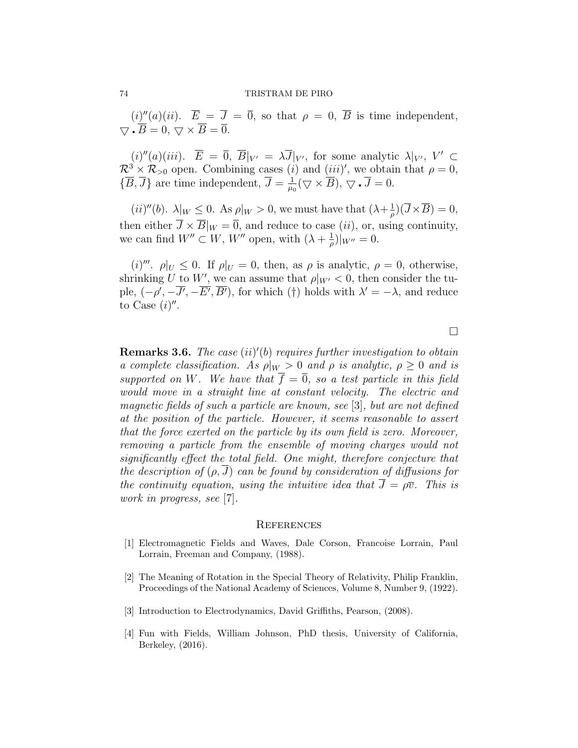## 74 TRISTRAM DE PIRO

 $(i)''(a)(ii)$ .  $\overline{E} = \overline{J} = \overline{0}$ , so that  $\rho = 0$ ,  $\overline{B}$  is time independent,  $\nabla \cdot \overline{B} = 0, \, \nabla \times \overline{B} = \overline{0}.$ 

 $(i)''(a)(iii)$ .  $\overline{E} = \overline{0}$ ,  $\overline{B}|_{V'} = \lambda \overline{J}|_{V'}$ , for some analytic  $\lambda|_{V'}$ ,  $V' \subset$  $\mathcal{R}^3 \times \mathcal{R}_{>0}$  open. Combining cases (*i*) and (*iii*)', we obtain that  $\rho = 0$ ,  $\{\overline{B}, \overline{J}\}\$ are time independent,  $\overline{J} = \frac{1}{m}$  $\frac{1}{\mu_0}(\nabla\times\overline{B}),\,\nabla\cdot\overline{J}=0.$ 

 $(ii)''(b)$ .  $\lambda|_W \leq 0$ . As  $\rho|_W > 0$ , we must have that  $(\lambda + \frac{1}{\rho})$  $(\overline{J}\times\overline{B})=0,$ then either  $\overline{J} \times \overline{B}|_W = \overline{0}$ , and reduce to case *(ii)*, or, using continuity, we can find  $W'' \subset W$ ,  $W''$  open, with  $(\lambda + \frac{1}{a})$  $\frac{1}{\rho}$ )|<sub>W''</sub> = 0.

(i)<sup>'''</sup>.  $\rho|_U \leq 0$ . If  $\rho|_U = 0$ , then, as  $\rho$  is analytic,  $\rho = 0$ , otherwise, shrinking U to W', we can assume that  $\rho|_{W'} < 0$ , then consider the tuple,  $(-\rho', -\overline{J'}, -\overline{E'}, \overline{B'})$ , for which (†) holds with  $\lambda' = -\lambda$ , and reduce to Case  $(i)$ ".

**Remarks 3.6.** The case  $(ii)'(b)$  requires further investigation to obtain a complete classification. As  $\rho|_W > 0$  and  $\rho$  is analytic,  $\rho \geq 0$  and is supported on W. We have that  $\overline{f} = \overline{0}$ , so a test particle in this field would move in a straight line at constant velocity. The electric and magnetic fields of such a particle are known, see [3], but are not defined at the position of the particle. However, it seems reasonable to assert that the force exerted on the particle by its own field is zero. Moreover, removing a particle from the ensemble of moving charges would not significantly effect the total field. One might, therefore conjecture that the description of  $(\rho, J)$  can be found by consideration of diffusions for the continuity equation, using the intuitive idea that  $\overline{J} = \rho \overline{v}$ . This is work in progress, see [7].

## **REFERENCES**

- [1] Electromagnetic Fields and Waves, Dale Corson, Francoise Lorrain, Paul Lorrain, Freeman and Company, (1988).
- [2] The Meaning of Rotation in the Special Theory of Relativity, Philip Franklin, Proceedings of the National Academy of Sciences, Volume 8, Number 9, (1922).
- [3] Introduction to Electrodynamics, David Griffiths, Pearson, (2008).
- [4] Fun with Fields, William Johnson, PhD thesis, University of California, Berkeley, (2016).

 $\Box$